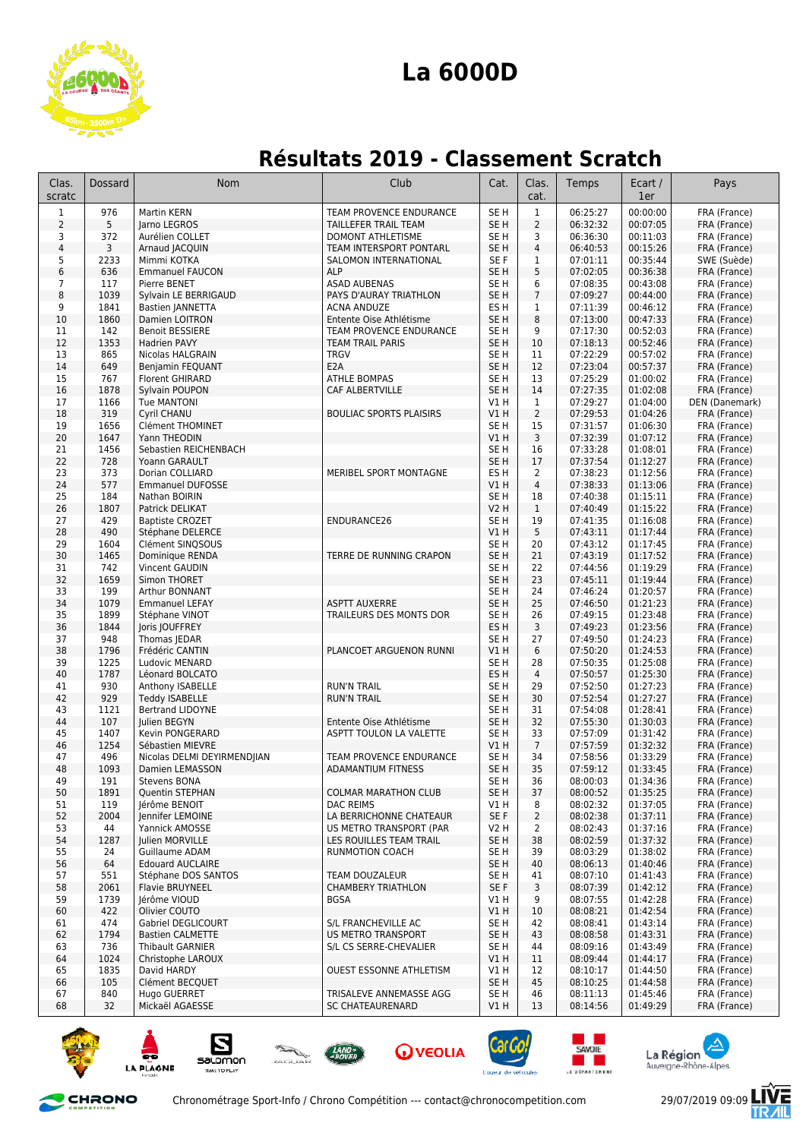

## **La 6000D**

## **Résultats 2019 - Classement Scratch**

| Clas.<br>scratc      | <b>Dossard</b> | <b>Nom</b>                                      | Club                                               | Cat.                               | Clas.<br>cat.       | Temps                | Ecart /<br>1er       | Pays                         |
|----------------------|----------------|-------------------------------------------------|----------------------------------------------------|------------------------------------|---------------------|----------------------|----------------------|------------------------------|
| $\mathbf{1}$         | 976            | Martin KERN                                     | <b>TEAM PROVENCE ENDURANCE</b>                     | SE <sub>H</sub>                    | $\mathbf{1}$        | 06:25:27             | 00:00:00             | FRA (France)                 |
| $\overline{2}$       | 5              | larno LEGROS                                    | TAILLEFER TRAIL TEAM                               | SE <sub>H</sub>                    | $\overline{2}$      | 06:32:32             | 00:07:05             | FRA (France)                 |
| 3                    | 372            | Aurélien COLLET                                 | DOMONT ATHLETISME                                  | SE H                               | 3                   | 06:36:30             | 00:11:03             | FRA (France)                 |
| $\sqrt{4}$           | 3              | Arnaud JACQUIN                                  | TEAM INTERSPORT PONTARL                            | SE <sub>H</sub>                    | $\overline{4}$      | 06:40:53             | 00:15:26             | FRA (France)                 |
| 5                    | 2233           | Mimmi KOTKA                                     | SALOMON INTERNATIONAL                              | SE F                               | 1                   | 07:01:11             | 00:35:44             | SWE (Suède)                  |
| 6                    | 636            | <b>Emmanuel FAUCON</b>                          | <b>ALP</b>                                         | SE <sub>H</sub>                    | 5                   | 07:02:05             | 00:36:38             | FRA (France)                 |
| $7\overline{ }$<br>8 | 117<br>1039    | Pierre BENET                                    | <b>ASAD AUBENAS</b><br>PAYS D'AURAY TRIATHLON      | SE <sub>H</sub><br>SE <sub>H</sub> | 6<br>$\overline{7}$ | 07:08:35<br>07:09:27 | 00:43:08<br>00:44:00 | FRA (France)                 |
| 9                    | 1841           | Sylvain LE BERRIGAUD<br><b>Bastien JANNETTA</b> | <b>ACNA ANDUZE</b>                                 | ES <sub>H</sub>                    | 1                   | 07:11:39             | 00:46:12             | FRA (France)<br>FRA (France) |
| 10                   | 1860           | Damien LOITRON                                  | Entente Oise Athlétisme                            | SE <sub>H</sub>                    | 8                   | 07:13:00             | 00:47:33             | FRA (France)                 |
| 11                   | 142            | <b>Benoit BESSIERE</b>                          | <b>TEAM PROVENCE ENDURANCE</b>                     | SE <sub>H</sub>                    | 9                   | 07:17:30             | 00:52:03             | FRA (France)                 |
| 12                   | 1353           | <b>Hadrien PAVY</b>                             | <b>TEAM TRAIL PARIS</b>                            | SE <sub>H</sub>                    | 10                  | 07:18:13             | 00:52:46             | FRA (France)                 |
| 13                   | 865            | Nicolas HALGRAIN                                | <b>TRGV</b>                                        | SE <sub>H</sub>                    | 11                  | 07:22:29             | 00:57:02             | FRA (France)                 |
| 14                   | 649            | Benjamin FEQUANT                                | E <sub>2</sub> A                                   | SE <sub>H</sub>                    | 12                  | 07:23:04             | 00:57:37             | FRA (France)                 |
| 15                   | 767            | <b>Florent GHIRARD</b>                          | <b>ATHLE BOMPAS</b>                                | SE H                               | 13                  | 07:25:29             | 01:00:02             | FRA (France)                 |
| 16                   | 1878           | Sylvain POUPON                                  | CAF ALBERTVILLE                                    | SE <sub>H</sub>                    | 14                  | 07:27:35             | 01:02:08             | FRA (France)                 |
| 17                   | 1166           | <b>Tue MANTONI</b>                              |                                                    | V1 H                               | 1                   | 07:29:27             | 01:04:00             | DEN (Danemark)               |
| 18                   | 319            | Cyril CHANU                                     | <b>BOULIAC SPORTS PLAISIRS</b>                     | V1 H                               | $\overline{2}$      | 07:29:53             | 01:04:26             | FRA (France)                 |
| 19<br>20             | 1656<br>1647   | Clément THOMINET<br>Yann THEODIN                |                                                    | SE H                               | 15<br>3             | 07:31:57<br>07:32:39 | 01:06:30<br>01:07:12 | FRA (France)                 |
| 21                   | 1456           | Sebastien REICHENBACH                           |                                                    | V1 H<br>SE <sub>H</sub>            | 16                  | 07:33:28             | 01:08:01             | FRA (France)<br>FRA (France) |
| 22                   | 728            | Yoann GARAULT                                   |                                                    | SE <sub>H</sub>                    | 17                  | 07:37:54             | 01:12:27             | FRA (France)                 |
| 23                   | 373            | Dorian COLLIARD                                 | MERIBEL SPORT MONTAGNE                             | ES <sub>H</sub>                    | $\overline{2}$      | 07:38:23             | 01:12:56             | FRA (France)                 |
| 24                   | 577            | <b>Emmanuel DUFOSSE</b>                         |                                                    | V1 H                               | $\overline{4}$      | 07:38:33             | 01:13:06             | FRA (France)                 |
| 25                   | 184            | Nathan BOIRIN                                   |                                                    | SE <sub>H</sub>                    | 18                  | 07:40:38             | 01:15:11             | FRA (France)                 |
| 26                   | 1807           | Patrick DELIKAT                                 |                                                    | <b>V2 H</b>                        | $\mathbf{1}$        | 07:40:49             | 01:15:22             | FRA (France)                 |
| 27                   | 429            | <b>Baptiste CROZET</b>                          | ENDURANCE26                                        | SE H                               | 19                  | 07:41:35             | 01:16:08             | FRA (France)                 |
| 28                   | 490            | Stéphane DELERCE                                |                                                    | V1 H                               | 5                   | 07:43:11             | 01:17:44             | FRA (France)                 |
| 29                   | 1604           | Clément SINQSOUS                                |                                                    | SE H                               | 20                  | 07:43:12             | 01:17:45             | FRA (France)                 |
| 30                   | 1465           | Dominique RENDA                                 | TERRE DE RUNNING CRAPON                            | SE <sub>H</sub>                    | 21                  | 07:43:19             | 01:17:52             | FRA (France)                 |
| 31                   | 742            | Vincent GAUDIN                                  |                                                    | SE <sub>H</sub>                    | 22                  | 07:44:56             | 01:19:29             | FRA (France)                 |
| 32<br>33             | 1659<br>199    | Simon THORET<br>Arthur BONNANT                  |                                                    | SE <sub>H</sub><br>SE <sub>H</sub> | 23<br>24            | 07:45:11             | 01:19:44<br>01:20:57 | FRA (France)                 |
| 34                   | 1079           | <b>Emmanuel LEFAY</b>                           | <b>ASPTT AUXERRE</b>                               | SE <sub>H</sub>                    | 25                  | 07:46:24<br>07:46:50 | 01:21:23             | FRA (France)<br>FRA (France) |
| 35                   | 1899           | Stéphane VINOT                                  | TRAILEURS DES MONTS DOR                            | SE <sub>H</sub>                    | 26                  | 07:49:15             | 01:23:48             | FRA (France)                 |
| 36                   | 1844           | Joris JOUFFREY                                  |                                                    | ES <sub>H</sub>                    | 3                   | 07:49:23             | 01:23:56             | FRA (France)                 |
| 37                   | 948            | Thomas JEDAR                                    |                                                    | SE <sub>H</sub>                    | 27                  | 07:49:50             | 01:24:23             | FRA (France)                 |
| 38                   | 1796           | Frédéric CANTIN                                 | PLANCOET ARGUENON RUNNI                            | VIH                                | 6                   | 07:50:20             | 01:24:53             | FRA (France)                 |
| 39                   | 1225           | Ludovic MENARD                                  |                                                    | SE <sub>H</sub>                    | 28                  | 07:50:35             | 01:25:08             | FRA (France)                 |
| 40                   | 1787           | Léonard BOLCATO                                 |                                                    | ES <sub>H</sub>                    | 4                   | 07:50:57             | 01:25:30             | FRA (France)                 |
| 41                   | 930            | Anthony ISABELLE                                | <b>RUN'N TRAIL</b>                                 | SE H                               | 29                  | 07:52:50             | 01:27:23             | FRA (France)                 |
| 42                   | 929            | <b>Teddy ISABELLE</b>                           | <b>RUN'N TRAIL</b>                                 | SE <sub>H</sub>                    | 30                  | 07:52:54             | 01:27:27             | FRA (France)                 |
| 43                   | 1121<br>107    | Bertrand LIDOYNE<br>Julien BEGYN                | Entente Oise Athlétisme                            | SE H                               | 31<br>32            | 07:54:08<br>07:55:30 | 01:28:41<br>01:30:03 | FRA (France)                 |
| 44<br>45             | 1407           | <b>Kevin PONGERARD</b>                          | <b>ASPTT TOULON LA VALETTE</b>                     | SE <sub>H</sub><br>SE H            | 33                  | 07:57:09             | 01:31:42             | FRA (France)<br>FRA (France) |
| 46                   | 1254           | Sébastien MIEVRE                                |                                                    | VIH                                | $7\overline{ }$     | 07:57:59             | 01:32:32             | FRA (France)                 |
| 47                   | 496            | Nicolas DELMI DEYIRMENDJIAN                     | TEAM PROVENCE ENDURANCE                            | SE H                               | 34                  | 07:58:56             | 01:33:29             | FRA (France)                 |
| 48                   | 1093           | Damien LEMASSON                                 | <b>ADAMANTIUM FITNESS</b>                          | SE <sub>H</sub>                    | 35                  | 07:59:12             | 01:33:45             | FRA (France)                 |
| 49                   | 191            | Stevens BONA                                    |                                                    | SE H                               | 36                  | 08:00:03             | 01:34:36             | FRA (France)                 |
| 50                   | 1891           | Quentin STEPHAN                                 | <b>COLMAR MARATHON CLUB</b>                        | SE H                               | 37                  | 08:00:52             | 01:35:25             | FRA (France)                 |
| 51                   | 119            | Jérôme BENOIT                                   | DAC REIMS                                          | VIH                                | 8                   | 08:02:32             | 01:37:05             | FRA (France)                 |
| 52                   | 2004           | Jennifer LEMOINE                                | LA BERRICHONNE CHATEAUR                            | SE F                               | $\overline{2}$      | 08:02:38             | 01:37:11             | FRA (France)                 |
| 53                   | 44             | Yannick AMOSSE                                  | US METRO TRANSPORT (PAR                            | V2 H                               | $\overline{2}$      | 08:02:43             | 01:37:16             | FRA (France)                 |
| 54                   | 1287           | Julien MORVILLE                                 | LES ROUILLES TEAM TRAIL                            | SE H                               | 38                  | 08:02:59             | 01:37:32             | FRA (France)                 |
| 55<br>56             | 24<br>64       | Guillaume ADAM<br><b>Edouard AUCLAIRE</b>       | RUNMOTION COACH                                    | SE H<br>SE H                       | 39<br>40            | 08:03:29<br>08:06:13 | 01:38:02<br>01:40:46 | FRA (France)<br>FRA (France) |
| 57                   | 551            | Stéphane DOS SANTOS                             | TEAM DOUZALEUR                                     | SE <sub>H</sub>                    | 41                  | 08:07:10             | 01:41:43             | FRA (France)                 |
| 58                   | 2061           | Flavie BRUYNEEL                                 | <b>CHAMBERY TRIATHLON</b>                          | SE F                               | 3                   | 08:07:39             | 01:42:12             | FRA (France)                 |
| 59                   | 1739           | Jérôme VIOUD                                    | <b>BGSA</b>                                        | V1 H                               | 9                   | 08:07:55             | 01:42:28             | FRA (France)                 |
| 60                   | 422            | Olivier COUTO                                   |                                                    | V1 H                               | 10                  | 08:08:21             | 01:42:54             | FRA (France)                 |
| 61                   | 474            | Gabriel DEGLICOURT                              | S/L FRANCHEVILLE AC                                | SE <sub>H</sub>                    | 42                  | 08:08:41             | 01:43:14             | FRA (France)                 |
| 62                   | 1794           | <b>Bastien CALMETTE</b>                         | <b>US METRO TRANSPORT</b>                          | SE H                               | 43                  | 08:08:58             | 01:43:31             | FRA (France)                 |
| 63                   | 736            | Thibault GARNIER                                | S/L CS SERRE-CHEVALIER                             | SE H                               | 44                  | 08:09:16             | 01:43:49             | FRA (France)                 |
| 64                   | 1024           | Christophe LAROUX                               |                                                    | V1H                                | 11                  | 08:09:44             | 01:44:17             | FRA (France)                 |
| 65                   | 1835           | David HARDY                                     | OUEST ESSONNE ATHLETISM                            | V1 H                               | 12                  | 08:10:17             | 01:44:50             | FRA (France)                 |
| 66                   | 105            | Clément BECQUET                                 |                                                    | SE H                               | 45                  | 08:10:25             | 01:44:58             | FRA (France)                 |
| 67<br>68             | 840<br>32      | Hugo GUERRET<br>Mickaël AGAESSE                 | TRISALEVE ANNEMASSE AGG<br><b>SC CHATEAURENARD</b> | SE H<br>V1H                        | 46<br>13            | 08:11:13<br>08:14:56 | 01:45:46<br>01:49:29 | FRA (France)<br>FRA (France) |
|                      |                |                                                 |                                                    |                                    |                     |                      |                      |                              |



















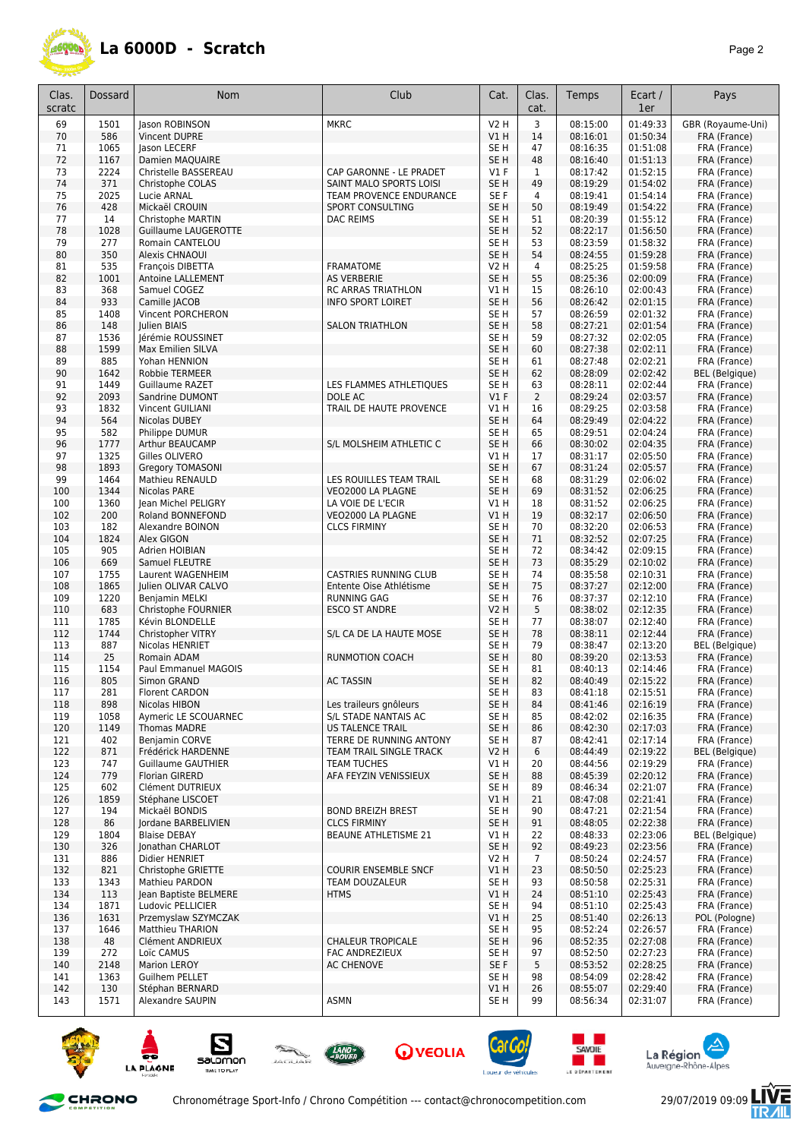

| Clas.<br>scratc | Dossard      | Nom                                  | Club                                               | Cat.                               | Clas.<br>cat.        | Temps                | Ecart /<br>1er       | Pays                                  |
|-----------------|--------------|--------------------------------------|----------------------------------------------------|------------------------------------|----------------------|----------------------|----------------------|---------------------------------------|
| 69              | 1501         | Jason ROBINSON                       | <b>MKRC</b>                                        | <b>V2 H</b>                        | 3                    | 08:15:00             | 01:49:33             | GBR (Royaume-Uni)                     |
| 70              | 586          | Vincent DUPRE                        |                                                    | VIH                                | 14                   | 08:16:01             | 01:50:34             | FRA (France)                          |
| 71              | 1065         | lason LECERF                         |                                                    | SE <sub>H</sub>                    | 47                   | 08:16:35             | 01:51:08             | FRA (France)                          |
| 72              | 1167         | Damien MAQUAIRE                      |                                                    | SE <sub>H</sub>                    | 48                   | 08:16:40             | 01:51:13             | FRA (France)                          |
| 73              | 2224         | Christelle BASSEREAU                 | CAP GARONNE - LE PRADET                            | $VI$ F                             | $\mathbf{1}$         | 08:17:42             | 01:52:15             | FRA (France)                          |
| 74<br>75        | 371<br>2025  | Christophe COLAS<br>Lucie ARNAL      | SAINT MALO SPORTS LOISI<br>TEAM PROVENCE ENDURANCE | SE <sub>H</sub><br>SE F            | 49<br>4              | 08:19:29<br>08:19:41 | 01:54:02<br>01:54:14 | FRA (France)<br>FRA (France)          |
| 76              | 428          | Mickaël CROUIN                       | SPORT CONSULTING                                   | SE H                               | 50                   | 08:19:49             | 01:54:22             | FRA (France)                          |
| 77              | 14           | Christophe MARTIN                    | <b>DAC REIMS</b>                                   | SE H                               | 51                   | 08:20:39             | 01:55:12             | FRA (France)                          |
| 78              | 1028         | Guillaume LAUGEROTTE                 |                                                    | SE <sub>H</sub>                    | 52                   | 08:22:17             | 01:56:50             | FRA (France)                          |
| 79              | 277          | Romain CANTELOU                      |                                                    | SE <sub>H</sub>                    | 53                   | 08:23:59             | 01:58:32             | FRA (France)                          |
| 80              | 350          | Alexis CHNAOUI                       |                                                    | SE H                               | 54                   | 08:24:55             | 01:59:28             | FRA (France)                          |
| 81              | 535          | <b>Francois DIBETTA</b>              | <b>FRAMATOME</b>                                   | V2 H                               | 4                    | 08:25:25             | 01:59:58             | FRA (France)                          |
| 82              | 1001         | Antoine LALLEMENT                    | <b>AS VERBERIE</b>                                 | SE <sub>H</sub>                    | 55                   | 08:25:36             | 02:00:09             | FRA (France)                          |
| 83              | 368          | Samuel COGEZ                         | RC ARRAS TRIATHLON                                 | V1H                                | 15<br>56             | 08:26:10             | 02:00:43             | FRA (France)                          |
| 84<br>85        | 933<br>1408  | Camille JACOB<br>Vincent PORCHERON   | <b>INFO SPORT LOIRET</b>                           | SE <sub>H</sub><br>SE H            | 57                   | 08:26:42<br>08:26:59 | 02:01:15<br>02:01:32 | FRA (France)<br>FRA (France)          |
| 86              | 148          | Julien BIAIS                         | <b>SALON TRIATHLON</b>                             | SE <sub>H</sub>                    | 58                   | 08:27:21             | 02:01:54             | FRA (France)                          |
| 87              | 1536         | Jérémie ROUSSINET                    |                                                    | SE H                               | 59                   | 08:27:32             | 02:02:05             | FRA (France)                          |
| 88              | 1599         | Max Emilien SILVA                    |                                                    | SE H                               | 60                   | 08:27:38             | 02:02:11             | FRA (France)                          |
| 89              | 885          | Yohan HENNION                        |                                                    | SE H                               | 61                   | 08:27:48             | 02:02:21             | FRA (France)                          |
| 90              | 1642         | <b>Robbie TERMEER</b>                |                                                    | SE <sub>H</sub>                    | 62                   | 08:28:09             | 02:02:42             | <b>BEL</b> (Belgique)                 |
| 91              | 1449         | <b>Guillaume RAZET</b>               | LES FLAMMES ATHLETIQUES                            | SE H                               | 63                   | 08:28:11             | 02:02:44             | FRA (France)                          |
| 92              | 2093         | Sandrine DUMONT                      | DOLE AC                                            | $VI$ F                             | $\overline{2}$       | 08:29:24             | 02:03:57             | FRA (France)                          |
| 93              | 1832         | Vincent GUILIANI                     | TRAIL DE HAUTE PROVENCE                            | V1 H                               | 16                   | 08:29:25             | 02:03:58             | FRA (France)                          |
| 94<br>95        | 564<br>582   | Nicolas DUBEY<br>Philippe DUMUR      |                                                    | SE <sub>H</sub><br>SE <sub>H</sub> | 64<br>65             | 08:29:49<br>08:29:51 | 02:04:22<br>02:04:24 | FRA (France)<br>FRA (France)          |
| 96              | 1777         | Arthur BEAUCAMP                      | S/L MOLSHEIM ATHLETIC C                            | SE <sub>H</sub>                    | 66                   | 08:30:02             | 02:04:35             | FRA (France)                          |
| 97              | 1325         | Gilles OLIVERO                       |                                                    | V1H                                | 17                   | 08:31:17             | 02:05:50             | FRA (France)                          |
| 98              | 1893         | <b>Gregory TOMASONI</b>              |                                                    | SE <sub>H</sub>                    | 67                   | 08:31:24             | 02:05:57             | FRA (France)                          |
| 99              | 1464         | <b>Mathieu RENAULD</b>               | LES ROUILLES TEAM TRAIL                            | SE H                               | 68                   | 08:31:29             | 02:06:02             | FRA (France)                          |
| 100             | 1344         | Nicolas PARE                         | VEO2000 LA PLAGNE                                  | SE H                               | 69                   | 08:31:52             | 02:06:25             | FRA (France)                          |
| 100             | 1360         | Jean Michel PELIGRY                  | LA VOIE DE L'ECIR                                  | V1H                                | 18                   | 08:31:52             | 02:06:25             | FRA (France)                          |
| 102             | 200          | Roland BONNEFOND                     | VEO2000 LA PLAGNE                                  | VIH                                | 19                   | 08:32:17             | 02:06:50             | FRA (France)                          |
| 103             | 182          | Alexandre BOINON                     | <b>CLCS FIRMINY</b>                                | SE <sub>H</sub>                    | 70                   | 08:32:20             | 02:06:53             | FRA (France)                          |
| 104<br>105      | 1824<br>905  | Alex GIGON<br>Adrien HOIBIAN         |                                                    | SE <sub>H</sub><br>SE <sub>H</sub> | 71<br>72             | 08:32:52<br>08:34:42 | 02:07:25<br>02:09:15 | FRA (France)<br>FRA (France)          |
| 106             | 669          | Samuel FLEUTRE                       |                                                    | SE <sub>H</sub>                    | 73                   | 08:35:29             | 02:10:02             | FRA (France)                          |
| 107             | 1755         | Laurent WAGENHEIM                    | CASTRIES RUNNING CLUB                              | SE <sub>H</sub>                    | 74                   | 08:35:58             | 02:10:31             | FRA (France)                          |
| 108             | 1865         | Julien OLIVAR CALVO                  | Entente Oise Athlétisme                            | SE <sub>H</sub>                    | 75                   | 08:37:27             | 02:12:00             | FRA (France)                          |
| 109             | 1220         | Benjamin MELKI                       | <b>RUNNING GAG</b>                                 | SE H                               | 76                   | 08:37:37             | 02:12:10             | FRA (France)                          |
| 110             | 683          | Christophe FOURNIER                  | <b>ESCO ST ANDRE</b>                               | V2 H                               | 5                    | 08:38:02             | 02:12:35             | FRA (France)                          |
| 111             | 1785         | Kévin BLONDELLE                      |                                                    | SE H                               | 77                   | 08:38:07             | 02:12:40             | FRA (France)                          |
| 112             | 1744         | Christopher VITRY                    | S/L CA DE LA HAUTE MOSE                            | SE H                               | 78                   | 08:38:11             | 02:12:44             | FRA (France)                          |
| 113<br>114      | 887<br>25    | Nicolas HENRIET<br>Romain ADAM       | RUNMOTION COACH                                    | SE H<br>SE <sub>H</sub>            | 79<br>80             | 08:38:47<br>08:39:20 | 02:13:20<br>02:13:53 | <b>BEL</b> (Belgique)<br>FRA (France) |
| 115             | 1154         | Paul Emmanuel MAGOIS                 |                                                    | SE H                               | 81                   | 08:40:13             | 02:14:46             | FRA (France)                          |
| 116             | 805          | Simon GRAND                          | <b>AC TASSIN</b>                                   | SE <sub>H</sub>                    | 82                   | 08:40:49             | 02:15:22             | FRA (France)                          |
| 117             | 281          | <b>Florent CARDON</b>                |                                                    | SE H                               | 83                   | 08:41:18             | 02:15:51             | FRA (France)                          |
| 118             | 898          | Nicolas HIBON                        | Les traileurs gnôleurs                             | SE H                               | 84                   | 08:41:46             | 02:16:19             | FRA (France)                          |
| 119             | 1058         | Aymeric LE SCOUARNEC                 | S/L STADE NANTAIS AC                               | SE <sub>H</sub>                    | 85                   | 08:42:02             | 02:16:35             | FRA (France)                          |
| 120             | 1149         | <b>Thomas MADRE</b>                  | <b>US TALENCE TRAIL</b>                            | SE <sub>H</sub>                    | 86                   | 08:42:30             | 02:17:03             | FRA (France)                          |
| 121             | 402<br>871   | Benjamin CORVE<br>Frédérick HARDENNE | TERRE DE RUNNING ANTONY<br>TEAM TRAIL SINGLE TRACK | SE H                               | 87<br>6              | 08:42:41<br>08:44:49 | 02:17:14<br>02:19:22 | FRA (France)                          |
| 122<br>123      | 747          | <b>Guillaume GAUTHIER</b>            | <b>TEAM TUCHES</b>                                 | V2H<br>V1H                         | 20                   | 08:44:56             | 02:19:29             | <b>BEL</b> (Belgique)<br>FRA (France) |
| 124             | 779          | <b>Florian GIRERD</b>                | AFA FEYZIN VENISSIEUX                              | SE H                               | 88                   | 08:45:39             | 02:20:12             | FRA (France)                          |
| 125             | 602          | Clément DUTRIEUX                     |                                                    | SE H                               | 89                   | 08:46:34             | 02:21:07             | FRA (France)                          |
| 126             | 1859         | Stéphane LISCOET                     |                                                    | V1H                                | 21                   | 08:47:08             | 02:21:41             | FRA (France)                          |
| 127             | 194          | Mickaël BONDIS                       | <b>BOND BREIZH BREST</b>                           | SE <sub>H</sub>                    | 90                   | 08:47:21             | 02:21:54             | FRA (France)                          |
| 128             | 86           | Jordane BARBELIVIEN                  | <b>CLCS FIRMINY</b>                                | SE <sub>H</sub>                    | 91                   | 08:48:05             | 02:22:38             | FRA (France)                          |
| 129             | 1804         | <b>Blaise DEBAY</b>                  | <b>BEAUNE ATHLETISME 21</b>                        | V1 H                               | 22                   | 08:48:33             | 02:23:06             | <b>BEL</b> (Belgique)                 |
| 130             | 326          | Jonathan CHARLOT<br>Didier HENRIET   |                                                    | SE <sub>H</sub>                    | 92                   | 08:49:23             | 02:23:56<br>02:24:57 | FRA (France)<br>FRA (France)          |
| 131<br>132      | 886<br>821   | Christophe GRIETTE                   | <b>COURIR ENSEMBLE SNCF</b>                        | V2 H<br>V1H                        | $\overline{7}$<br>23 | 08:50:24<br>08:50:50 | 02:25:23             | FRA (France)                          |
| 133             | 1343         | Mathieu PARDON                       | TEAM DOUZALEUR                                     | SE <sub>H</sub>                    | 93                   | 08:50:58             | 02:25:31             | FRA (France)                          |
| 134             | 113          | Jean Baptiste BELMERE                | <b>HTMS</b>                                        | VIH                                | 24                   | 08:51:10             | 02:25:43             | FRA (France)                          |
| 134             | 1871         | Ludovic PELLICIER                    |                                                    | SE H                               | 94                   | 08:51:10             | 02:25:43             | FRA (France)                          |
| 136             | 1631         | Przemyslaw SZYMCZAK                  |                                                    | VIH                                | 25                   | 08:51:40             | 02:26:13             | POL (Pologne)                         |
| 137             | 1646         | <b>Matthieu THARION</b>              |                                                    | SE H                               | 95                   | 08:52:24             | 02:26:57             | FRA (France)                          |
| 138             | 48           | Clément ANDRIEUX                     | <b>CHALEUR TROPICALE</b>                           | SE H                               | 96                   | 08:52:35             | 02:27:08             | FRA (France)                          |
| 139             | 272          | Loïc CAMUS                           | FAC ANDREZIEUX                                     | SE H                               | 97                   | 08:52:50             | 02:27:23             | FRA (France)                          |
| 140<br>141      | 2148<br>1363 | Marion LEROY<br>Guilhem PELLET       | <b>AC CHENOVE</b>                                  | SE F<br>SE H                       | 5<br>98              | 08:53:52<br>08:54:09 | 02:28:25<br>02:28:42 | FRA (France)<br>FRA (France)          |
| 142             | 130          | Stéphan BERNARD                      |                                                    | VIH                                | 26                   | 08:55:07             | 02:29:40             | FRA (France)                          |
| 143             | 1571         | Alexandre SAUPIN                     | ASMN                                               | SE H                               | 99                   | 08:56:34             | 02:31:07             | FRA (France)                          |
|                 |              |                                      |                                                    |                                    |                      |                      |                      |                                       |











and the second





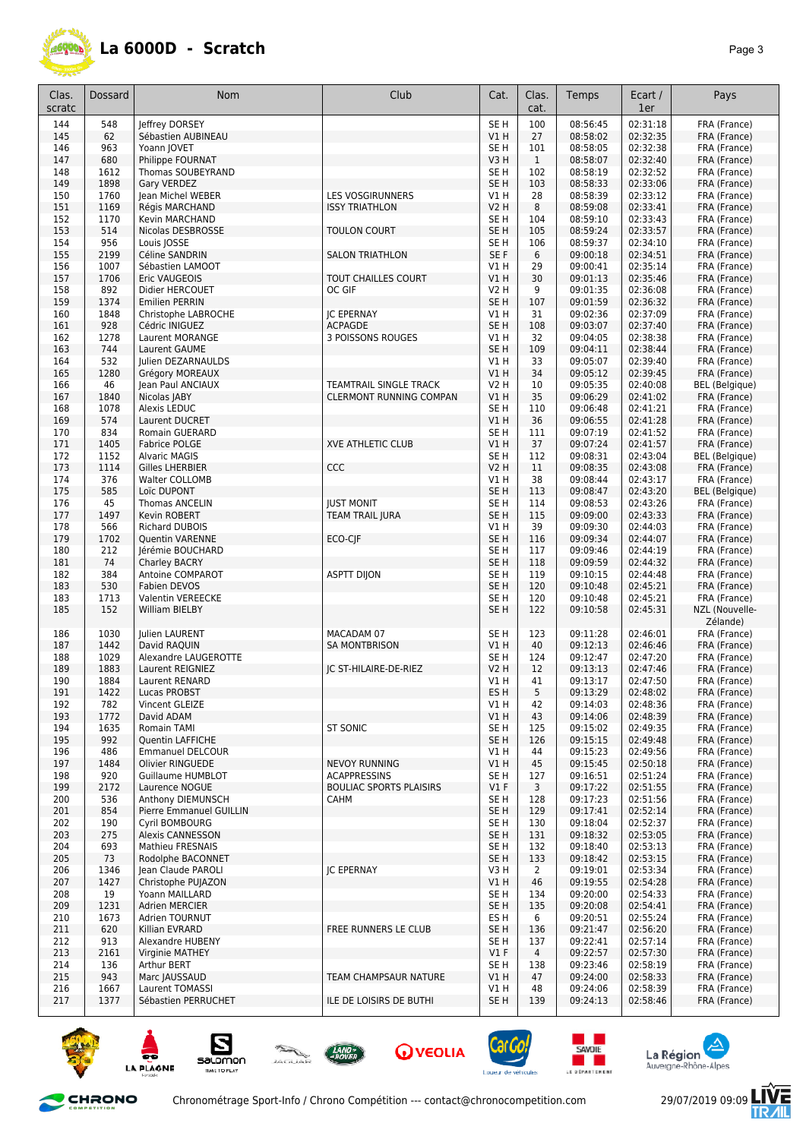

| Clas.      | Dossard      | Nom                                       | Club                                | Cat.                    | Clas.          | Temps                | Ecart /              | Pays                           |
|------------|--------------|-------------------------------------------|-------------------------------------|-------------------------|----------------|----------------------|----------------------|--------------------------------|
| scratc     |              |                                           |                                     |                         | cat.           |                      | 1er                  |                                |
| 144        | 548          | leffrev DORSEY                            |                                     | SE <sub>H</sub>         | 100            | 08:56:45             | 02:31:18             | FRA (France)                   |
| 145        | 62           | Sébastien AUBINEAU                        |                                     | VIH                     | 27             | 08:58:02             | 02:32:35             | FRA (France)                   |
| 146        | 963          | Yoann JOVET                               |                                     | SE <sub>H</sub>         | 101            | 08:58:05             | 02:32:38             | FRA (France)                   |
| 147        | 680          | Philippe FOURNAT                          |                                     | V3H                     | $\mathbf{1}$   | 08:58:07             | 02:32:40             | FRA (France)                   |
| 148<br>149 | 1612         | Thomas SOUBEYRAND                         |                                     | SE H<br>SE <sub>H</sub> | 102            | 08:58:19<br>08:58:33 | 02:32:52<br>02:33:06 | FRA (France)                   |
| 150        | 1898<br>1760 | Gary VERDEZ<br>Jean Michel WEBER          | <b>LES VOSGIRUNNERS</b>             | V1 H                    | 103<br>28      | 08:58:39             | 02:33:12             | FRA (France)<br>FRA (France)   |
| 151        | 1169         | Régis MARCHAND                            | <b>ISSY TRIATHLON</b>               | V2 H                    | 8              | 08:59:08             | 02:33:41             | FRA (France)                   |
| 152        | 1170         | Kevin MARCHAND                            |                                     | SE H                    | 104            | 08:59:10             | 02:33:43             | FRA (France)                   |
| 153        | 514          | Nicolas DESBROSSE                         | TOULON COURT                        | SE <sub>H</sub>         | 105            | 08:59:24             | 02:33:57             | FRA (France)                   |
| 154        | 956          | Louis JOSSE                               |                                     | SE <sub>H</sub>         | 106            | 08:59:37             | 02:34:10             | FRA (France)                   |
| 155        | 2199         | Céline SANDRIN                            | <b>SALON TRIATHLON</b>              | SE F                    | 6              | 09:00:18             | 02:34:51             | FRA (France)                   |
| 156        | 1007         | Sébastien LAMOOT                          |                                     | V1 H                    | 29             | 09:00:41             | 02:35:14             | FRA (France)                   |
| 157        | 1706         | Eric VAUGEOIS                             | TOUT CHAILLES COURT                 | V1H                     | 30             | 09:01:13             | 02:35:46             | FRA (France)                   |
| 158        | 892          | Didier HERCOUET                           | OC GIF                              | V2 H                    | 9              | 09:01:35             | 02:36:08             | FRA (France)                   |
| 159        | 1374         | <b>Emilien PERRIN</b>                     |                                     | SE <sub>H</sub>         | 107            | 09:01:59             | 02:36:32             | FRA (France)                   |
| 160        | 1848         | Christophe LABROCHE                       | <b>JC EPERNAY</b>                   | V1 H                    | 31             | 09:02:36             | 02:37:09             | FRA (France)                   |
| 161<br>162 | 928<br>1278  | Cédric INIGUEZ<br>Laurent MORANGE         | <b>ACPAGDE</b><br>3 POISSONS ROUGES | SE <sub>H</sub><br>V1 H | 108<br>32      | 09:03:07<br>09:04:05 | 02:37:40<br>02:38:38 | FRA (France)<br>FRA (France)   |
| 163        | 744          | Laurent GAUME                             |                                     | SE <sub>H</sub>         | 109            | 09:04:11             | 02:38:44             | FRA (France)                   |
| 164        | 532          | Julien DEZARNAULDS                        |                                     | V1H                     | 33             | 09:05:07             | 02:39:40             | FRA (France)                   |
| 165        | 1280         | Grégory MOREAUX                           |                                     | V1H                     | 34             | 09:05:12             | 02:39:45             | FRA (France)                   |
| 166        | 46           | Jean Paul ANCIAUX                         | TEAMTRAIL SINGLE TRACK              | <b>V2 H</b>             | 10             | 09:05:35             | 02:40:08             | <b>BEL</b> (Belgique)          |
| 167        | 1840         | Nicolas JABY                              | CLERMONT RUNNING COMPAN             | V1 H                    | 35             | 09:06:29             | 02:41:02             | FRA (France)                   |
| 168        | 1078         | Alexis LEDUC                              |                                     | SE H                    | 110            | 09:06:48             | 02:41:21             | FRA (France)                   |
| 169        | 574          | Laurent DUCRET                            |                                     | VIH                     | 36             | 09:06:55             | 02:41:28             | FRA (France)                   |
| 170        | 834          | <b>Romain GUERARD</b>                     |                                     | SE <sub>H</sub>         | 111            | 09:07:19             | 02:41:52             | FRA (France)                   |
| 171        | 1405         | <b>Fabrice POLGE</b>                      | <b>XVE ATHLETIC CLUB</b>            | V1 H                    | 37             | 09:07:24             | 02:41:57             | FRA (France)                   |
| 172        | 1152         | <b>Alvaric MAGIS</b>                      |                                     | SE H                    | 112            | 09:08:31             | 02:43:04             | <b>BEL</b> (Belgique)          |
| 173        | 1114         | <b>Gilles LHERBIER</b>                    | CCC                                 | V2 H                    | 11             | 09:08:35             | 02:43:08<br>02:43:17 | FRA (France)                   |
| 174<br>175 | 376<br>585   | Walter COLLOMB<br>Loïc DUPONT             |                                     | V1 H<br>SE H            | 38<br>113      | 09:08:44<br>09:08:47 | 02:43:20             | FRA (France)<br>BEL (Belgique) |
| 176        | 45           | Thomas ANCELIN                            | <b>JUST MONIT</b>                   | SE H                    | 114            | 09:08:53             | 02:43:26             | FRA (France)                   |
| 177        | 1497         | Kevin ROBERT                              | <b>TEAM TRAIL JURA</b>              | SE H                    | 115            | 09:09:00             | 02:43:33             | FRA (France)                   |
| 178        | 566          | <b>Richard DUBOIS</b>                     |                                     | V1 H                    | 39             | 09:09:30             | 02:44:03             | FRA (France)                   |
| 179        | 1702         | <b>Quentin VARENNE</b>                    | ECO-CJF                             | SE <sub>H</sub>         | 116            | 09:09:34             | 02:44:07             | FRA (France)                   |
| 180        | 212          | Jérémie BOUCHARD                          |                                     | SE H                    | 117            | 09:09:46             | 02:44:19             | FRA (France)                   |
| 181        | 74           | Charley BACRY                             |                                     | SE H                    | 118            | 09:09:59             | 02:44:32             | FRA (France)                   |
| 182        | 384          | Antoine COMPAROT                          | <b>ASPTT DIJON</b>                  | SE <sub>H</sub>         | 119            | 09:10:15             | 02:44:48             | FRA (France)                   |
| 183        | 530          | Fabien DEVOS                              |                                     | SE <sub>H</sub>         | 120            | 09:10:48             | 02:45:21             | FRA (France)                   |
| 183        | 1713         | Valentin VEREECKE                         |                                     | SE H                    | 120            | 09:10:48             | 02:45:21             | FRA (France)                   |
| 185        | 152          | William BIELBY                            |                                     | SE <sub>H</sub>         | 122            | 09:10:58             | 02:45:31             | NZL (Nouvelle-<br>Zélande)     |
| 186        | 1030         | Julien LAURENT                            | MACADAM 07                          | SE <sub>H</sub>         | 123            | 09:11:28             | 02:46:01             | FRA (France)                   |
| 187        | 1442         | David RAQUIN                              | <b>SA MONTBRISON</b>                | V1 H                    | 40             | 09:12:13             | 02:46:46             | FRA (France)                   |
| 188        | 1029         | Alexandre LAUGEROTTE                      |                                     | SE H                    | 124            | 09:12:47             | 02:47:20             | FRA (France)                   |
| 189<br>190 | 1883<br>1884 | Laurent REIGNIEZ<br>Laurent RENARD        | JC ST-HILAIRE-DE-RIEZ               | V2 H<br>V1 H            | 12<br>41       | 09:13:13<br>09:13:17 | 02:47:46<br>02:47:50 | FRA (France)                   |
| 191        | 1422         | Lucas PROBST                              |                                     | ES H                    | 5              | 09:13:29             | 02:48:02             | FRA (France)<br>FRA (France)   |
| 192        | 782          | Vincent GLEIZE                            |                                     | V1 H                    | 42             | 09:14:03             | 02:48:36             | FRA (France)                   |
| 193        | 1772         | David ADAM                                |                                     | V1H                     | 43             | 09:14:06             | 02:48:39             | FRA (France)                   |
| 194        | 1635         | Romain TAMI                               | <b>ST SONIC</b>                     | SE H                    | 125            | 09:15:02             | 02:49:35             | FRA (France)                   |
| 195        | 992          | Quentin LAFFICHE                          |                                     | SE <sub>H</sub>         | 126            | 09:15:15             | 02:49:48             | FRA (France)                   |
| 196        | 486          | <b>Emmanuel DELCOUR</b>                   |                                     | V1 H                    | 44             | 09:15:23             | 02:49:56             | FRA (France)                   |
| 197        | 1484         | Olivier RINGUEDE                          | <b>NEVOY RUNNING</b>                | V1 H                    | 45             | 09:15:45             | 02:50:18             | FRA (France)                   |
| 198        | 920          | Guillaume HUMBLOT                         | <b>ACAPPRESSINS</b>                 | SE H                    | 127            | 09:16:51             | 02:51:24             | FRA (France)                   |
| 199        | 2172         | Laurence NOGUE                            | <b>BOULIAC SPORTS PLAISIRS</b>      | V1 F                    | 3              | 09:17:22             | 02:51:55             | FRA (France)                   |
| 200        | 536          | Anthony DIEMUNSCH                         | САНМ                                | SE H                    | 128            | 09:17:23             | 02:51:56             | FRA (France)                   |
| 201<br>202 | 854          | Pierre Emmanuel GUILLIN<br>Cyril BOMBOURG |                                     | SE <sub>H</sub><br>SE H | 129<br>130     | 09:17:41<br>09:18:04 | 02:52:14<br>02:52:37 | FRA (France)<br>FRA (France)   |
| 203        | 190<br>275   | Alexis CANNESSON                          |                                     | SE <sub>H</sub>         | 131            | 09:18:32             | 02:53:05             | FRA (France)                   |
| 204        | 693          | Mathieu FRESNAIS                          |                                     | SE <sub>H</sub>         | 132            | 09:18:40             | 02:53:13             | FRA (France)                   |
| 205        | 73           | Rodolphe BACONNET                         |                                     | SE <sub>H</sub>         | 133            | 09:18:42             | 02:53:15             | FRA (France)                   |
| 206        | 1346         | Jean Claude PAROLI                        | <b>JC EPERNAY</b>                   | V3H                     | $\overline{2}$ | 09:19:01             | 02:53:34             | FRA (France)                   |
| 207        | 1427         | Christophe PUJAZON                        |                                     | V1 H                    | 46             | 09:19:55             | 02:54:28             | FRA (France)                   |
| 208        | 19           | Yoann MAILLARD                            |                                     | SE <sub>H</sub>         | 134            | 09:20:00             | 02:54:33             | FRA (France)                   |
| 209        | 1231         | Adrien MERCIER                            |                                     | SE H                    | 135            | 09:20:08             | 02:54:41             | FRA (France)                   |
| 210        | 1673         | Adrien TOURNUT                            |                                     | ES H                    | 6              | 09:20:51             | 02:55:24             | FRA (France)                   |
| 211        | 620          | Killian EVRARD                            | FREE RUNNERS LE CLUB                | SE H                    | 136            | 09:21:47             | 02:56:20             | FRA (France)                   |
| 212        | 913          | Alexandre HUBENY                          |                                     | SE H                    | 137            | 09:22:41             | 02:57:14             | FRA (France)                   |
| 213        | 2161         | Virginie MATHEY                           |                                     | $VI$ F                  | $\overline{4}$ | 09:22:57             | 02:57:30             | FRA (France)                   |
| 214<br>215 | 136<br>943   | <b>Arthur BERT</b><br>Marc JAUSSAUD       | TEAM CHAMPSAUR NATURE               | SE <sub>H</sub><br>V1 H | 138<br>47      | 09:23:46<br>09:24:00 | 02:58:19<br>02:58:33 | FRA (France)<br>FRA (France)   |
| 216        | 1667         | Laurent TOMASSI                           |                                     | V1 H                    | 48             | 09:24:06             | 02:58:39             | FRA (France)                   |
| 217        | 1377         | Sébastien PERRUCHET                       | ILE DE LOISIRS DE BUTHI             | SE <sub>H</sub>         | 139            | 09:24:13             | 02:58:46             | FRA (France)                   |
|            |              |                                           |                                     |                         |                |                      |                      |                                |















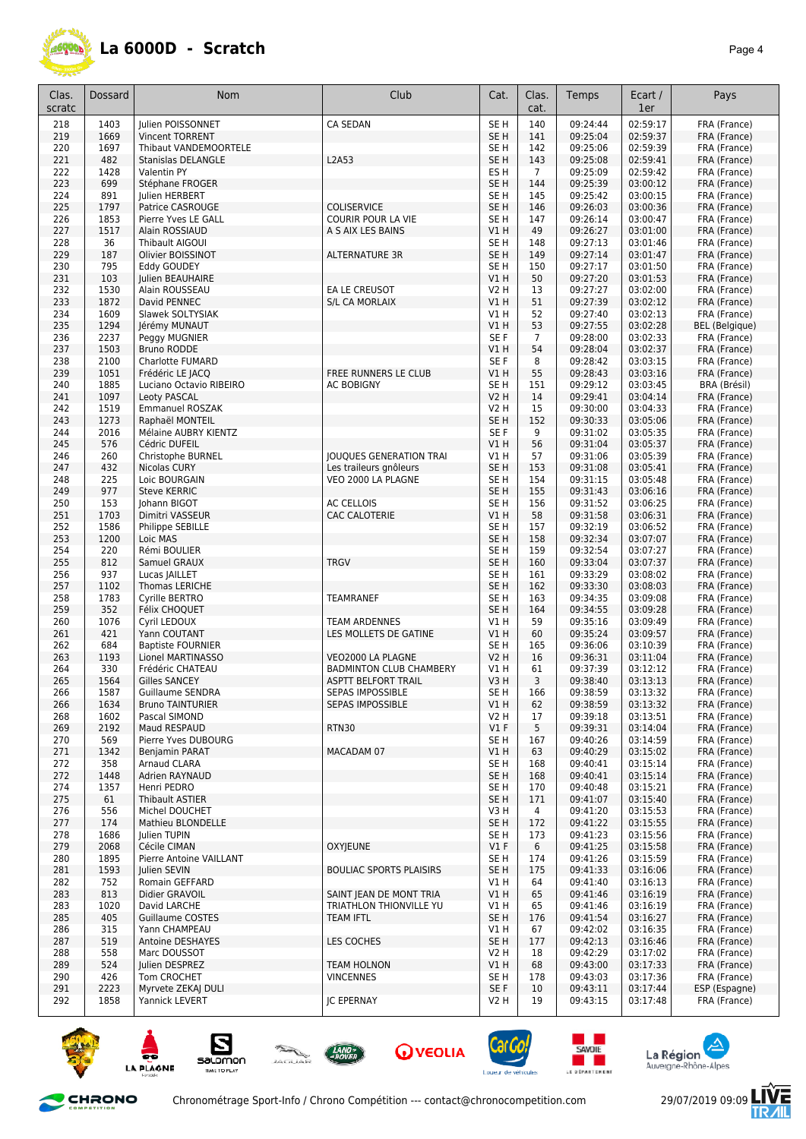

| Clas.      | Dossard      | Nom                                         | Club                                               | Cat.                               | Clas.                 | Temps                | Ecart /              | Pays                         |
|------------|--------------|---------------------------------------------|----------------------------------------------------|------------------------------------|-----------------------|----------------------|----------------------|------------------------------|
| scratc     |              |                                             |                                                    |                                    | cat.                  |                      | 1er                  |                              |
| 218        | 1403         | <b>Iulien POISSONNET</b>                    | CA SEDAN                                           | SE <sub>H</sub>                    | 140                   | 09:24:44             | 02:59:17             | FRA (France)                 |
| 219        | 1669         | <b>Vincent TORRENT</b>                      |                                                    | SE <sub>H</sub>                    | 141                   | 09:25:04             | 02:59:37             | FRA (France)                 |
| 220        | 1697         | Thibaut VANDEMOORTELE                       |                                                    | SE <sub>H</sub>                    | 142                   | 09:25:06             | 02:59:39             | FRA (France)                 |
| 221        | 482          | Stanislas DELANGLE                          | L2A53                                              | SE <sub>H</sub><br>ES <sub>H</sub> | 143                   | 09:25:08             | 02:59:41             | FRA (France)                 |
| 222<br>223 | 1428<br>699  | Valentin PY<br>Stéphane FROGER              |                                                    | SE <sub>H</sub>                    | $\overline{7}$<br>144 | 09:25:09<br>09:25:39 | 02:59:42<br>03:00:12 | FRA (France)<br>FRA (France) |
| 224        | 891          | Julien HERBERT                              |                                                    | SE <sub>H</sub>                    | 145                   | 09:25:42             | 03:00:15             | FRA (France)                 |
| 225        | 1797         | Patrice CASROUGE                            | <b>COLISERVICE</b>                                 | SE H                               | 146                   | 09:26:03             | 03:00:36             | FRA (France)                 |
| 226        | 1853         | Pierre Yves LE GALL                         | <b>COURIR POUR LA VIE</b>                          | SE <sub>H</sub>                    | 147                   | 09:26:14             | 03:00:47             | FRA (France)                 |
| 227        | 1517         | Alain ROSSIAUD                              | A S AIX LES BAINS                                  | V1H                                | 49                    | 09:26:27             | 03:01:00             | FRA (France)                 |
| 228        | 36           | Thibault AIGOUI                             |                                                    | SE H                               | 148                   | 09:27:13             | 03:01:46             | FRA (France)                 |
| 229        | 187          | Olivier BOISSINOT                           | ALTERNATURE 3R                                     | SE <sub>H</sub>                    | 149                   | 09:27:14             | 03:01:47             | FRA (France)                 |
| 230        | 795          | Eddy GOUDEY                                 |                                                    | SE H                               | 150                   | 09:27:17             | 03:01:50             | FRA (France)                 |
| 231<br>232 | 103<br>1530  | Julien BEAUHAIRE<br>Alain ROUSSEAU          | EA LE CREUSOT                                      | V1H<br>V2 H                        | 50<br>13              | 09:27:20<br>09:27:27 | 03:01:53<br>03:02:00 | FRA (France)<br>FRA (France) |
| 233        | 1872         | David PENNEC                                | <b>S/L CA MORLAIX</b>                              | V1 H                               | 51                    | 09:27:39             | 03:02:12             | FRA (France)                 |
| 234        | 1609         | Slawek SOLTYSIAK                            |                                                    | V1H                                | 52                    | 09:27:40             | 03:02:13             | FRA (France)                 |
| 235        | 1294         | Jérémy MUNAUT                               |                                                    | V1 H                               | 53                    | 09:27:55             | 03:02:28             | <b>BEL</b> (Belgique)        |
| 236        | 2237         | Peggy MUGNIER                               |                                                    | SE F                               | $\overline{7}$        | 09:28:00             | 03:02:33             | FRA (France)                 |
| 237        | 1503         | <b>Bruno RODDE</b>                          |                                                    | V1 H                               | 54                    | 09:28:04             | 03:02:37             | FRA (France)                 |
| 238        | 2100         | <b>Charlotte FUMARD</b>                     |                                                    | SE F                               | 8                     | 09:28:42             | 03:03:15             | FRA (France)                 |
| 239        | 1051         | Frédéric LE JACQ                            | FREE RUNNERS LE CLUB                               | V1H                                | 55                    | 09:28:43             | 03:03:16             | FRA (France)                 |
| 240<br>241 | 1885<br>1097 | Luciano Octavio RIBEIRO<br>Leoty PASCAL     | <b>AC BOBIGNY</b>                                  | SE H<br><b>V2 H</b>                | 151<br>14             | 09:29:12<br>09:29:41 | 03:03:45<br>03:04:14 | BRA (Brésil)<br>FRA (France) |
| 242        | 1519         | <b>Emmanuel ROSZAK</b>                      |                                                    | V2 H                               | 15                    | 09:30:00             | 03:04:33             | FRA (France)                 |
| 243        | 1273         | Raphaël MONTEIL                             |                                                    | SE H                               | 152                   | 09:30:33             | 03:05:06             | FRA (France)                 |
| 244        | 2016         | Mélaine AUBRY KIENTZ                        |                                                    | SE F                               | 9                     | 09:31:02             | 03:05:35             | FRA (France)                 |
| 245        | 576          | Cédric DUFEIL                               |                                                    | V1H                                | 56                    | 09:31:04             | 03:05:37             | FRA (France)                 |
| 246        | 260          | Christophe BURNEL                           | JOUQUES GENERATION TRAI                            | VIH                                | 57                    | 09:31:06             | 03:05:39             | FRA (France)                 |
| 247        | 432          | Nicolas CURY                                | Les traileurs gnôleurs                             | SE <sub>H</sub>                    | 153                   | 09:31:08             | 03:05:41             | FRA (France)                 |
| 248        | 225          | Loic BOURGAIN                               | VEO 2000 LA PLAGNE                                 | SE <sub>H</sub>                    | 154                   | 09:31:15             | 03:05:48             | FRA (France)                 |
| 249<br>250 | 977<br>153   | <b>Steve KERRIC</b><br>Johann BIGOT         | <b>AC CELLOIS</b>                                  | SE H<br>SE <sub>H</sub>            | 155<br>156            | 09:31:43             | 03:06:16<br>03:06:25 | FRA (France)                 |
| 251        | 1703         | Dimitri VASSEUR                             | CAC CALOTERIE                                      | V1 H                               | 58                    | 09:31:52<br>09:31:58 | 03:06:31             | FRA (France)<br>FRA (France) |
| 252        | 1586         | Philippe SEBILLE                            |                                                    | SE H                               | 157                   | 09:32:19             | 03:06:52             | FRA (France)                 |
| 253        | 1200         | Loic MAS                                    |                                                    | SE <sub>H</sub>                    | 158                   | 09:32:34             | 03:07:07             | FRA (France)                 |
| 254        | 220          | Rémi BOULIER                                |                                                    | SE H                               | 159                   | 09:32:54             | 03:07:27             | FRA (France)                 |
| 255        | 812          | Samuel GRAUX                                | <b>TRGV</b>                                        | SE <sub>H</sub>                    | 160                   | 09:33:04             | 03:07:37             | FRA (France)                 |
| 256        | 937          | Lucas JAILLET                               |                                                    | SE <sub>H</sub>                    | 161                   | 09:33:29             | 03:08:02             | FRA (France)                 |
| 257        | 1102         | <b>Thomas LERICHE</b>                       |                                                    | SE <sub>H</sub>                    | 162                   | 09:33:30             | 03:08:03             | FRA (France)                 |
| 258<br>259 | 1783<br>352  | Cyrille BERTRO<br>Félix CHOQUET             | <b>TEAMRANEF</b>                                   | SE <sub>H</sub><br>SE <sub>H</sub> | 163<br>164            | 09:34:35<br>09:34:55 | 03:09:08<br>03:09:28 | FRA (France)<br>FRA (France) |
| 260        | 1076         | Cyril LEDOUX                                | <b>TEAM ARDENNES</b>                               | V1 H                               | 59                    | 09:35:16             | 03:09:49             | FRA (France)                 |
| 261        | 421          | Yann COUTANT                                | LES MOLLETS DE GATINE                              | V1H                                | 60                    | 09:35:24             | 03:09:57             | FRA (France)                 |
| 262        | 684          | <b>Baptiste FOURNIER</b>                    |                                                    | SE H                               | 165                   | 09:36:06             | 03:10:39             | FRA (France)                 |
| 263        | 1193         | Lionel MARTINASSO                           | VEO2000 LA PLAGNE                                  | <b>V2 H</b>                        | 16                    | 09:36:31             | 03:11:04             | FRA (France)                 |
| 264        | 330          | Frédéric CHATEAU                            | <b>BADMINTON CLUB CHAMBERY</b>                     | V1 H                               | 61                    | 09:37:39             | 03:12:12             | FRA (France)                 |
| 265        | 1564         | <b>Gilles SANCEY</b>                        | <b>ASPTT BELFORT TRAIL</b>                         | V3H                                | 3                     | 09:38:40             | 03:13:13             | FRA (France)                 |
| 266        | 1587         | Guillaume SENDRA<br><b>Bruno TAINTURIER</b> | SEPAS IMPOSSIBLE                                   | SE H                               | 166                   | 09:38:59<br>09:38:59 | 03:13:32<br>03:13:32 | FRA (France)<br>FRA (France) |
| 266<br>268 | 1634<br>1602 | Pascal SIMOND                               | SEPAS IMPOSSIBLE                                   | V1 H<br>V2 H                       | 62<br>17              | 09:39:18             | 03:13:51             | FRA (France)                 |
| 269        | 2192         | Maud RESPAUD                                | RTN30                                              | $VI$ F                             | 5                     | 09:39:31             | 03:14:04             | FRA (France)                 |
| 270        | 569          | Pierre Yves DUBOURG                         |                                                    | SE H                               | 167                   | 09:40:26             | 03:14:59             | FRA (France)                 |
| 271        | 1342         | <b>Benjamin PARAT</b>                       | MACADAM 07                                         | V1H                                | 63                    | 09:40:29             | 03:15:02             | FRA (France)                 |
| 272        | 358          | Arnaud CLARA                                |                                                    | SE H                               | 168                   | 09:40:41             | 03:15:14             | FRA (France)                 |
| 272        | 1448         | Adrien RAYNAUD                              |                                                    | SE H                               | 168                   | 09:40:41             | 03:15:14             | FRA (France)                 |
| 274        | 1357         | Henri PEDRO                                 |                                                    | SE H                               | 170                   | 09:40:48             | 03:15:21<br>03:15:40 | FRA (France)                 |
| 275<br>276 | 61<br>556    | Thibault ASTIER<br>Michel DOUCHET           |                                                    | SE H<br>V3H                        | 171<br>4              | 09:41:07<br>09:41:20 | 03:15:53             | FRA (France)<br>FRA (France) |
| 277        | 174          | Mathieu BLONDELLE                           |                                                    | SE <sub>H</sub>                    | 172                   | 09:41:22             | 03:15:55             | FRA (France)                 |
| 278        | 1686         | Julien TUPIN                                |                                                    | SE H                               | 173                   | 09:41:23             | 03:15:56             | FRA (France)                 |
| 279        | 2068         | Cécile CIMAN                                | <b>OXYJEUNE</b>                                    | $VI$ F                             | 6                     | 09:41:25             | 03:15:58             | FRA (France)                 |
| 280        | 1895         | Pierre Antoine VAILLANT                     |                                                    | SE H                               | 174                   | 09:41:26             | 03:15:59             | FRA (France)                 |
| 281        | 1593         | Julien SEVIN                                | <b>BOULIAC SPORTS PLAISIRS</b>                     | SE H                               | 175                   | 09:41:33             | 03:16:06             | FRA (France)                 |
| 282        | 752          | Romain GEFFARD                              |                                                    | V1 H                               | 64                    | 09:41:40             | 03:16:13             | FRA (France)                 |
| 283<br>283 | 813<br>1020  | Didier GRAVOIL<br>David LARCHE              | SAINT JEAN DE MONT TRIA<br>TRIATHLON THIONVILLE YU | V1H<br>V1 H                        | 65<br>65              | 09:41:46<br>09:41:46 | 03:16:19<br>03:16:19 | FRA (France)<br>FRA (France) |
| 285        | 405          | <b>Guillaume COSTES</b>                     | <b>TEAM IFTL</b>                                   | SE <sub>H</sub>                    | 176                   | 09:41:54             | 03:16:27             | FRA (France)                 |
| 286        | 315          | Yann CHAMPEAU                               |                                                    | V1 H                               | 67                    | 09:42:02             | 03:16:35             | FRA (France)                 |
| 287        | 519          | Antoine DESHAYES                            | LES COCHES                                         | SE <sub>H</sub>                    | 177                   | 09:42:13             | 03:16:46             | FRA (France)                 |
| 288        | 558          | Marc DOUSSOT                                |                                                    | V2 H                               | 18                    | 09:42:29             | 03:17:02             | FRA (France)                 |
| 289        | 524          | Julien DESPREZ                              | <b>TEAM HOLNON</b>                                 | VIH                                | 68                    | 09:43:00             | 03:17:33             | FRA (France)                 |
| 290        | 426          | Tom CROCHET                                 | <b>VINCENNES</b>                                   | SE H                               | 178                   | 09:43:03             | 03:17:36             | FRA (France)                 |
| 291        | 2223         | Myrvete ZEKAJ DULI                          |                                                    | SE F                               | 10                    | 09:43:11             | 03:17:44             | ESP (Espagne)                |
| 292        | 1858         | Yannick LEVERT                              | <b>JC EPERNAY</b>                                  | V2 H                               | 19                    | 09:43:15             | 03:17:48             | FRA (France)                 |

















Ŀ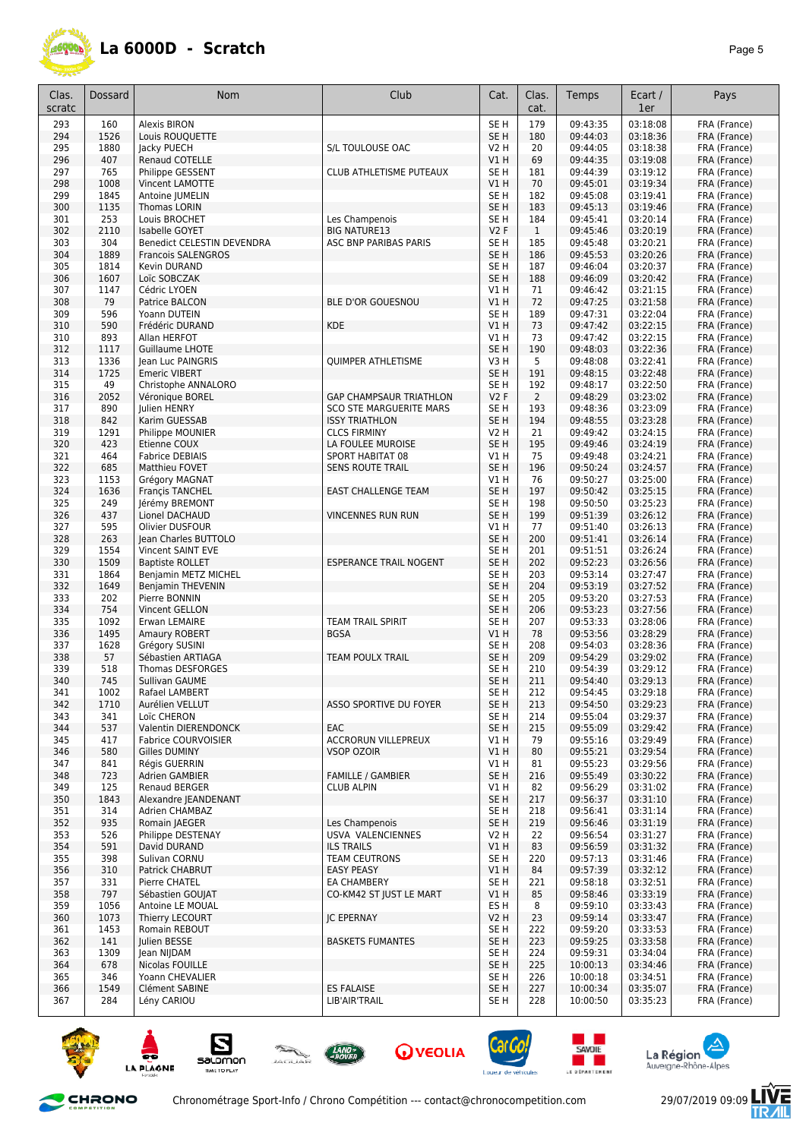

| Clas.<br>scratc | Dossard      | <b>Nom</b>                                       | Club                           | Cat.                    | Clas.<br>cat.  | Temps                | Ecart /<br>1er       | Pays                         |
|-----------------|--------------|--------------------------------------------------|--------------------------------|-------------------------|----------------|----------------------|----------------------|------------------------------|
| 293             | 160          | <b>Alexis BIRON</b>                              |                                | SE <sub>H</sub>         | 179            | 09:43:35             | 03:18:08             | FRA (France)                 |
| 294             | 1526         | Louis ROUQUETTE                                  |                                | SE <sub>H</sub>         | 180            | 09:44:03             | 03:18:36             | FRA (France)                 |
| 295             | 1880         | Jacky PUECH                                      | S/L TOULOUSE OAC               | V2 H                    | 20             | 09:44:05             | 03:18:38             | FRA (France)                 |
| 296             | 407          | Renaud COTELLE                                   |                                | VIH                     | 69             | 09:44:35             | 03:19:08             | FRA (France)                 |
| 297             | 765          | Philippe GESSENT                                 | CLUB ATHLETISME PUTEAUX        | SE H                    | 181            | 09:44:39             | 03:19:12             | FRA (France)                 |
| 298             | 1008         | Vincent LAMOTTE                                  |                                | V1 H                    | 70             | 09:45:01             | 03:19:34             | FRA (France)                 |
| 299             | 1845         | Antoine JUMELIN                                  |                                | SE H                    | 182            | 09:45:08             | 03:19:41             | FRA (France)                 |
| 300             | 1135         | Thomas LORIN                                     |                                | SE <sub>H</sub>         | 183            | 09:45:13             | 03:19:46             | FRA (France)                 |
| 301             | 253          | Louis BROCHET                                    | Les Champenois                 | SE H                    | 184            | 09:45:41             | 03:20:14             | FRA (France)                 |
| 302             | 2110         | Isabelle GOYET                                   | <b>BIG NATURE13</b>            | V2F                     | $\mathbf{1}$   | 09:45:46             | 03:20:19             | FRA (France)                 |
| 303             | 304          | <b>Benedict CELESTIN DEVENDRA</b>                | ASC BNP PARIBAS PARIS          | SE H                    | 185            | 09:45:48             | 03:20:21             | FRA (France)                 |
| 304             | 1889         | <b>Francois SALENGROS</b>                        |                                | SE <sub>H</sub>         | 186            | 09:45:53             | 03:20:26             | FRA (France)                 |
| 305             | 1814         | Kevin DURAND                                     |                                | SE <sub>H</sub>         | 187            | 09:46:04             | 03:20:37             | FRA (France)                 |
| 306<br>307      | 1607<br>1147 | Loïc SOBCZAK<br>Cédric LYOEN                     |                                | SE <sub>H</sub><br>V1 H | 188<br>71      | 09:46:09<br>09:46:42 | 03:20:42<br>03:21:15 | FRA (France)                 |
| 308             | 79           | Patrice BALCON                                   | BLE D'OR GOUESNOU              | V1 H                    | 72             | 09:47:25             | 03:21:58             | FRA (France)<br>FRA (France) |
| 309             | 596          | Yoann DUTEIN                                     |                                | SE H                    | 189            | 09:47:31             | 03:22:04             | FRA (France)                 |
| 310             | 590          | Frédéric DURAND                                  | <b>KDE</b>                     | V1 H                    | 73             | 09:47:42             | 03:22:15             | FRA (France)                 |
| 310             | 893          | Allan HERFOT                                     |                                | V1 H                    | 73             | 09:47:42             | 03:22:15             | FRA (France)                 |
| 312             | 1117         | Guillaume LHOTE                                  |                                | SE <sub>H</sub>         | 190            | 09:48:03             | 03:22:36             | FRA (France)                 |
| 313             | 1336         | Jean Luc PAINGRIS                                | QUIMPER ATHLETISME             | V3H                     | 5              | 09:48:08             | 03:22:41             | FRA (France)                 |
| 314             | 1725         | <b>Emeric VIBERT</b>                             |                                | SE <sub>H</sub>         | 191            | 09:48:15             | 03:22:48             | FRA (France)                 |
| 315             | 49           | Christophe ANNALORO                              |                                | SE H                    | 192            | 09:48:17             | 03:22:50             | FRA (France)                 |
| 316             | 2052         | Véronique BOREL                                  | <b>GAP CHAMPSAUR TRIATHLON</b> | V2F                     | $\overline{2}$ | 09:48:29             | 03:23:02             | FRA (France)                 |
| 317             | 890          | Julien HENRY                                     | <b>SCO STE MARGUERITE MARS</b> | SE <sub>H</sub>         | 193            | 09:48:36             | 03:23:09             | FRA (France)                 |
| 318             | 842          | Karim GUESSAB                                    | <b>ISSY TRIATHLON</b>          | SE <sub>H</sub>         | 194            | 09:48:55             | 03:23:28             | FRA (France)                 |
| 319             | 1291         | Philippe MOUNIER                                 | <b>CLCS FIRMINY</b>            | <b>V2 H</b>             | 21             | 09:49:42             | 03:24:15             | FRA (France)                 |
| 320             | 423          | Etienne COUX                                     | LA FOULEE MUROISE              | SE <sub>H</sub>         | 195            | 09:49:46             | 03:24:19             | FRA (France)                 |
| 321             | 464          | <b>Fabrice DEBIAIS</b>                           | SPORT HABITAT 08               | V1 H                    | 75             | 09:49:48             | 03:24:21             | FRA (France)                 |
| 322             | 685          | Matthieu FOVET                                   | <b>SENS ROUTE TRAIL</b>        | SE <sub>H</sub>         | 196            | 09:50:24             | 03:24:57             | FRA (France)                 |
| 323             | 1153         | Grégory MAGNAT                                   |                                | V1 H                    | 76             | 09:50:27             | 03:25:00             | FRA (France)                 |
| 324             | 1636         | Françis TANCHEL                                  | <b>EAST CHALLENGE TEAM</b>     | SE <sub>H</sub>         | 197            | 09:50:42             | 03:25:15             | FRA (France)                 |
| 325             | 249          | Jérémy BREMONT                                   |                                | SE <sub>H</sub>         | 198            | 09:50:50             | 03:25:23             | FRA (France)                 |
| 326             | 437          | Lionel DACHAUD                                   | <b>VINCENNES RUN RUN</b>       | SE <sub>H</sub>         | 199            | 09:51:39             | 03:26:12             | FRA (France)                 |
| 327             | 595          | Olivier DUSFOUR                                  |                                | V1 H                    | 77             | 09:51:40             | 03:26:13             | FRA (France)                 |
| 328             | 263          | Jean Charles BUTTOLO                             |                                | SE <sub>H</sub>         | 200            | 09:51:41             | 03:26:14             | FRA (France)                 |
| 329<br>330      | 1554<br>1509 | Vincent SAINT EVE                                |                                | SE H<br>SE <sub>H</sub> | 201<br>202     | 09:51:51<br>09:52:23 | 03:26:24<br>03:26:56 | FRA (France)                 |
|                 |              | <b>Baptiste ROLLET</b>                           | <b>ESPERANCE TRAIL NOGENT</b>  | SE <sub>H</sub>         |                |                      | 03:27:47             | FRA (France)                 |
| 331<br>332      | 1864<br>1649 | Benjamin METZ MICHEL<br><b>Benjamin THEVENIN</b> |                                | SE <sub>H</sub>         | 203<br>204     | 09:53:14<br>09:53:19 | 03:27:52             | FRA (France)<br>FRA (France) |
| 333             | 202          | Pierre BONNIN                                    |                                | SE H                    | 205            | 09:53:20             | 03:27:53             | FRA (France)                 |
| 334             | 754          | Vincent GELLON                                   |                                | SE <sub>H</sub>         | 206            | 09:53:23             | 03:27:56             | FRA (France)                 |
| 335             | 1092         | Erwan LEMAIRE                                    | <b>TEAM TRAIL SPIRIT</b>       | SE H                    | 207            | 09:53:33             | 03:28:06             | FRA (France)                 |
| 336             | 1495         | <b>Amaury ROBERT</b>                             | <b>BGSA</b>                    | V1 H                    | 78             | 09:53:56             | 03:28:29             | FRA (France)                 |
| 337             | 1628         | Grégory SUSINI                                   |                                | SE H                    | 208            | 09:54:03             | 03:28:36             | FRA (France)                 |
| 338             | 57           | Sébastien ARTIAGA                                | <b>TEAM POULX TRAIL</b>        | SE <sub>H</sub>         | 209            | 09:54:29             | 03:29:02             | FRA (France)                 |
| 339             | 518          | Thomas DESFORGES                                 |                                | SE H                    | 210            | 09:54:39             | 03:29:12             | FRA (France)                 |
| 340             | 745          | Sullivan GAUME                                   |                                | SE <sub>H</sub>         | 211            | 09:54:40             | 03:29:13             | FRA (France)                 |
| 341             | 1002         | Rafael LAMBERT                                   |                                | SE H                    | 212            | 09:54:45             | 03:29:18             | FRA (France)                 |
| 342             | 1710         | Aurélien VELLUT                                  | ASSO SPORTIVE DU FOYER         | SE H                    | 213            | 09:54:50             | 03:29:23             | FRA (France)                 |
| 343             | 341          | Loïc CHERON                                      |                                | SE <sub>H</sub>         | 214            | 09:55:04             | 03:29:37             | FRA (France)                 |
| 344             | 537          | Valentin DIERENDONCK                             | EAC                            | SE <sub>H</sub>         | 215            | 09:55:09             | 03:29:42             | FRA (France)                 |
| 345             | 417          | <b>Fabrice COURVOISIER</b>                       | ACCRORUN VILLEPREUX            | V1 H                    | 79             | 09:55:16             | 03:29:49             | FRA (France)                 |
| 346             | 580          | Gilles DUMINY                                    | <b>VSOP OZOIR</b>              | V1H                     | 80             | 09:55:21             | 03:29:54             | FRA (France)                 |
| 347             | 841          | Régis GUERRIN                                    | <b>FAMILLE / GAMBIER</b>       | V1 H                    | 81             | 09:55:23             | 03:29:56             | FRA (France)                 |
| 348             | 723<br>125   | Adrien GAMBIER                                   |                                | SE <sub>H</sub><br>V1H  | 216            | 09:55:49             | 03:30:22             | FRA (France)                 |
| 349<br>350      | 1843         | Renaud BERGER<br>Alexandre JEANDENANT            | <b>CLUB ALPIN</b>              | SE <sub>H</sub>         | 82<br>217      | 09:56:29<br>09:56:37 | 03:31:02<br>03:31:10 | FRA (France)<br>FRA (France) |
| 351             | 314          | Adrien CHAMBAZ                                   |                                | SE H                    | 218            | 09:56:41             | 03:31:14             | FRA (France)                 |
| 352             | 935          | Romain JAEGER                                    | Les Champenois                 | SE <sub>H</sub>         | 219            | 09:56:46             | 03:31:19             | FRA (France)                 |
| 353             | 526          | Philippe DESTENAY                                | USVA VALENCIENNES              | V2 H                    | 22             | 09:56:54             | 03:31:27             | FRA (France)                 |
| 354             | 591          | David DURAND                                     | <b>ILS TRAILS</b>              | V1H                     | 83             | 09:56:59             | 03:31:32             | FRA (France)                 |
| 355             | 398          | Sulivan CORNU                                    | TEAM CEUTRONS                  | SE <sub>H</sub>         | 220            | 09:57:13             | 03:31:46             | FRA (France)                 |
| 356             | 310          | Patrick CHABRUT                                  | <b>EASY PEASY</b>              | V1H                     | 84             | 09:57:39             | 03:32:12             | FRA (France)                 |
| 357             | 331          | Pierre CHATEL                                    | EA CHAMBERY                    | SE <sub>H</sub>         | 221            | 09:58:18             | 03:32:51             | FRA (France)                 |
| 358             | 797          | Sébastien GOUJAT                                 | CO-KM42 ST JUST LE MART        | V1H                     | 85             | 09:58:46             | 03:33:19             | FRA (France)                 |
| 359             | 1056         | Antoine LE MOUAL                                 |                                | ES H                    | 8              | 09:59:10             | 03:33:43             | FRA (France)                 |
| 360             | 1073         | Thierry LECOURT                                  | <b>JC EPERNAY</b>              | <b>V2 H</b>             | 23             | 09:59:14             | 03:33:47             | FRA (France)                 |
| 361             | 1453         | Romain REBOUT                                    |                                | SE H                    | 222            | 09:59:20             | 03:33:53             | FRA (France)                 |
| 362             | 141          | Julien BESSE                                     | <b>BASKETS FUMANTES</b>        | SE <sub>H</sub>         | 223            | 09:59:25             | 03:33:58             | FRA (France)                 |
| 363             | 1309         | lean NIJDAM                                      |                                | SE <sub>H</sub>         | 224            | 09:59:31             | 03:34:04             | FRA (France)                 |
| 364             | 678          | Nicolas FOUILLE                                  |                                | SE <sub>H</sub>         | 225            | 10:00:13             | 03:34:46             | FRA (France)                 |
| 365             | 346          | Yoann CHEVALIER                                  |                                | SE <sub>H</sub>         | 226            | 10:00:18             | 03:34:51             | FRA (France)                 |
| 366             | 1549         | Clément SABINE                                   | <b>ES FALAISE</b>              | SE <sub>H</sub>         | 227            | 10:00:34             | 03:35:07             | FRA (France)                 |
| 367             | 284          | Lény CARIOU                                      | LIB'AIR'TRAIL                  | SE H                    | 228            | 10:00:50             | 03:35:23             | FRA (France)                 |















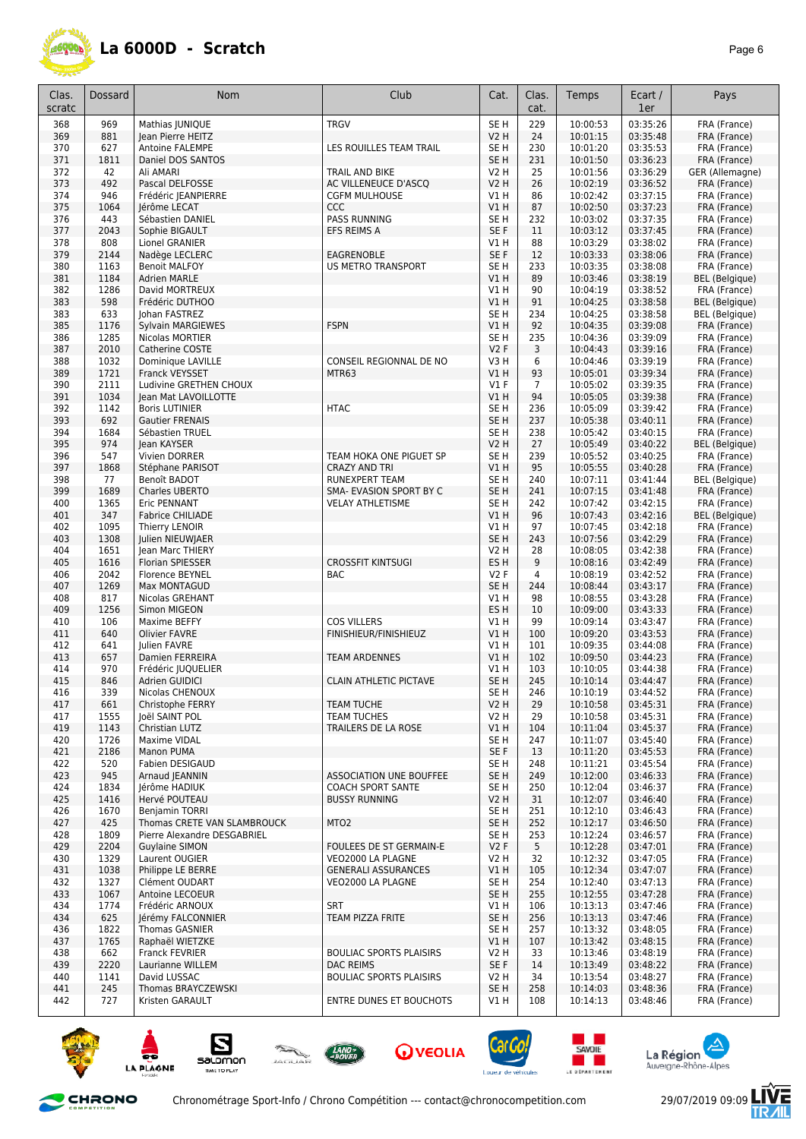

| Clas.<br>scratc | Dossard      | <b>Nom</b>                                                 | Club                                               | Cat.                    | Clas.<br>cat. | Temps                | Ecart /<br>1er       | Pays                                           |
|-----------------|--------------|------------------------------------------------------------|----------------------------------------------------|-------------------------|---------------|----------------------|----------------------|------------------------------------------------|
|                 |              |                                                            |                                                    |                         |               |                      |                      |                                                |
| 368             | 969          | Mathias  UNIQUE                                            | <b>TRGV</b>                                        | SE <sub>H</sub>         | 229           | 10:00:53             | 03:35:26             | FRA (France)                                   |
| 369             | 881          | Jean Pierre HEITZ                                          |                                                    | V <sub>2</sub> H        | 24            | 10:01:15             | 03:35:48             | FRA (France)                                   |
| 370<br>371      | 627<br>1811  | Antoine FALEMPE<br>Daniel DOS SANTOS                       | LES ROUILLES TEAM TRAIL                            | SE H<br>SE <sub>H</sub> | 230<br>231    | 10:01:20<br>10:01:50 | 03:35:53<br>03:36:23 | FRA (France)<br>FRA (France)                   |
| 372             | 42           | Ali AMARI                                                  | TRAIL AND BIKE                                     | <b>V2 H</b>             | 25            | 10:01:56             | 03:36:29             | GER (Allemagne)                                |
| 373             | 492          | Pascal DELFOSSE                                            | AC VILLENEUCE D'ASCQ                               | <b>V2 H</b>             | 26            | 10:02:19             | 03:36:52             | FRA (France)                                   |
| 374             | 946          | Frédéric JEANPIERRE                                        | <b>CGFM MULHOUSE</b>                               | V1 H                    | 86            | 10:02:42             | 03:37:15             | FRA (France)                                   |
| 375             | 1064         | Jérôme LECAT                                               | <b>CCC</b>                                         | V1H                     | 87            | 10:02:50             | 03:37:23             | FRA (France)                                   |
| 376             | 443          | Sébastien DANIEL                                           | PASS RUNNING                                       | SE H                    | 232           | 10:03:02             | 03:37:35             | FRA (France)                                   |
| 377             | 2043         | Sophie BIGAULT                                             | EFS REIMS A                                        | SE F                    | 11            | 10:03:12             | 03:37:45             | FRA (France)                                   |
| 378             | 808          | Lionel GRANIER                                             |                                                    | V1 H                    | 88            | 10:03:29             | 03:38:02             | FRA (France)                                   |
| 379             | 2144         | Nadège LECLERC                                             | EAGRENOBLE                                         | SE F                    | 12            | 10:03:33             | 03:38:06             | FRA (France)                                   |
| 380             | 1163         | <b>Benoit MALFOY</b>                                       | <b>US METRO TRANSPORT</b>                          | SE H                    | 233           | 10:03:35             | 03:38:08             | FRA (France)                                   |
| 381             | 1184         | <b>Adrien MARLE</b>                                        |                                                    | V1 H                    | 89            | 10:03:46             | 03:38:19             | BEL (Belgique)                                 |
| 382             | 1286         | David MORTREUX                                             |                                                    | V1 H                    | 90            | 10:04:19             | 03:38:52             | FRA (France)                                   |
| 383             | 598          | Frédéric DUTHOO                                            |                                                    | V1 H                    | 91<br>234     | 10:04:25             | 03:38:58             | <b>BEL</b> (Belgique)<br><b>BEL</b> (Belgique) |
| 383<br>385      | 633<br>1176  | Johan FASTREZ<br>Sylvain MARGIEWES                         | <b>FSPN</b>                                        | SE H<br>V1 H            | 92            | 10:04:25<br>10:04:35 | 03:38:58<br>03:39:08 | FRA (France)                                   |
| 386             | 1285         | Nicolas MORTIER                                            |                                                    | SE H                    | 235           | 10:04:36             | 03:39:09             | FRA (France)                                   |
| 387             | 2010         | Catherine COSTE                                            |                                                    | V2F                     | 3             | 10:04:43             | 03:39:16             | FRA (France)                                   |
| 388             | 1032         | Dominique LAVILLE                                          | CONSEIL REGIONNAL DE NO                            | V3 H                    | 6             | 10:04:46             | 03:39:19             | FRA (France)                                   |
| 389             | 1721         | Franck VEYSSET                                             | MTR63                                              | VIH                     | 93            | 10:05:01             | 03:39:34             | FRA (France)                                   |
| 390             | 2111         | Ludivine GRETHEN CHOUX                                     |                                                    | $VI$ F                  | 7             | 10:05:02             | 03:39:35             | FRA (France)                                   |
| 391             | 1034         | Jean Mat LAVOILLOTTE                                       |                                                    | V1 H                    | 94            | 10:05:05             | 03:39:38             | FRA (France)                                   |
| 392             | 1142         | <b>Boris LUTINIER</b>                                      | <b>HTAC</b>                                        | SE H                    | 236           | 10:05:09             | 03:39:42             | FRA (France)                                   |
| 393             | 692          | <b>Gautier FRENAIS</b>                                     |                                                    | SE <sub>H</sub>         | 237           | 10:05:38             | 03:40:11             | FRA (France)                                   |
| 394             | 1684         | Sébastien TRUEL                                            |                                                    | SE H                    | 238           | 10:05:42             | 03:40:15             | FRA (France)                                   |
| 395             | 974          | Jean KAYSER                                                |                                                    | <b>V2 H</b>             | 27            | 10:05:49             | 03:40:22             | <b>BEL</b> (Belgique)                          |
| 396             | 547          | Vivien DORRER                                              | TEAM HOKA ONE PIGUET SP                            | SE H                    | 239           | 10:05:52             | 03:40:25             | FRA (France)                                   |
| 397             | 1868         | Stéphane PARISOT                                           | <b>CRAZY AND TRI</b>                               | VIH                     | 95            | 10:05:55             | 03:40:28             | FRA (France)                                   |
| 398<br>399      | 77           | Benoît BADOT<br>Charles UBERTO                             | <b>RUNEXPERT TEAM</b>                              | SE H<br>SE <sub>H</sub> | 240<br>241    | 10:07:11             | 03:41:44<br>03:41:48 | <b>BEL</b> (Belgique)                          |
| 400             | 1689<br>1365 | Eric PENNANT                                               | SMA- EVASION SPORT BY C<br><b>VELAY ATHLETISME</b> | SE H                    | 242           | 10:07:15<br>10:07:42 | 03:42:15             | FRA (France)<br>FRA (France)                   |
| 401             | 347          | Fabrice CHILIADE                                           |                                                    | V1 H                    | 96            | 10:07:43             | 03:42:16             | <b>BEL</b> (Belgique)                          |
| 402             | 1095         | Thierry LENOIR                                             |                                                    | V1 H                    | 97            | 10:07:45             | 03:42:18             | FRA (France)                                   |
| 403             | 1308         | Julien NIEUWJAER                                           |                                                    | SE <sub>H</sub>         | 243           | 10:07:56             | 03:42:29             | FRA (France)                                   |
| 404             | 1651         | Jean Marc THIERY                                           |                                                    | V2 H                    | 28            | 10:08:05             | 03:42:38             | FRA (France)                                   |
| 405             | 1616         | <b>Florian SPIESSER</b>                                    | <b>CROSSFIT KINTSUGI</b>                           | ES H                    | 9             | 10:08:16             | 03:42:49             | FRA (France)                                   |
| 406             | 2042         | Florence BEYNEL                                            | <b>BAC</b>                                         | V2F                     | 4             | 10:08:19             | 03:42:52             | FRA (France)                                   |
| 407             | 1269         | Max MONTAGUD                                               |                                                    | SE <sub>H</sub>         | 244           | 10:08:44             | 03:43:17             | FRA (France)                                   |
| 408             | 817          | Nicolas GREHANT                                            |                                                    | V1 H                    | 98            | 10:08:55             | 03:43:28             | FRA (France)                                   |
| 409             | 1256         | Simon MIGEON                                               |                                                    | ES <sub>H</sub>         | 10            | 10:09:00             | 03:43:33             | FRA (France)                                   |
| 410             | 106          | Maxime BEFFY                                               | <b>COS VILLERS</b>                                 | V1 H                    | 99            | 10:09:14             | 03:43:47             | FRA (France)                                   |
| 411             | 640          | Olivier FAVRE                                              | FINISHIEUR/FINISHIEUZ                              | VIH                     | 100           | 10:09:20             | 03:43:53             | FRA (France)                                   |
| 412<br>413      | 641<br>657   | Julien FAVRE<br>Damien FERREIRA                            | <b>TEAM ARDENNES</b>                               | V1 H<br>VIH             | 101<br>102    | 10:09:35<br>10:09:50 | 03:44:08<br>03:44:23 | FRA (France)<br>FRA (France)                   |
| 414             | 970          | Frédéric JUQUELIER                                         |                                                    | V1 H                    | 103           | 10:10:05             | 03:44:38             | FRA (France)                                   |
| 415             | 846          | Adrien GUIDICI                                             | <b>CLAIN ATHLETIC PICTAVE</b>                      | SE <sub>H</sub>         | 245           | 10:10:14             | 03:44:47             | FRA (France)                                   |
| 416             | 339          | Nicolas CHENOUX                                            |                                                    | SE <sub>H</sub>         | 246           | 10:10:19             | 03:44:52             | FRA (France)                                   |
| 417             | 661          | Christophe FERRY                                           | <b>TEAM TUCHE</b>                                  | V <sub>2</sub> H        | 29            | 10:10:58             | 03:45:31             | FRA (France)                                   |
| 417             | 1555         | Joël SAINT POL                                             | <b>TEAM TUCHES</b>                                 | V2 H                    | 29            | 10:10:58             | 03:45:31             | FRA (France)                                   |
| 419             | 1143         | Christian LUTZ                                             | TRAILERS DE LA ROSE                                | V1 H                    | 104           | 10:11:04             | 03:45:37             | FRA (France)                                   |
| 420             | 1726         | Maxime VIDAL                                               |                                                    | SE H                    | 247           | 10:11:07             | 03:45:40             | FRA (France)                                   |
| 421             | 2186         | Manon PUMA                                                 |                                                    | SE F                    | 13            | 10:11:20             | 03:45:53             | FRA (France)                                   |
| 422             | 520          | Fabien DESIGAUD                                            |                                                    | SE H                    | 248           | 10:11:21             | 03:45:54             | FRA (France)                                   |
| 423             | 945          | Arnaud JEANNIN                                             | <b>ASSOCIATION UNE BOUFFEE</b>                     | SE <sub>H</sub>         | 249           | 10:12:00             | 03:46:33             | FRA (France)                                   |
| 424             | 1834         | Jérôme HADIUK                                              | <b>COACH SPORT SANTE</b>                           | SE H                    | 250           | 10:12:04             | 03:46:37             | FRA (France)                                   |
| 425             | 1416         | Hervé POUTEAU                                              | <b>BUSSY RUNNING</b>                               | <b>V2 H</b>             | 31            | 10:12:07             | 03:46:40             | FRA (France)                                   |
| 426             | 1670         | Benjamin TORRI                                             |                                                    | SE <sub>H</sub>         | 251           | 10:12:10             | 03:46:43             | FRA (France)                                   |
| 427<br>428      | 425<br>1809  | Thomas CRETE VAN SLAMBROUCK<br>Pierre Alexandre DESGABRIEL | MTO <sub>2</sub>                                   | SE H<br>SE H            | 252<br>253    | 10:12:17<br>10:12:24 | 03:46:50<br>03:46:57 | FRA (France)<br>FRA (France)                   |
| 429             | 2204         | <b>Guylaine SIMON</b>                                      | FOULEES DE ST GERMAIN-E                            | V2F                     | 5             | 10:12:28             | 03:47:01             | FRA (France)                                   |
| 430             | 1329         | Laurent OUGIER                                             | VEO2000 LA PLAGNE                                  | V <sub>2</sub> H        | 32            | 10:12:32             | 03:47:05             | FRA (France)                                   |
| 431             | 1038         | Philippe LE BERRE                                          | <b>GENERALI ASSURANCES</b>                         | V1H                     | 105           | 10:12:34             | 03:47:07             | FRA (France)                                   |
| 432             | 1327         | Clément OUDART                                             | VEO2000 LA PLAGNE                                  | SE H                    | 254           | 10:12:40             | 03:47:13             | FRA (France)                                   |
| 433             | 1067         | Antoine LECOEUR                                            |                                                    | SE <sub>H</sub>         | 255           | 10:12:55             | 03:47:28             | FRA (France)                                   |
| 434             | 1774         | Frédéric ARNOUX                                            | <b>SRT</b>                                         | V1 H                    | 106           | 10:13:13             | 03:47:46             | FRA (France)                                   |
| 434             | 625          | Jérémy FALCONNIER                                          | TEAM PIZZA FRITE                                   | SE <sub>H</sub>         | 256           | 10:13:13             | 03:47:46             | FRA (France)                                   |
| 436             | 1822         | <b>Thomas GASNIER</b>                                      |                                                    | SE <sub>H</sub>         | 257           | 10:13:32             | 03:48:05             | FRA (France)                                   |
| 437             | 1765         | Raphaël WIETZKE                                            |                                                    | V1H                     | 107           | 10:13:42             | 03:48:15             | FRA (France)                                   |
| 438             | 662          | Franck FEVRIER                                             | <b>BOULIAC SPORTS PLAISIRS</b>                     | V2 H                    | 33            | 10:13:46             | 03:48:19             | FRA (France)                                   |
| 439             | 2220         | Laurianne WILLEM                                           | <b>DAC REIMS</b>                                   | SE F                    | 14            | 10:13:49             | 03:48:22             | FRA (France)                                   |
| 440             | 1141         | David LUSSAC                                               | <b>BOULIAC SPORTS PLAISIRS</b>                     | V2 H                    | 34            | 10:13:54             | 03:48:27             | FRA (France)                                   |
| 441             | 245          | Thomas BRAYCZEWSKI                                         |                                                    | SE <sub>H</sub>         | 258           | 10:14:03             | 03:48:36             | FRA (France)                                   |
| 442             | 727          | Kristen GARAULT                                            | <b>ENTRE DUNES ET BOUCHOTS</b>                     | V1 H                    | 108           | 10:14:13             | 03:48:46             | FRA (France)                                   |











and the second







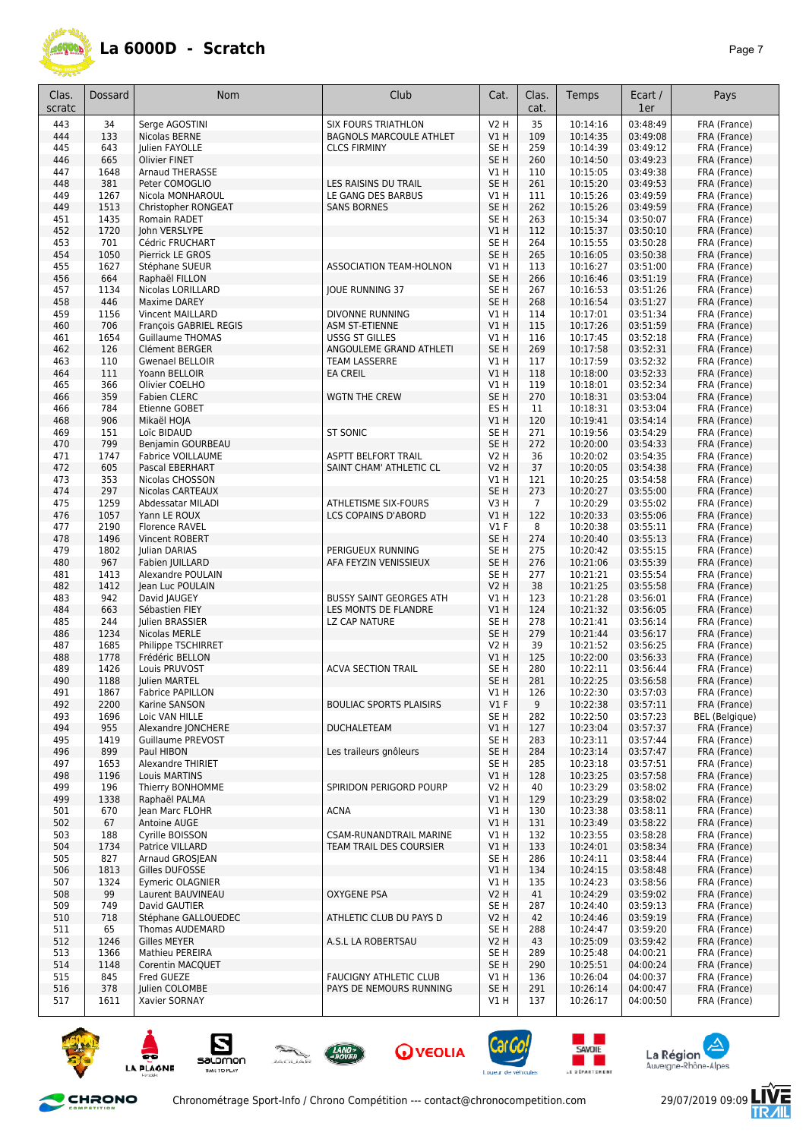

| Clas.<br>scratc | <b>Dossard</b> | Nom                                    | Club                           | Cat.                               | Clas.<br>cat.  | Temps                | Ecart /<br>1er       | Pays                         |
|-----------------|----------------|----------------------------------------|--------------------------------|------------------------------------|----------------|----------------------|----------------------|------------------------------|
| 443             | 34             | Serge AGOSTINI                         | <b>SIX FOURS TRIATHLON</b>     | <b>V2 H</b>                        | 35             | 10:14:16             | 03:48:49             | FRA (France)                 |
| 444             | 133            | Nicolas BERNE                          | <b>BAGNOLS MARCOULE ATHLET</b> | VIH                                | 109            | 10:14:35             | 03:49:08             | FRA (France)                 |
| 445             | 643            | Julien FAYOLLE                         | <b>CLCS FIRMINY</b>            | SE H                               | 259            | 10:14:39             | 03:49:12             | FRA (France)                 |
| 446             | 665            | <b>Olivier FINET</b>                   |                                | SE <sub>H</sub>                    | 260            | 10:14:50             | 03:49:23             | FRA (France)                 |
| 447             | 1648           | <b>Arnaud THERASSE</b>                 |                                | V1H                                | 110            | 10:15:05             | 03:49:38             | FRA (France)                 |
| 448             | 381            | Peter COMOGLIO                         | LES RAISINS DU TRAIL           | SE <sub>H</sub>                    | 261            | 10:15:20             | 03:49:53             | FRA (France)                 |
| 449             | 1267           | Nicola MONHAROUL                       | LE GANG DES BARBUS             | V1 H                               | 111            | 10:15:26             | 03:49:59             | FRA (France)                 |
| 449             | 1513           | Christopher RONGEAT                    | <b>SANS BORNES</b>             | SE <sub>H</sub>                    | 262            | 10:15:26             | 03:49:59             | FRA (France)                 |
| 451             | 1435           | Romain RADET                           |                                | SE H                               | 263            | 10:15:34             | 03:50:07             | FRA (France)                 |
| 452<br>453      | 1720<br>701    | John VERSLYPE<br>Cédric FRUCHART       |                                | V1H<br>SE <sub>H</sub>             | 112<br>264     | 10:15:37<br>10:15:55 | 03:50:10<br>03:50:28 | FRA (France)<br>FRA (France) |
| 454             | 1050           | Pierrick LE GROS                       |                                | SE <sub>H</sub>                    | 265            | 10:16:05             | 03:50:38             | FRA (France)                 |
| 455             | 1627           | Stéphane SUEUR                         | <b>ASSOCIATION TEAM-HOLNON</b> | V1H                                | 113            | 10:16:27             | 03:51:00             | FRA (France)                 |
| 456             | 664            | Raphaël FILLON                         |                                | SE <sub>H</sub>                    | 266            | 10:16:46             | 03:51:19             | FRA (France)                 |
| 457             | 1134           | Nicolas LORILLARD                      | JOUE RUNNING 37                | SE H                               | 267            | 10:16:53             | 03:51:26             | FRA (France)                 |
| 458             | 446            | Maxime DAREY                           |                                | SE <sub>H</sub>                    | 268            | 10:16:54             | 03:51:27             | FRA (France)                 |
| 459             | 1156           | Vincent MAILLARD                       | DIVONNE RUNNING                | V1 H                               | 114            | 10:17:01             | 03:51:34             | FRA (France)                 |
| 460             | 706            | François GABRIEL REGIS                 | ASM ST-ETIENNE                 | VIH                                | 115            | 10:17:26             | 03:51:59             | FRA (France)                 |
| 461             | 1654           | <b>Guillaume THOMAS</b>                | <b>USSG ST GILLES</b>          | V1 H                               | 116            | 10:17:45             | 03:52:18             | FRA (France)                 |
| 462             | 126            | Clément BERGER                         | ANGOULEME GRAND ATHLETI        | SE <sub>H</sub>                    | 269            | 10:17:58             | 03:52:31             | FRA (France)                 |
| 463             | 110            | <b>Gwenael BELLOIR</b>                 | TEAM LASSERRE                  | V1 H                               | 117            | 10:17:59             | 03:52:32             | FRA (France)                 |
| 464             | 111            | Yoann BELLOIR                          | <b>EA CREIL</b>                | V1H                                | 118            | 10:18:00             | 03:52:33             | FRA (France)                 |
| 465             | 366            | Olivier COELHO                         |                                | V1 H                               | 119            | 10:18:01             | 03:52:34<br>03:53:04 | FRA (France)                 |
| 466<br>466      | 359<br>784     | <b>Fabien CLERC</b><br>Etienne GOBET   | <b>WGTN THE CREW</b>           | SE <sub>H</sub><br>ES <sub>H</sub> | 270<br>11      | 10:18:31<br>10:18:31 | 03:53:04             | FRA (France)<br>FRA (France) |
| 468             | 906            | Mikaël HOJA                            |                                | V1 H                               | 120            | 10:19:41             | 03:54:14             | FRA (France)                 |
| 469             | 151            | Loïc BIDAUD                            | <b>ST SONIC</b>                | SE H                               | 271            | 10:19:56             | 03:54:29             | FRA (France)                 |
| 470             | 799            | Benjamin GOURBEAU                      |                                | SE <sub>H</sub>                    | 272            | 10:20:00             | 03:54:33             | FRA (France)                 |
| 471             | 1747           | Fabrice VOILLAUME                      | <b>ASPTT BELFORT TRAIL</b>     | V2 H                               | 36             | 10:20:02             | 03:54:35             | FRA (France)                 |
| 472             | 605            | Pascal EBERHART                        | SAINT CHAM' ATHLETIC CL        | <b>V2 H</b>                        | 37             | 10:20:05             | 03:54:38             | FRA (France)                 |
| 473             | 353            | Nicolas CHOSSON                        |                                | V1 H                               | 121            | 10:20:25             | 03:54:58             | FRA (France)                 |
| 474             | 297            | Nicolas CARTEAUX                       |                                | SE <sub>H</sub>                    | 273            | 10:20:27             | 03:55:00             | FRA (France)                 |
| 475             | 1259           | Abdessatar MILADI                      | ATHLETISME SIX-FOURS           | V3H                                | $\overline{7}$ | 10:20:29             | 03:55:02             | FRA (France)                 |
| 476             | 1057           | Yann LE ROUX                           | LCS COPAINS D'ABORD            | VIH                                | 122            | 10:20:33             | 03:55:06             | FRA (France)                 |
| 477             | 2190           | <b>Florence RAVEL</b>                  |                                | $VI$ F                             | 8              | 10:20:38             | 03:55:11             | FRA (France)                 |
| 478<br>479      | 1496<br>1802   | Vincent ROBERT<br>Julian DARIAS        | PERIGUEUX RUNNING              | SE <sub>H</sub><br>SE <sub>H</sub> | 274<br>275     | 10:20:40<br>10:20:42 | 03:55:13<br>03:55:15 | FRA (France)<br>FRA (France) |
| 480             | 967            | Fabien JUILLARD                        | AFA FEYZIN VENISSIEUX          | SE <sub>H</sub>                    | 276            | 10:21:06             | 03:55:39             | FRA (France)                 |
| 481             | 1413           | Alexandre POULAIN                      |                                | SE <sub>H</sub>                    | 277            | 10:21:21             | 03:55:54             | FRA (France)                 |
| 482             | 1412           | Jean Luc POULAIN                       |                                | <b>V2 H</b>                        | 38             | 10:21:25             | 03:55:58             | FRA (France)                 |
| 483             | 942            | David JAUGEY                           | <b>BUSSY SAINT GEORGES ATH</b> | V1 H                               | 123            | 10:21:28             | 03:56:01             | FRA (France)                 |
| 484             | 663            | Sébastien FIEY                         | LES MONTS DE FLANDRE           | V1H                                | 124            | 10:21:32             | 03:56:05             | FRA (France)                 |
| 485             | 244            | Julien BRASSIER                        | LZ CAP NATURE                  | SE <sub>H</sub>                    | 278            | 10:21:41             | 03:56:14             | FRA (France)                 |
| 486             | 1234           | Nicolas MERLE                          |                                | SE <sub>H</sub>                    | 279            | 10:21:44             | 03:56:17             | FRA (France)                 |
| 487             | 1685           | Philippe TSCHIRRET                     |                                | V2 H                               | 39             | 10:21:52             | 03:56:25             | FRA (France)                 |
| 488<br>489      | 1778<br>1426   | Frédéric BELLON<br>Louis PRUVOST       | <b>ACVA SECTION TRAIL</b>      | V1 H<br>SE H                       | 125<br>280     | 10:22:00             | 03:56:33             | FRA (France)                 |
| 490             | 1188           | Julien MARTEL                          |                                | SE <sub>H</sub>                    | 281            | 10:22:11<br>10:22:25 | 03:56:44<br>03:56:58 | FRA (France)<br>FRA (France) |
| 491             | 1867           | Fabrice PAPILLON                       |                                | V1 H                               | 126            | 10:22:30             | 03:57:03             | FRA (France)                 |
| 492             | 2200           | Karine SANSON                          | <b>BOULIAC SPORTS PLAISIRS</b> | $VI$ F                             | 9              | 10:22:38             | 03:57:11             | FRA (France)                 |
| 493             | 1696           | Loic VAN HILLE                         |                                | SE H                               | 282            | 10:22:50             | 03:57:23             | <b>BEL</b> (Belgique)        |
| 494             | 955            | Alexandre JONCHERE                     | <b>DUCHALETEAM</b>             | V1H                                | 127            | 10:23:04             | 03:57:37             | FRA (France)                 |
| 495             | 1419           | Guillaume PREVOST                      |                                | SE H                               | 283            | 10:23:11             | 03:57:44             | FRA (France)                 |
| 496             | 899            | Paul HIBON                             | Les traileurs gnôleurs         | SE <sub>H</sub>                    | 284            | 10:23:14             | 03:57:47             | FRA (France)                 |
| 497             | 1653           | Alexandre THIRIET                      |                                | SE H                               | 285            | 10:23:18             | 03:57:51             | FRA (France)                 |
| 498             | 1196           | Louis MARTINS                          |                                | V1 H                               | 128            | 10:23:25             | 03:57:58             | FRA (France)                 |
| 499             | 196            | Thierry BONHOMME                       | SPIRIDON PERIGORD POURP        | V2 H                               | 40             | 10:23:29             | 03:58:02             | FRA (France)                 |
| 499<br>501      | 1338<br>670    | Raphaël PALMA<br>Jean Marc FLOHR       | <b>ACNA</b>                    | V1 H<br>V1H                        | 129<br>130     | 10:23:29<br>10:23:38 | 03:58:02<br>03:58:11 | FRA (France)<br>FRA (France) |
| 502             | 67             | Antoine AUGE                           |                                | V1H                                | 131            | 10:23:49             | 03:58:22             | FRA (France)                 |
| 503             | 188            | Cyrille BOISSON                        | CSAM-RUNANDTRAIL MARINE        | V1H                                | 132            | 10:23:55             | 03:58:28             | FRA (France)                 |
| 504             | 1734           | Patrice VILLARD                        | TEAM TRAIL DES COURSIER        | V1H                                | 133            | 10:24:01             | 03:58:34             | FRA (France)                 |
| 505             | 827            | Arnaud GROSIEAN                        |                                | SE H                               | 286            | 10:24:11             | 03:58:44             | FRA (France)                 |
| 506             | 1813           | Gilles DUFOSSE                         |                                | V1H                                | 134            | 10:24:15             | 03:58:48             | FRA (France)                 |
| 507             | 1324           | <b>Eymeric OLAGNIER</b>                |                                | V1 H                               | 135            | 10:24:23             | 03:58:56             | FRA (France)                 |
| 508             | 99             | Laurent BAUVINEAU                      | OXYGENE PSA                    | V2 H                               | 41             | 10:24:29             | 03:59:02             | FRA (France)                 |
| 509             | 749            | David GAUTIER                          |                                | SE H                               | 287            | 10:24:40             | 03:59:13             | FRA (France)                 |
| 510             | 718            | Stéphane GALLOUEDEC                    | ATHLETIC CLUB DU PAYS D        | <b>V2 H</b>                        | 42             | 10:24:46             | 03:59:19             | FRA (France)                 |
| 511<br>512      | 65<br>1246     | Thomas AUDEMARD<br><b>Gilles MEYER</b> | A.S.L LA ROBERTSAU             | SE H<br>V2 H                       | 288<br>43      | 10:24:47<br>10:25:09 | 03:59:20<br>03:59:42 | FRA (France)<br>FRA (France) |
| 513             | 1366           | Mathieu PEREIRA                        |                                | SE H                               | 289            | 10:25:48             | 04:00:21             | FRA (France)                 |
| 514             | 1148           | Corentin MACQUET                       |                                | SE <sub>H</sub>                    | 290            | 10:25:51             | 04:00:24             | FRA (France)                 |
| 515             | 845            | Fred GUEZE                             | <b>FAUCIGNY ATHLETIC CLUB</b>  | V1 H                               | 136            | 10:26:04             | 04:00:37             | FRA (France)                 |
| 516             | 378            | Julien COLOMBE                         | PAYS DE NEMOURS RUNNING        | SE <sub>H</sub>                    | 291            | 10:26:14             | 04:00:47             | FRA (France)                 |
| 517             | 1611           | Xavier SORNAY                          |                                | V1 H                               | 137            | 10:26:17             | 04:00:50             | FRA (France)                 |











and the second





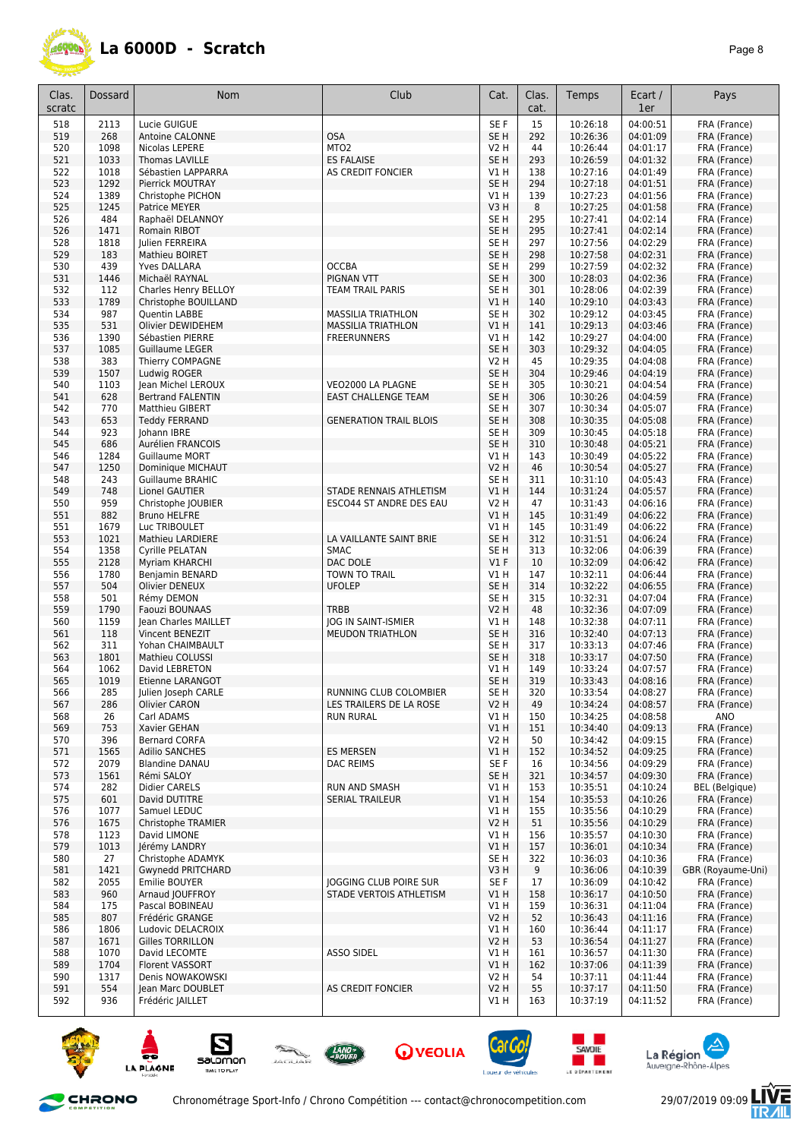

| Clas.      | Dossard     | Nom                               | Club                           | Cat.                               | Clas.      | Temps                | Ecart /              | Pays                         |
|------------|-------------|-----------------------------------|--------------------------------|------------------------------------|------------|----------------------|----------------------|------------------------------|
| scratc     |             |                                   |                                |                                    | cat.       |                      | 1er                  |                              |
| 518        | 2113        | Lucie GUIGUE                      |                                | SE F                               | 15         | 10:26:18             | 04:00:51             | FRA (France)                 |
| 519        | 268         | <b>Antoine CALONNE</b>            | <b>OSA</b>                     | SE <sub>H</sub>                    | 292        | 10:26:36             | 04:01:09             | FRA (France)                 |
| 520        | 1098        | Nicolas LEPERE                    | MTO <sub>2</sub>               | V2 H                               | 44         | 10:26:44             | 04:01:17             | FRA (France)                 |
| 521        | 1033        | Thomas LAVILLE                    | <b>ES FALAISE</b>              | SE <sub>H</sub>                    | 293        | 10:26:59             | 04:01:32             | FRA (France)                 |
| 522        | 1018        | Sébastien LAPPARRA                | AS CREDIT FONCIER              | V1 H                               | 138        | 10:27:16             | 04:01:49             | FRA (France)                 |
| 523        | 1292        | Pierrick MOUTRAY                  |                                | SE <sub>H</sub>                    | 294        | 10:27:18             | 04:01:51             | FRA (France)                 |
| 524        | 1389        | Christophe PICHON                 |                                | <b>V1 H</b>                        | 139        | 10:27:23             | 04:01:56             | FRA (France)                 |
| 525        | 1245        | Patrice MEYER                     |                                | V3H                                | 8          | 10:27:25             | 04:01:58             | FRA (France)                 |
| 526        | 484         | Raphaël DELANNOY                  |                                | SE H                               | 295        | 10:27:41             | 04:02:14             | FRA (France)                 |
| 526        | 1471        | Romain RIBOT                      |                                | SE <sub>H</sub>                    | 295        | 10:27:41             | 04:02:14             | FRA (France)                 |
| 528<br>529 | 1818<br>183 | Julien FERREIRA<br>Mathieu BOIRET |                                | SE <sub>H</sub><br>SE <sub>H</sub> | 297        | 10:27:56<br>10:27:58 | 04:02:29<br>04:02:31 | FRA (France)                 |
| 530        | 439         | Yves DALLARA                      | <b>OCCBA</b>                   | SE <sub>H</sub>                    | 298<br>299 | 10:27:59             | 04:02:32             | FRA (France)                 |
| 531        | 1446        | Michaël RAYNAL                    | <b>PIGNAN VTT</b>              | SE <sub>H</sub>                    | 300        | 10:28:03             | 04:02:36             | FRA (France)<br>FRA (France) |
| 532        | 112         | Charles Henry BELLOY              | TEAM TRAIL PARIS               | SE H                               | 301        | 10:28:06             | 04:02:39             | FRA (France)                 |
| 533        | 1789        | Christophe BOUILLAND              |                                | V1 H                               | 140        | 10:29:10             | 04:03:43             | FRA (France)                 |
| 534        | 987         | Quentin LABBE                     | <b>MASSILIA TRIATHLON</b>      | SE H                               | 302        | 10:29:12             | 04:03:45             | FRA (France)                 |
| 535        | 531         | Olivier DEWIDEHEM                 | <b>MASSILIA TRIATHLON</b>      | V1H                                | 141        | 10:29:13             | 04:03:46             | FRA (France)                 |
| 536        | 1390        | Sébastien PIERRE                  | <b>FREERUNNERS</b>             | <b>V1 H</b>                        | 142        | 10:29:27             | 04:04:00             | FRA (France)                 |
| 537        | 1085        | <b>Guillaume LEGER</b>            |                                | SE <sub>H</sub>                    | 303        | 10:29:32             | 04:04:05             | FRA (France)                 |
| 538        | 383         | Thierry COMPAGNE                  |                                | V2 H                               | 45         | 10:29:35             | 04:04:08             | FRA (France)                 |
| 539        | 1507        | Ludwig ROGER                      |                                | SE <sub>H</sub>                    | 304        | 10:29:46             | 04:04:19             | FRA (France)                 |
| 540        | 1103        | Jean Michel LEROUX                | VEO2000 LA PLAGNE              | SE H                               | 305        | 10:30:21             | 04:04:54             | FRA (France)                 |
| 541        | 628         | <b>Bertrand FALENTIN</b>          | <b>EAST CHALLENGE TEAM</b>     | SE <sub>H</sub>                    | 306        | 10:30:26             | 04:04:59             | FRA (France)                 |
| 542        | 770         | Matthieu GIBERT                   |                                | SE H                               | 307        | 10:30:34             | 04:05:07             | FRA (France)                 |
| 543        | 653         | <b>Teddy FERRAND</b>              | <b>GENERATION TRAIL BLOIS</b>  | SE <sub>H</sub>                    | 308        | 10:30:35             | 04:05:08             | FRA (France)                 |
| 544        | 923         | <b>Iohann IBRE</b>                |                                | SE H                               | 309        | 10:30:45             | 04:05:18             | FRA (France)                 |
| 545        | 686         | Aurélien FRANCOIS                 |                                | SE <sub>H</sub>                    | 310        | 10:30:48             | 04:05:21             | FRA (France)                 |
| 546        | 1284        | <b>Guillaume MORT</b>             |                                | V1 H                               | 143        | 10:30:49             | 04:05:22             | FRA (France)                 |
| 547        | 1250        | Dominique MICHAUT                 |                                | V2 H                               | 46         | 10:30:54             | 04:05:27             | FRA (France)                 |
| 548        | 243         | Guillaume BRAHIC                  |                                | SE H                               | 311        | 10:31:10             | 04:05:43             | FRA (France)                 |
| 549        | 748         | Lionel GAUTIER                    | STADE RENNAIS ATHLETISM        | V1 H                               | 144        | 10:31:24             | 04:05:57             | FRA (France)                 |
| 550        | 959         | Christophe JOUBIER                | ESCO44 ST ANDRE DES EAU        | V2 H                               | 47         | 10:31:43             | 04:06:16             | FRA (France)                 |
| 551        | 882         | <b>Bruno HELFRE</b>               |                                | V1 H                               | 145        | 10:31:49             | 04:06:22             | FRA (France)                 |
| 551        | 1679        | Luc TRIBOULET                     |                                | V1 H                               | 145        | 10:31:49             | 04:06:22             | FRA (France)                 |
| 553        | 1021        | <b>Mathieu LARDIERE</b>           | LA VAILLANTE SAINT BRIE        | SE <sub>H</sub>                    | 312        | 10:31:51             | 04:06:24             | FRA (France)                 |
| 554        | 1358        | Cyrille PELATAN                   | <b>SMAC</b>                    | SE <sub>H</sub>                    | 313        | 10:32:06             | 04:06:39             | FRA (France)                 |
| 555        | 2128        | Myriam KHARCHI                    | DAC DOLE                       | $VI$ F                             | 10         | 10:32:09             | 04:06:42             | FRA (France)                 |
| 556<br>557 | 1780<br>504 | Benjamin BENARD<br>Olivier DENEUX | TOWN TO TRAIL<br><b>UFOLEP</b> | V1 H<br>SE <sub>H</sub>            | 147<br>314 | 10:32:11<br>10:32:22 | 04:06:44<br>04:06:55 | FRA (France)<br>FRA (France) |
| 558        | 501         | Rémy DEMON                        |                                | SE H                               | 315        | 10:32:31             | 04:07:04             | FRA (France)                 |
| 559        | 1790        | Faouzi BOUNAAS                    | TRBB                           | V2 H                               | 48         | 10:32:36             | 04:07:09             | FRA (France)                 |
| 560        | 1159        | Jean Charles MAILLET              | JOG IN SAINT-ISMIER            | <b>V1 H</b>                        | 148        | 10:32:38             | 04:07:11             | FRA (France)                 |
| 561        | 118         | Vincent BENEZIT                   | <b>MEUDON TRIATHLON</b>        | SE <sub>H</sub>                    | 316        | 10:32:40             | 04:07:13             | FRA (France)                 |
| 562        | 311         | Yohan CHAIMBAULT                  |                                | SE <sub>H</sub>                    | 317        | 10:33:13             | 04:07:46             | FRA (France)                 |
| 563        | 1801        | Mathieu COLUSSI                   |                                | SE <sub>H</sub>                    | 318        | 10:33:17             | 04:07:50             | FRA (France)                 |
| 564        | 1062        | David LEBRETON                    |                                | V1 H                               | 149        | 10:33:24             | 04:07:57             | FRA (France)                 |
| 565        | 1019        | Etienne LARANGOT                  |                                | SE <sub>H</sub>                    | 319        | 10:33:43             | 04:08:16             | FRA (France)                 |
| 566        | 285         | Julien Joseph CARLE               | RUNNING CLUB COLOMBIER         | SE H                               | 320        | 10:33:54             | 04:08:27             | FRA (France)                 |
| 567        | 286         | Olivier CARON                     | LES TRAILERS DE LA ROSE        | <b>V2 H</b>                        | 49         | 10:34:24             | 04:08:57             | FRA (France)                 |
| 568        | 26          | Carl ADAMS                        | <b>RUN RURAL</b>               | V1 H                               | 150        | 10:34:25             | 04:08:58             | ANO                          |
| 569        | 753         | Xavier GEHAN                      |                                | V1 H                               | 151        | 10:34:40             | 04:09:13             | FRA (France)                 |
| 570        | 396         | Bernard CORFA                     |                                | V2 H                               | 50         | 10:34:42             | 04:09:15             | FRA (France)                 |
| 571        | 1565        | <b>Adilio SANCHES</b>             | ES MERSEN                      | V1 H                               | 152        | 10:34:52             | 04:09:25             | FRA (France)                 |
| 572        | 2079        | <b>Blandine DANAU</b>             | DAC REIMS                      | SE F                               | 16         | 10:34:56             | 04:09:29             | FRA (France)                 |
| 573        | 1561        | Rémi SALOY                        |                                | SE H                               | 321        | 10:34:57             | 04:09:30             | FRA (France)                 |
| 574        | 282         | Didier CARELS                     | <b>RUN AND SMASH</b>           | V1 H                               | 153        | 10:35:51             | 04:10:24             | <b>BEL</b> (Belgique)        |
| 575<br>576 | 601<br>1077 | David DUTITRE<br>Samuel LEDUC     | <b>SERIAL TRAILEUR</b>         | V1 H<br>V1 H                       | 154<br>155 | 10:35:53<br>10:35:56 | 04:10:26<br>04:10:29 | FRA (France)<br>FRA (France) |
| 576        | 1675        | Christophe TRAMIER                |                                | V2 H                               | 51         | 10:35:56             | 04:10:29             | FRA (France)                 |
| 578        | 1123        | David LIMONE                      |                                | V1 H                               | 156        | 10:35:57             | 04:10:30             | FRA (France)                 |
| 579        | 1013        | Jérémy LANDRY                     |                                | V1H                                | 157        | 10:36:01             | 04:10:34             | FRA (France)                 |
| 580        | 27          | Christophe ADAMYK                 |                                | SE H                               | 322        | 10:36:03             | 04:10:36             | FRA (France)                 |
| 581        | 1421        | Gwynedd PRITCHARD                 |                                | V3 H                               | 9          | 10:36:06             | 04:10:39             | GBR (Royaume-Uni)            |
| 582        | 2055        | Emilie BOUYER                     | JOGGING CLUB POIRE SUR         | SE F                               | 17         | 10:36:09             | 04:10:42             | FRA (France)                 |
| 583        | 960         | Arnaud JOUFFROY                   | STADE VERTOIS ATHLETISM        | V1 H                               | 158        | 10:36:17             | 04:10:50             | FRA (France)                 |
| 584        | 175         | Pascal BOBINEAU                   |                                | V1 H                               | 159        | 10:36:31             | 04:11:04             | FRA (France)                 |
| 585        | 807         | Frédéric GRANGE                   |                                | V2 H                               | 52         | 10:36:43             | 04:11:16             | FRA (France)                 |
| 586        | 1806        | Ludovic DELACROIX                 |                                | V1 H                               | 160        | 10:36:44             | 04:11:17             | FRA (France)                 |
| 587        | 1671        | Gilles TORRILLON                  |                                | V2 H                               | 53         | 10:36:54             | 04:11:27             | FRA (France)                 |
| 588        | 1070        | David LECOMTE                     | ASSO SIDEL                     | V1 H                               | 161        | 10:36:57             | 04:11:30             | FRA (France)                 |
| 589        | 1704        | Florent VASSORT                   |                                | V1 H                               | 162        | 10:37:06             | 04:11:39             | FRA (France)                 |
| 590        | 1317        | Denis NOWAKOWSKI                  |                                | V2 H                               | 54         | 10:37:11             | 04:11:44             | FRA (France)                 |
| 591        | 554         | Jean Marc DOUBLET                 | AS CREDIT FONCIER              | V2 H                               | 55         | 10:37:17             | 04:11:50             | FRA (France)                 |
| 592        | 936         | Frédéric JAILLET                  |                                | V1 H                               | 163        | 10:37:19             | 04:11:52             | FRA (France)                 |



**STE** 













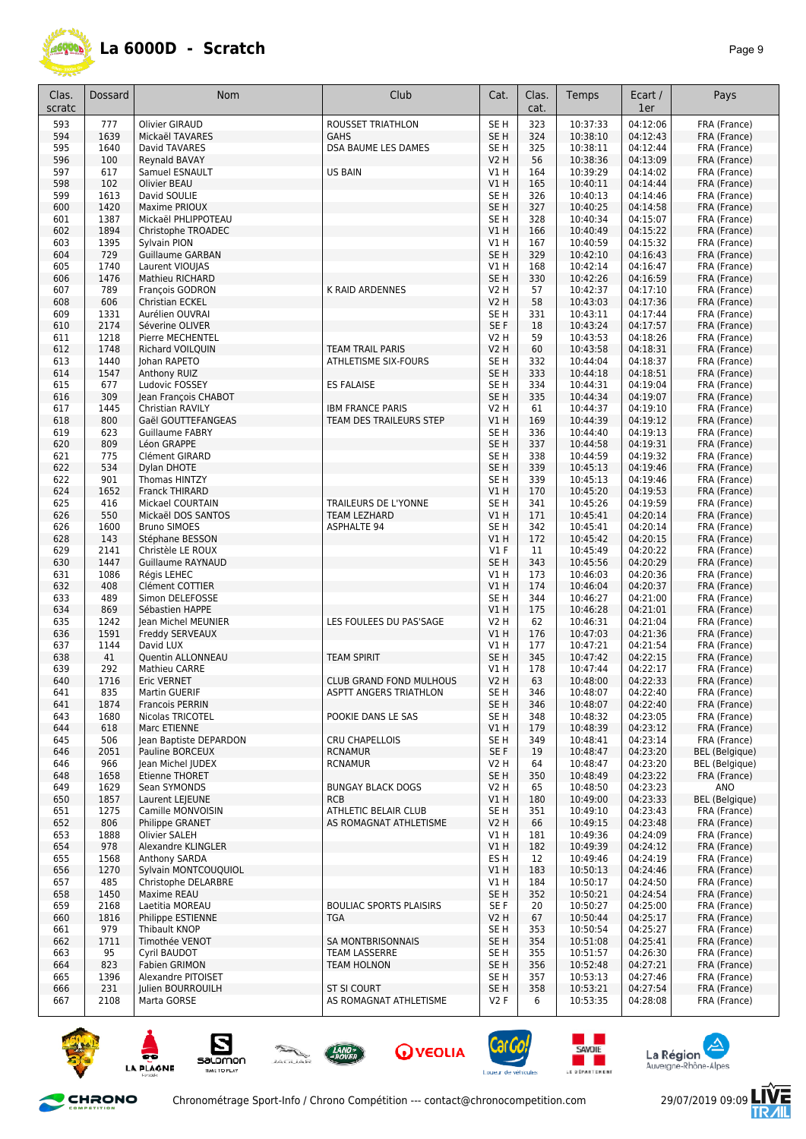

| Clas.      | <b>Dossard</b> | <b>Nom</b>                                  | Club                                                     | Cat.                    | Clas.      | Temps                | Ecart /              | Pays                                  |
|------------|----------------|---------------------------------------------|----------------------------------------------------------|-------------------------|------------|----------------------|----------------------|---------------------------------------|
| scratc     |                |                                             |                                                          |                         | cat.       |                      | 1er                  |                                       |
| 593        | 777            | Olivier GIRAUD                              | <b>ROUSSET TRIATHLON</b>                                 | SE <sub>H</sub>         | 323        | 10:37:33             | 04:12:06             | FRA (France)                          |
| 594        | 1639           | Mickaël TAVARES                             | <b>GAHS</b>                                              | SE <sub>H</sub>         | 324        | 10:38:10             | 04:12:43             | FRA (France)                          |
| 595        | 1640           | David TAVARES                               | DSA BAUME LES DAMES                                      | SE H                    | 325        | 10:38:11             | 04:12:44             | FRA (France)                          |
| 596        | 100            | Reynald BAVAY                               |                                                          | <b>V2 H</b>             | 56         | 10:38:36             | 04:13:09             | FRA (France)                          |
| 597<br>598 | 617<br>102     | Samuel ESNAULT<br>Olivier BEAU              | <b>US BAIN</b>                                           | V1 H<br>VIH             | 164<br>165 | 10:39:29<br>10:40:11 | 04:14:02<br>04:14:44 | FRA (France)<br>FRA (France)          |
| 599        | 1613           | David SOULIE                                |                                                          | SE H                    | 326        | 10:40:13             | 04:14:46             | FRA (France)                          |
| 600        | 1420           | Maxime PRIOUX                               |                                                          | SE <sub>H</sub>         | 327        | 10:40:25             | 04:14:58             | FRA (France)                          |
| 601        | 1387           | Mickaël PHLIPPOTEAU                         |                                                          | SE H                    | 328        | 10:40:34             | 04:15:07             | FRA (France)                          |
| 602        | 1894           | Christophe TROADEC                          |                                                          | VIH                     | 166        | 10:40:49             | 04:15:22             | FRA (France)                          |
| 603        | 1395           | Sylvain PION                                |                                                          | V1 H                    | 167        | 10:40:59             | 04:15:32             | FRA (France)                          |
| 604        | 729            | <b>Guillaume GARBAN</b>                     |                                                          | SE <sub>H</sub>         | 329        | 10:42:10             | 04:16:43             | FRA (France)                          |
| 605        | 1740           | Laurent VIOUIAS                             |                                                          | V1H                     | 168        | 10:42:14             | 04:16:47             | FRA (France)                          |
| 606<br>607 | 1476<br>789    | <b>Mathieu RICHARD</b><br>François GODRON   | K RAID ARDENNES                                          | SE <sub>H</sub><br>V2 H | 330<br>57  | 10:42:26<br>10:42:37 | 04:16:59<br>04:17:10 | FRA (France)<br>FRA (France)          |
| 608        | 606            | Christian ECKEL                             |                                                          | <b>V2 H</b>             | 58         | 10:43:03             | 04:17:36             | FRA (France)                          |
| 609        | 1331           | Aurélien OUVRAI                             |                                                          | SE <sub>H</sub>         | 331        | 10:43:11             | 04:17:44             | FRA (France)                          |
| 610        | 2174           | Séverine OLIVER                             |                                                          | SE F                    | 18         | 10:43:24             | 04:17:57             | FRA (France)                          |
| 611        | 1218           | Pierre MECHENTEL                            |                                                          | V2 H                    | 59         | 10:43:53             | 04:18:26             | FRA (France)                          |
| 612        | 1748           | Richard VOILQUIN                            | TEAM TRAIL PARIS                                         | V2 H                    | 60         | 10:43:58             | 04:18:31             | FRA (France)                          |
| 613        | 1440           | Johan RAPETO                                | <b>ATHLETISME SIX-FOURS</b>                              | SE H                    | 332        | 10:44:04             | 04:18:37             | FRA (France)                          |
| 614        | 1547           | Anthony RUIZ                                |                                                          | SE <sub>H</sub>         | 333        | 10:44:18             | 04:18:51             | FRA (France)                          |
| 615<br>616 | 677<br>309     | Ludovic FOSSEY<br>Jean François CHABOT      | <b>ES FALAISE</b>                                        | SE H<br>SE <sub>H</sub> | 334<br>335 | 10:44:31<br>10:44:34 | 04:19:04<br>04:19:07 | FRA (France)<br>FRA (France)          |
| 617        | 1445           | Christian RAVILY                            | <b>IBM FRANCE PARIS</b>                                  | <b>V2 H</b>             | 61         | 10:44:37             | 04:19:10             | FRA (France)                          |
| 618        | 800            | Gaël GOUTTEFANGEAS                          | TEAM DES TRAILEURS STEP                                  | VIH                     | 169        | 10:44:39             | 04:19:12             | FRA (France)                          |
| 619        | 623            | Guillaume FABRY                             |                                                          | SE H                    | 336        | 10:44:40             | 04:19:13             | FRA (France)                          |
| 620        | 809            | Léon GRAPPE                                 |                                                          | SE <sub>H</sub>         | 337        | 10:44:58             | 04:19:31             | FRA (France)                          |
| 621        | 775            | Clément GIRARD                              |                                                          | SE <sub>H</sub>         | 338        | 10:44:59             | 04:19:32             | FRA (France)                          |
| 622        | 534            | Dylan DHOTE                                 |                                                          | SE <sub>H</sub>         | 339        | 10:45:13             | 04:19:46             | FRA (France)                          |
| 622<br>624 | 901<br>1652    | Thomas HINTZY<br><b>Franck THIRARD</b>      |                                                          | SE H<br>V1 H            | 339<br>170 | 10:45:13             | 04:19:46             | FRA (France)                          |
| 625        | 416            | Mickael COURTAIN                            | TRAILEURS DE L'YONNE                                     | SE H                    | 341        | 10:45:20<br>10:45:26 | 04:19:53<br>04:19:59 | FRA (France)<br>FRA (France)          |
| 626        | 550            | Mickaël DOS SANTOS                          | <b>TEAM LEZHARD</b>                                      | V1 H                    | 171        | 10:45:41             | 04:20:14             | FRA (France)                          |
| 626        | 1600           | <b>Bruno SIMOES</b>                         | ASPHALTE 94                                              | SE H                    | 342        | 10:45:41             | 04:20:14             | FRA (France)                          |
| 628        | 143            | Stéphane BESSON                             |                                                          | VIH                     | 172        | 10:45:42             | 04:20:15             | FRA (France)                          |
| 629        | 2141           | Christèle LE ROUX                           |                                                          | $VI$ F                  | 11         | 10:45:49             | 04:20:22             | FRA (France)                          |
| 630        | 1447           | <b>Guillaume RAYNAUD</b>                    |                                                          | SE <sub>H</sub>         | 343        | 10:45:56             | 04:20:29             | FRA (France)                          |
| 631        | 1086           | Régis LEHEC                                 |                                                          | V1 H                    | 173        | 10:46:03             | 04:20:36             | FRA (France)                          |
| 632<br>633 | 408<br>489     | Clément COTTIER<br>Simon DELEFOSSE          |                                                          | V1H<br>SE H             | 174<br>344 | 10:46:04<br>10:46:27 | 04:20:37<br>04:21:00 | FRA (France)<br>FRA (France)          |
| 634        | 869            | Sébastien HAPPE                             |                                                          | V1H                     | 175        | 10:46:28             | 04:21:01             | FRA (France)                          |
| 635        | 1242           | Jean Michel MEUNIER                         | LES FOULEES DU PAS'SAGE                                  | <b>V2 H</b>             | 62         | 10:46:31             | 04:21:04             | FRA (France)                          |
| 636        | 1591           | <b>Freddy SERVEAUX</b>                      |                                                          | VIH                     | 176        | 10:47:03             | 04:21:36             | FRA (France)                          |
| 637        | 1144           | David LUX                                   |                                                          | V1 H                    | 177        | 10:47:21             | 04:21:54             | FRA (France)                          |
| 638        | 41             | Quentin ALLONNEAU                           | <b>TEAM SPIRIT</b>                                       | SE <sub>H</sub>         | 345        | 10:47:42             | 04:22:15             | FRA (France)                          |
| 639        | 292            | Mathieu CARRE                               |                                                          | V1 H                    | 178        | 10:47:44             | 04:22:17             | FRA (France)                          |
| 640<br>641 | 1716<br>835    | <b>Eric VERNET</b><br>Martin GUERIF         | <b>CLUB GRAND FOND MULHOUS</b><br>ASPTT ANGERS TRIATHLON | <b>V2 H</b><br>SE H     | 63<br>346  | 10:48:00<br>10:48:07 | 04:22:33<br>04:22:40 | FRA (France)<br>FRA (France)          |
| 641        | 1874           | Francois PERRIN                             |                                                          | SE H                    | 346        | 10:48:07             | 04:22:40             | FRA (France)                          |
| 643        | 1680           | Nicolas TRICOTEL                            | POOKIE DANS LE SAS                                       | SE H                    | 348        | 10:48:32             | 04:23:05             | FRA (France)                          |
| 644        | 618            | Marc ETIENNE                                |                                                          | V1H                     | 179        | 10:48:39             | 04:23:12             | FRA (France)                          |
| 645        | 506            | Jean Baptiste DEPARDON                      | <b>CRU CHAPELLOIS</b>                                    | SE H                    | 349        | 10:48:41             | 04:23:14             | FRA (France)                          |
| 646        | 2051           | Pauline BORCEUX                             | <b>RCNAMUR</b>                                           | SE F                    | 19         | 10:48:47             | 04:23:20             | <b>BEL</b> (Belgique)                 |
| 646        | 966            | Jean Michel JUDEX                           | <b>RCNAMUR</b>                                           | V2 H                    | 64         | 10:48:47             | 04:23:20<br>04:23:22 | <b>BEL</b> (Belgique)<br>FRA (France) |
| 648<br>649 | 1658<br>1629   | Etienne THORET<br>Sean SYMONDS              | <b>BUNGAY BLACK DOGS</b>                                 | SE H<br>V2 H            | 350<br>65  | 10:48:49<br>10:48:50 | 04:23:23             | ANO                                   |
| 650        | 1857           | Laurent LEIEUNE                             | <b>RCB</b>                                               | V1H                     | 180        | 10:49:00             | 04:23:33             | <b>BEL</b> (Belgique)                 |
| 651        | 1275           | Camille MONVOISIN                           | <b>ATHLETIC BELAIR CLUB</b>                              | SE H                    | 351        | 10:49:10             | 04:23:43             | FRA (France)                          |
| 652        | 806            | Philippe GRANET                             | AS ROMAGNAT ATHLETISME                                   | <b>V2 H</b>             | 66         | 10:49:15             | 04:23:48             | FRA (France)                          |
| 653        | 1888           | Olivier SALEH                               |                                                          | V1 H                    | 181        | 10:49:36             | 04:24:09             | FRA (France)                          |
| 654        | 978            | Alexandre KLINGLER                          |                                                          | V1H                     | 182        | 10:49:39             | 04:24:12             | FRA (France)                          |
| 655        | 1568           | Anthony SARDA                               |                                                          | ES H                    | 12         | 10:49:46             | 04:24:19             | FRA (France)                          |
| 656<br>657 | 1270<br>485    | Sylvain MONTCOUQUIOL<br>Christophe DELARBRE |                                                          | V1H<br>V1 H             | 183<br>184 | 10:50:13<br>10:50:17 | 04:24:46<br>04:24:50 | FRA (France)<br>FRA (France)          |
| 658        | 1450           | Maxime REAU                                 |                                                          | SE <sub>H</sub>         | 352        | 10:50:21             | 04:24:54             | FRA (France)                          |
| 659        | 2168           | Laetitia MOREAU                             | <b>BOULIAC SPORTS PLAISIRS</b>                           | SE F                    | 20         | 10:50:27             | 04:25:00             | FRA (France)                          |
| 660        | 1816           | Philippe ESTIENNE                           | <b>TGA</b>                                               | <b>V2 H</b>             | 67         | 10:50:44             | 04:25:17             | FRA (France)                          |
| 661        | 979            | Thibault KNOP                               |                                                          | SE H                    | 353        | 10:50:54             | 04:25:27             | FRA (France)                          |
| 662        | 1711           | Timothée VENOT                              | SA MONTBRISONNAIS                                        | SE <sub>H</sub>         | 354        | 10:51:08             | 04:25:41             | FRA (France)                          |
| 663        | 95             | Cyril BAUDOT                                | <b>TEAM LASSERRE</b>                                     | SE H                    | 355        | 10:51:57             | 04:26:30             | FRA (France)                          |
| 664<br>665 | 823<br>1396    | Fabien GRIMON<br>Alexandre PITOISET         | TEAM HOLNON                                              | SE <sub>H</sub><br>SE H | 356<br>357 | 10:52:48<br>10:53:13 | 04:27:21<br>04:27:46 | FRA (France)<br>FRA (France)          |
| 666        | 231            | Julien BOURROUILH                           | <b>ST SI COURT</b>                                       | SE <sub>H</sub>         | 358        | 10:53:21             | 04:27:54             | FRA (France)                          |
| 667        | 2108           | Marta GORSE                                 | AS ROMAGNAT ATHLETISME                                   | V2 F                    | 6          | 10:53:35             | 04:28:08             | FRA (France)                          |
|            |                |                                             |                                                          |                         |            |                      |                      |                                       |











and the second





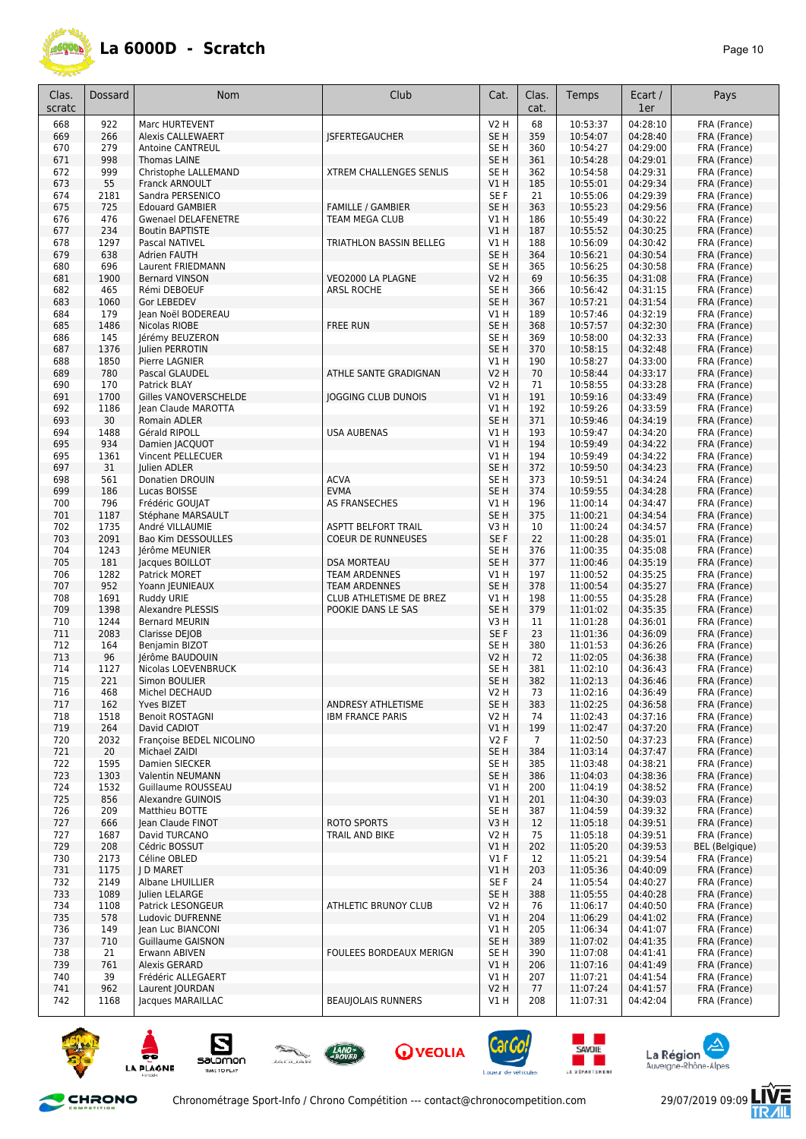

| Clas.<br>scratc | Dossard      | <b>Nom</b>                                  | Club                                          | Cat.                               | Clas.<br>cat. | Temps                | Ecart /<br>1er       | Pays                         |
|-----------------|--------------|---------------------------------------------|-----------------------------------------------|------------------------------------|---------------|----------------------|----------------------|------------------------------|
| 668             | 922          | <b>Marc HURTEVENT</b>                       |                                               | V2 H                               | 68            | 10:53:37             | 04:28:10             | FRA (France)                 |
| 669             | 266          | <b>Alexis CALLEWAERT</b>                    | <b>ISFERTEGAUCHER</b>                         | SE <sub>H</sub>                    | 359           | 10:54:07             | 04:28:40             | FRA (France)                 |
| 670             | 279          | Antoine CANTREUL                            |                                               | SE H                               | 360           | 10:54:27             | 04:29:00             | FRA (France)                 |
| 671<br>672      | 998<br>999   | <b>Thomas LAINE</b><br>Christophe LALLEMAND | <b>XTREM CHALLENGES SENLIS</b>                | SE <sub>H</sub><br>SE H            | 361<br>362    | 10:54:28<br>10:54:58 | 04:29:01<br>04:29:31 | FRA (France)<br>FRA (France) |
| 673             | 55           | Franck ARNOULT                              |                                               | V1 H                               | 185           | 10:55:01             | 04:29:34             | FRA (France)                 |
| 674             | 2181         | Sandra PERSENICO                            |                                               | SE F                               | 21            | 10:55:06             | 04:29:39             | FRA (France)                 |
| 675             | 725          | <b>Edouard GAMBIER</b>                      | <b>FAMILLE / GAMBIER</b>                      | SE <sub>H</sub>                    | 363           | 10:55:23             | 04:29:56             | FRA (France)                 |
| 676             | 476          | <b>Gwenael DELAFENETRE</b>                  | TEAM MEGA CLUB                                | V1 H                               | 186           | 10:55:49             | 04:30:22             | FRA (France)                 |
| 677             | 234          | <b>Boutin BAPTISTE</b>                      |                                               | V1 H                               | 187           | 10:55:52             | 04:30:25             | FRA (France)                 |
| 678<br>679      | 1297<br>638  | Pascal NATIVEL<br>Adrien FAUTH              | TRIATHLON BASSIN BELLEG                       | V1 H<br>SE <sub>H</sub>            | 188<br>364    | 10:56:09<br>10:56:21 | 04:30:42<br>04:30:54 | FRA (France)<br>FRA (France) |
| 680             | 696          | Laurent FRIEDMANN                           |                                               | SE <sub>H</sub>                    | 365           | 10:56:25             | 04:30:58             | FRA (France)                 |
| 681             | 1900         | <b>Bernard VINSON</b>                       | VEO2000 LA PLAGNE                             | V2 H                               | 69            | 10:56:35             | 04:31:08             | FRA (France)                 |
| 682             | 465          | Rémi DEBOEUF                                | ARSL ROCHE                                    | SE H                               | 366           | 10:56:42             | 04:31:15             | FRA (France)                 |
| 683             | 1060         | Gor LEBEDEV                                 |                                               | SE <sub>H</sub>                    | 367           | 10:57:21             | 04:31:54             | FRA (France)                 |
| 684             | 179          | Jean Noël BODEREAU                          |                                               | V1 H                               | 189           | 10:57:46             | 04:32:19             | FRA (France)                 |
| 685             | 1486<br>145  | Nicolas RIOBE                               | <b>FREE RUN</b>                               | SE <sub>H</sub><br>SE <sub>H</sub> | 368<br>369    | 10:57:57             | 04:32:30<br>04:32:33 | FRA (France)                 |
| 686<br>687      | 1376         | Jérémy BEUZERON<br>Julien PERROTIN          |                                               | SE <sub>H</sub>                    | 370           | 10:58:00<br>10:58:15 | 04:32:48             | FRA (France)<br>FRA (France) |
| 688             | 1850         | Pierre LAGNIER                              |                                               | <b>V1 H</b>                        | 190           | 10:58:27             | 04:33:00             | FRA (France)                 |
| 689             | 780          | Pascal GLAUDEL                              | ATHLE SANTE GRADIGNAN                         | <b>V2 H</b>                        | 70            | 10:58:44             | 04:33:17             | FRA (France)                 |
| 690             | 170          | Patrick BLAY                                |                                               | V2 H                               | 71            | 10:58:55             | 04:33:28             | FRA (France)                 |
| 691             | 1700         | Gilles VANOVERSCHELDE                       | JOGGING CLUB DUNOIS                           | V1 H                               | 191           | 10:59:16             | 04:33:49             | FRA (France)                 |
| 692             | 1186         | Jean Claude MAROTTA                         |                                               | V1 H                               | 192           | 10:59:26             | 04:33:59             | FRA (France)                 |
| 693<br>694      | 30<br>1488   | Romain ADLER<br>Gérald RIPOLL               | <b>USA AUBENAS</b>                            | SE <sub>H</sub><br>V1 H            | 371<br>193    | 10:59:46<br>10:59:47 | 04:34:19<br>04:34:20 | FRA (France)<br>FRA (France) |
| 695             | 934          | Damien JACQUOT                              |                                               | V1H                                | 194           | 10:59:49             | 04:34:22             | FRA (France)                 |
| 695             | 1361         | Vincent PELLECUER                           |                                               | V1 H                               | 194           | 10:59:49             | 04:34:22             | FRA (France)                 |
| 697             | 31           | Julien ADLER                                |                                               | SE <sub>H</sub>                    | 372           | 10:59:50             | 04:34:23             | FRA (France)                 |
| 698             | 561          | Donatien DROUIN                             | <b>ACVA</b>                                   | SE <sub>H</sub>                    | 373           | 10:59:51             | 04:34:24             | FRA (France)                 |
| 699             | 186          | Lucas BOISSE                                | <b>EVMA</b>                                   | SE <sub>H</sub>                    | 374           | 10:59:55             | 04:34:28             | FRA (France)                 |
| 700<br>701      | 796<br>1187  | Frédéric GOUJAT<br>Stéphane MARSAULT        | <b>AS FRANSECHES</b>                          | V1 H<br>SE <sub>H</sub>            | 196<br>375    | 11:00:14<br>11:00:21 | 04:34:47<br>04:34:54 | FRA (France)                 |
| 702             | 1735         | André VILLAUMIE                             | ASPTT BELFORT TRAIL                           | V3 H                               | 10            | 11:00:24             | 04:34:57             | FRA (France)<br>FRA (France) |
| 703             | 2091         | Bao Kim DESSOULLES                          | <b>COEUR DE RUNNEUSES</b>                     | SE F                               | 22            | 11:00:28             | 04:35:01             | FRA (France)                 |
| 704             | 1243         | Jérôme MEUNIER                              |                                               | SE <sub>H</sub>                    | 376           | 11:00:35             | 04:35:08             | FRA (France)                 |
| 705             | 181          | Jacques BOILLOT                             | <b>DSA MORTEAU</b>                            | SE <sub>H</sub>                    | 377           | 11:00:46             | 04:35:19             | FRA (France)                 |
| 706             | 1282         | Patrick MORET                               | <b>TEAM ARDENNES</b>                          | V1 H                               | 197           | 11:00:52             | 04:35:25             | FRA (France)                 |
| 707<br>708      | 952<br>1691  | Yoann JEUNIEAUX                             | <b>TEAM ARDENNES</b>                          | SE <sub>H</sub><br>V1 H            | 378<br>198    | 11:00:54<br>11:00:55 | 04:35:27<br>04:35:28 | FRA (France)                 |
| 709             | 1398         | Ruddy URIE<br><b>Alexandre PLESSIS</b>      | CLUB ATHLETISME DE BREZ<br>POOKIE DANS LE SAS | SE <sub>H</sub>                    | 379           | 11:01:02             | 04:35:35             | FRA (France)<br>FRA (France) |
| 710             | 1244         | <b>Bernard MEURIN</b>                       |                                               | V3 H                               | 11            | 11:01:28             | 04:36:01             | FRA (France)                 |
| 711             | 2083         | Clarisse DEJOB                              |                                               | SE F                               | 23            | 11:01:36             | 04:36:09             | FRA (France)                 |
| 712             | 164          | Benjamin BIZOT                              |                                               | SE <sub>H</sub>                    | 380           | 11:01:53             | 04:36:26             | FRA (France)                 |
| 713             | 96           | Jérôme BAUDOUIN                             |                                               | V2 H                               | 72            | 11:02:05             | 04:36:38             | FRA (France)                 |
| 714             | 1127         | Nicolas LOEVENBRUCK                         |                                               | SE H                               | 381           | 11:02:10             | 04:36:43             | FRA (France)                 |
| 715<br>716      | 221<br>468   | Simon BOULIER<br>Michel DECHAUD             |                                               | SE <sub>H</sub><br>V2 H            | 382<br>73     | 11:02:13<br>11:02:16 | 04:36:46<br>04:36:49 | FRA (France)<br>FRA (France) |
| 717             | 162          | Yves BIZET                                  | ANDRESY ATHLETISME                            | SE <sub>H</sub>                    | 383           | 11:02:25             | 04:36:58             | FRA (France)                 |
| 718             | 1518         | <b>Benoit ROSTAGNI</b>                      | <b>IBM FRANCE PARIS</b>                       | V2 H                               | 74            | 11:02:43             | 04:37:16             | FRA (France)                 |
| 719             | 264          | David CADIOT                                |                                               | V1 H                               | 199           | 11:02:47             | 04:37:20             | FRA (France)                 |
| 720             | 2032         | Françoise BEDEL NICOLINO                    |                                               | V2F                                | 7             | 11:02:50             | 04:37:23             | FRA (France)                 |
| 721             | 20           | Michael ZAIDI                               |                                               | SE <sub>H</sub>                    | 384           | 11:03:14             | 04:37:47             | FRA (France)                 |
| 722<br>723      | 1595<br>1303 | Damien SIECKER<br>Valentin NEUMANN          |                                               | SE H<br>SE <sub>H</sub>            | 385<br>386    | 11:03:48<br>11:04:03 | 04:38:21<br>04:38:36 | FRA (France)<br>FRA (France) |
| 724             | 1532         | Guillaume ROUSSEAU                          |                                               | V1 H                               | 200           | 11:04:19             | 04:38:52             | FRA (France)                 |
| 725             | 856          | Alexandre GUINOIS                           |                                               | V1 H                               | 201           | 11:04:30             | 04:39:03             | FRA (France)                 |
| 726             | 209          | Matthieu BOTTE                              |                                               | SE H                               | 387           | 11:04:59             | 04:39:32             | FRA (France)                 |
| 727             | 666          | Jean Claude FINOT                           | <b>ROTO SPORTS</b>                            | V3 H                               | 12            | 11:05:18             | 04:39:51             | FRA (France)                 |
| 727             | 1687         | David TURCANO                               | TRAIL AND BIKE                                | V2 H                               | 75            | 11:05:18             | 04:39:51             | FRA (France)                 |
| 729             | 208          | Cédric BOSSUT                               |                                               | V1H                                | 202           | 11:05:20             | 04:39:53<br>04:39:54 | <b>BEL</b> (Belgique)        |
| 730<br>731      | 2173<br>1175 | Céline OBLED<br>J D MARET                   |                                               | $VI$ F<br>V1 H                     | 12<br>203     | 11:05:21<br>11:05:36 | 04:40:09             | FRA (France)<br>FRA (France) |
| 732             | 2149         | Albane LHUILLIER                            |                                               | SE <sub>F</sub>                    | 24            | 11:05:54             | 04:40:27             | FRA (France)                 |
| 733             | 1089         | Julien LELARGE                              |                                               | SE H                               | 388           | 11:05:55             | 04:40:28             | FRA (France)                 |
| 734             | 1108         | Patrick LESONGEUR                           | ATHLETIC BRUNOY CLUB                          | V2 H                               | 76            | 11:06:17             | 04:40:50             | FRA (France)                 |
| 735             | 578          | Ludovic DUFRENNE                            |                                               | V1H                                | 204           | 11:06:29             | 04:41:02             | FRA (France)                 |
| 736             | 149          | Jean Luc BIANCONI                           |                                               | <b>V1 H</b>                        | 205           | 11:06:34             | 04:41:07             | FRA (France)                 |
| 737<br>738      | 710<br>21    | <b>Guillaume GAISNON</b><br>Erwann ABIVEN   | FOULEES BORDEAUX MERIGN                       | SE H<br>SE H                       | 389<br>390    | 11:07:02<br>11:07:08 | 04:41:35<br>04:41:41 | FRA (France)<br>FRA (France) |
| 739             | 761          | Alexis GERARD                               |                                               | V1 H                               | 206           | 11:07:16             | 04:41:49             | FRA (France)                 |
| 740             | 39           | Frédéric ALLEGAERT                          |                                               | V1 H                               | 207           | 11:07:21             | 04:41:54             | FRA (France)                 |
| 741             | 962          | Laurent JOURDAN                             |                                               | V2 H                               | 77            | 11:07:24             | 04:41:57             | FRA (France)                 |
| 742             | 1168         | Jacques MARAILLAC                           | <b>BEAUJOLAIS RUNNERS</b>                     | V1 H                               | 208           | 11:07:31             | 04:42:04             | FRA (France)                 |















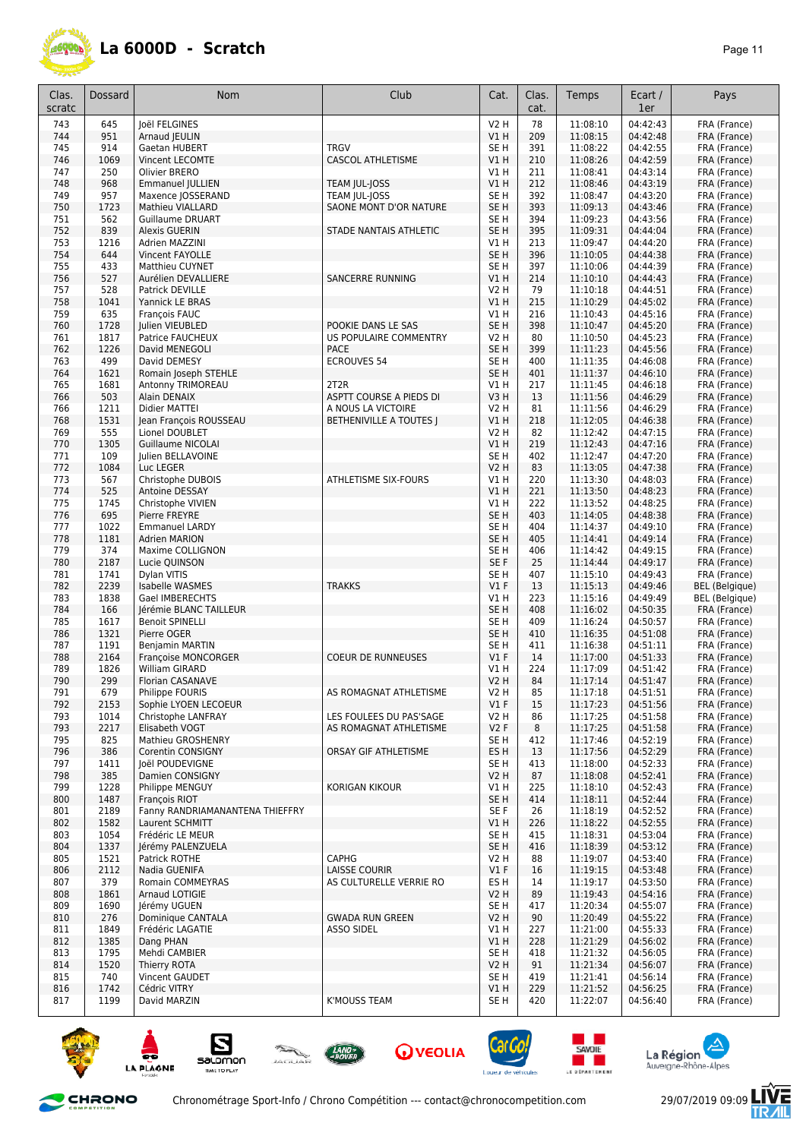

| Clas.<br>scratc | <b>Dossard</b> | <b>Nom</b>                                | Club                                         | Cat.                           | Clas.<br>cat. | Temps                | Ecart /<br>1er       | Pays                                           |
|-----------------|----------------|-------------------------------------------|----------------------------------------------|--------------------------------|---------------|----------------------|----------------------|------------------------------------------------|
| 743             | 645            | Joël FELGINES                             |                                              | <b>V2 H</b>                    | 78            | 11:08:10             | 04:42:43             | FRA (France)                                   |
| 744             | 951            | Arnaud JEULIN                             |                                              | V1H                            | 209           | 11:08:15             | 04:42:48             | FRA (France)                                   |
| 745             | 914            | Gaetan HUBERT                             | <b>TRGV</b>                                  | SE <sub>H</sub>                | 391           | 11:08:22             | 04:42:55             | FRA (France)                                   |
| 746<br>747      | 1069<br>250    | Vincent LECOMTE<br>Olivier BRERO          | <b>CASCOL ATHLETISME</b>                     | VIH<br>V1 H                    | 210<br>211    | 11:08:26<br>11:08:41 | 04:42:59<br>04:43:14 | FRA (France)<br>FRA (France)                   |
| 748             | 968            | <b>Emmanuel JULLIEN</b>                   | TEAM JUL-JOSS                                | V1 H                           | 212           | 11:08:46             | 04:43:19             | FRA (France)                                   |
| 749             | 957            | Maxence JOSSERAND                         | TEAM JUL-JOSS                                | SE <sub>H</sub>                | 392           | 11:08:47             | 04:43:20             | FRA (France)                                   |
| 750             | 1723           | Mathieu VIALLARD                          | SAONE MONT D'OR NATURE                       | SE <sub>H</sub>                | 393           | 11:09:13             | 04:43:46             | FRA (France)                                   |
| 751             | 562            | <b>Guillaume DRUART</b>                   |                                              | SE <sub>H</sub>                | 394           | 11:09:23             | 04:43:56             | FRA (France)                                   |
| 752             | 839            | <b>Alexis GUERIN</b>                      | <b>STADE NANTAIS ATHLETIC</b>                | SE <sub>H</sub>                | 395           | 11:09:31             | 04:44:04             | FRA (France)                                   |
| 753<br>754      | 1216<br>644    | Adrien MAZZINI<br>Vincent FAYOLLE         |                                              | V1 H<br>SE <sub>H</sub>        | 213<br>396    | 11:09:47<br>11:10:05 | 04:44:20<br>04:44:38 | FRA (France)<br>FRA (France)                   |
| 755             | 433            | Matthieu CUYNET                           |                                              | SE <sub>H</sub>                | 397           | 11:10:06             | 04:44:39             | FRA (France)                                   |
| 756             | 527            | Aurélien DEVALLIERE                       | <b>SANCERRE RUNNING</b>                      | V1H                            | 214           | 11:10:10             | 04:44:43             | FRA (France)                                   |
| 757             | 528            | Patrick DEVILLE                           |                                              | <b>V2 H</b>                    | 79            | 11:10:18             | 04:44:51             | FRA (France)                                   |
| 758             | 1041           | Yannick LE BRAS                           |                                              | V1H                            | 215           | 11:10:29             | 04:45:02             | FRA (France)                                   |
| 759             | 635            | François FAUC                             |                                              | V1H                            | 216           | 11:10:43             | 04:45:16             | FRA (France)                                   |
| 760<br>761      | 1728<br>1817   | Julien VIEUBLED<br>Patrice FAUCHEUX       | POOKIE DANS LE SAS<br>US POPULAIRE COMMENTRY | SE <sub>H</sub><br><b>V2 H</b> | 398<br>80     | 11:10:47<br>11:10:50 | 04:45:20<br>04:45:23 | FRA (France)<br>FRA (France)                   |
| 762             | 1226           | David MENEGOLI                            | <b>PACE</b>                                  | SE <sub>H</sub>                | 399           | 11:11:23             | 04:45:56             | FRA (France)                                   |
| 763             | 499            | David DEMESY                              | <b>ECROUVES 54</b>                           | SE <sub>H</sub>                | 400           | 11:11:35             | 04:46:08             | FRA (France)                                   |
| 764             | 1621           | Romain Joseph STEHLE                      |                                              | SE <sub>H</sub>                | 401           | 11:11:37             | 04:46:10             | FRA (France)                                   |
| 765             | 1681           | Antonny TRIMOREAU                         | 2T2R                                         | V1 H                           | 217           | 11:11:45             | 04:46:18             | FRA (France)                                   |
| 766             | 503            | Alain DENAIX                              | ASPTT COURSE A PIEDS DI                      | V3H                            | 13            | 11:11:56             | 04:46:29             | FRA (France)                                   |
| 766             | 1211           | <b>Didier MATTEI</b>                      | A NOUS LA VICTOIRE                           | V2 H                           | 81            | 11:11:56             | 04:46:29             | FRA (France)                                   |
| 768<br>769      | 1531<br>555    | Jean François ROUSSEAU<br>Lionel DOUBLET  | BETHENIVILLE A TOUTES J                      | V1H<br><b>V2 H</b>             | 218<br>82     | 11:12:05<br>11:12:42 | 04:46:38<br>04:47:15 | FRA (France)<br>FRA (France)                   |
| 770             | 1305           | <b>Guillaume NICOLAI</b>                  |                                              | V1H                            | 219           | 11:12:43             | 04:47:16             | FRA (France)                                   |
| 771             | 109            | <b>Iulien BELLAVOINE</b>                  |                                              | SE H                           | 402           | 11:12:47             | 04:47:20             | FRA (France)                                   |
| 772             | 1084           | Luc LEGER                                 |                                              | <b>V2 H</b>                    | 83            | 11:13:05             | 04:47:38             | FRA (France)                                   |
| 773             | 567            | Christophe DUBOIS                         | ATHLETISME SIX-FOURS                         | V1 H                           | 220           | 11:13:30             | 04:48:03             | FRA (France)                                   |
| 774             | 525            | Antoine DESSAY                            |                                              | V1H                            | 221           | 11:13:50             | 04:48:23             | FRA (France)                                   |
| 775<br>776      | 1745<br>695    | Christophe VIVIEN<br>Pierre FREYRE        |                                              | V1H<br>SE <sub>H</sub>         | 222<br>403    | 11:13:52<br>11:14:05 | 04:48:25<br>04:48:38 | FRA (France)<br>FRA (France)                   |
| 777             | 1022           | <b>Emmanuel LARDY</b>                     |                                              | SE H                           | 404           | 11:14:37             | 04:49:10             | FRA (France)                                   |
| 778             | 1181           | <b>Adrien MARION</b>                      |                                              | SE <sub>H</sub>                | 405           | 11:14:41             | 04:49:14             | FRA (France)                                   |
| 779             | 374            | Maxime COLLIGNON                          |                                              | SE H                           | 406           | 11:14:42             | 04:49:15             | FRA (France)                                   |
| 780             | 2187           | Lucie QUINSON                             |                                              | SE F                           | 25            | 11:14:44             | 04:49:17             | FRA (France)                                   |
| 781             | 1741           | Dylan VITIS                               |                                              | SE <sub>H</sub>                | 407           | 11:15:10             | 04:49:43             | FRA (France)                                   |
| 782<br>783      | 2239<br>1838   | Isabelle WASMES<br>Gael IMBERECHTS        | <b>TRAKKS</b>                                | $VI$ F<br>V1 H                 | 13<br>223     | 11:15:13<br>11:15:16 | 04:49:46<br>04:49:49 | <b>BEL</b> (Belgique)<br><b>BEL</b> (Belgique) |
| 784             | 166            | Jérémie BLANC TAILLEUR                    |                                              | SE <sub>H</sub>                | 408           | 11:16:02             | 04:50:35             | FRA (France)                                   |
| 785             | 1617           | <b>Benoit SPINELLI</b>                    |                                              | SE <sub>H</sub>                | 409           | 11:16:24             | 04:50:57             | FRA (France)                                   |
| 786             | 1321           | Pierre OGER                               |                                              | SE <sub>H</sub>                | 410           | 11:16:35             | 04:51:08             | FRA (France)                                   |
| 787             | 1191           | <b>Benjamin MARTIN</b>                    |                                              | SE <sub>H</sub>                | 411           | 11:16:38             | 04:51:11             | FRA (France)                                   |
| 788             | 2164           | Françoise MONCORGER                       | <b>COEUR DE RUNNEUSES</b>                    | $VI$ F                         | 14            | 11:17:00             | 04:51:33             | FRA (France)                                   |
| 789<br>790      | 1826<br>299    | William GIRARD<br><b>Florian CASANAVE</b> |                                              | V1 H<br>V2 H                   | 224<br>84     | 11:17:09<br>11:17:14 | 04:51:42<br>04:51:47 | FRA (France)<br>FRA (France)                   |
| 791             | 679            | Philippe FOURIS                           | AS ROMAGNAT ATHLETISME                       | V2 H                           | 85            | 11:17:18             | 04:51:51             | FRA (France)                                   |
| 792             | 2153           | Sophie LYOEN LECOEUR                      |                                              | V1F                            | 15            | 11:17:23             | 04:51:56             | FRA (France)                                   |
| 793             | 1014           | <b>Christophe LANFRAY</b>                 | LES FOULEES DU PAS'SAGE                      | V2 H                           | 86            | 11:17:25             | 04:51:58             | FRA (France)                                   |
| 793             | 2217           | Elisabeth VOGT                            | AS ROMAGNAT ATHLETISME                       | <b>V2F</b>                     | 8             | 11:17:25             | 04:51:58             | FRA (France)                                   |
| 795             | 825            | Mathieu GROSHENRY                         |                                              | SE H                           | 412           | 11:17:46             | 04:52:19             | FRA (France)                                   |
| 796<br>797      | 386<br>1411    | Corentin CONSIGNY<br>Joël POUDEVIGNE      | ORSAY GIF ATHLETISME                         | ES H<br>SE H                   | 13<br>413     | 11:17:56<br>11:18:00 | 04:52:29<br>04:52:33 | FRA (France)<br>FRA (France)                   |
| 798             | 385            | Damien CONSIGNY                           |                                              | <b>V2 H</b>                    | 87            | 11:18:08             | 04:52:41             | FRA (France)                                   |
| 799             | 1228           | Philippe MENGUY                           | KORIGAN KIKOUR                               | V1 H                           | 225           | 11:18:10             | 04:52:43             | FRA (France)                                   |
| 800             | 1487           | Francois RIOT                             |                                              | SE <sub>H</sub>                | 414           | 11:18:11             | 04:52:44             | FRA (France)                                   |
| 801             | 2189           | Fanny RANDRIAMANANTENA THIEFFRY           |                                              | SE F                           | 26            | 11:18:19             | 04:52:52             | FRA (France)                                   |
| 802             | 1582           | Laurent SCHMITT                           |                                              | V1 H                           | 226           | 11:18:22             | 04:52:55             | FRA (France)                                   |
| 803<br>804      | 1054<br>1337   | Frédéric LE MEUR<br>Jérémy PALENZUELA     |                                              | SE H<br>SE H                   | 415<br>416    | 11:18:31<br>11:18:39 | 04:53:04<br>04:53:12 | FRA (France)<br>FRA (France)                   |
| 805             | 1521           | Patrick ROTHE                             | <b>CAPHG</b>                                 | V2 H                           | 88            | 11:19:07             | 04:53:40             | FRA (France)                                   |
| 806             | 2112           | Nadia GUENIFA                             | <b>LAISSE COURIR</b>                         | $VI$ F                         | 16            | 11:19:15             | 04:53:48             | FRA (France)                                   |
| 807             | 379            | Romain COMMEYRAS                          | AS CULTURELLE VERRIE RO                      | ES H                           | 14            | 11:19:17             | 04:53:50             | FRA (France)                                   |
| 808             | 1861           | Arnaud LOTIGIE                            |                                              | <b>V2 H</b>                    | 89            | 11:19:43             | 04:54:16             | FRA (France)                                   |
| 809             | 1690           | Jérémy UGUEN                              |                                              | SE <sub>H</sub>                | 417           | 11:20:34             | 04:55:07             | FRA (France)                                   |
| 810             | 276            | Dominique CANTALA                         | <b>GWADA RUN GREEN</b>                       | <b>V2 H</b>                    | 90            | 11:20:49             | 04:55:22<br>04:55:33 | FRA (France)                                   |
| 811<br>812      | 1849<br>1385   | Frédéric LAGATIE<br>Dang PHAN             | <b>ASSO SIDEL</b>                            | V1 H<br>V1H                    | 227<br>228    | 11:21:00<br>11:21:29 | 04:56:02             | FRA (France)<br>FRA (France)                   |
| 813             | 1795           | Mehdi CAMBIER                             |                                              | SE H                           | 418           | 11:21:32             | 04:56:05             | FRA (France)                                   |
| 814             | 1520           | Thierry ROTA                              |                                              | V2 H                           | 91            | 11:21:34             | 04:56:07             | FRA (France)                                   |
| 815             | 740            | Vincent GAUDET                            |                                              | SE H                           | 419           | 11:21:41             | 04:56:14             | FRA (France)                                   |
| 816             | 1742           | Cédric VITRY                              |                                              | V1H                            | 229           | 11:21:52             | 04:56:25             | FRA (France)                                   |
| 817             | 1199           | David MARZIN                              | <b>K'MOUSS TEAM</b>                          | SE H                           | 420           | 11:22:07             | 04:56:40             | FRA (France)                                   |











and the second





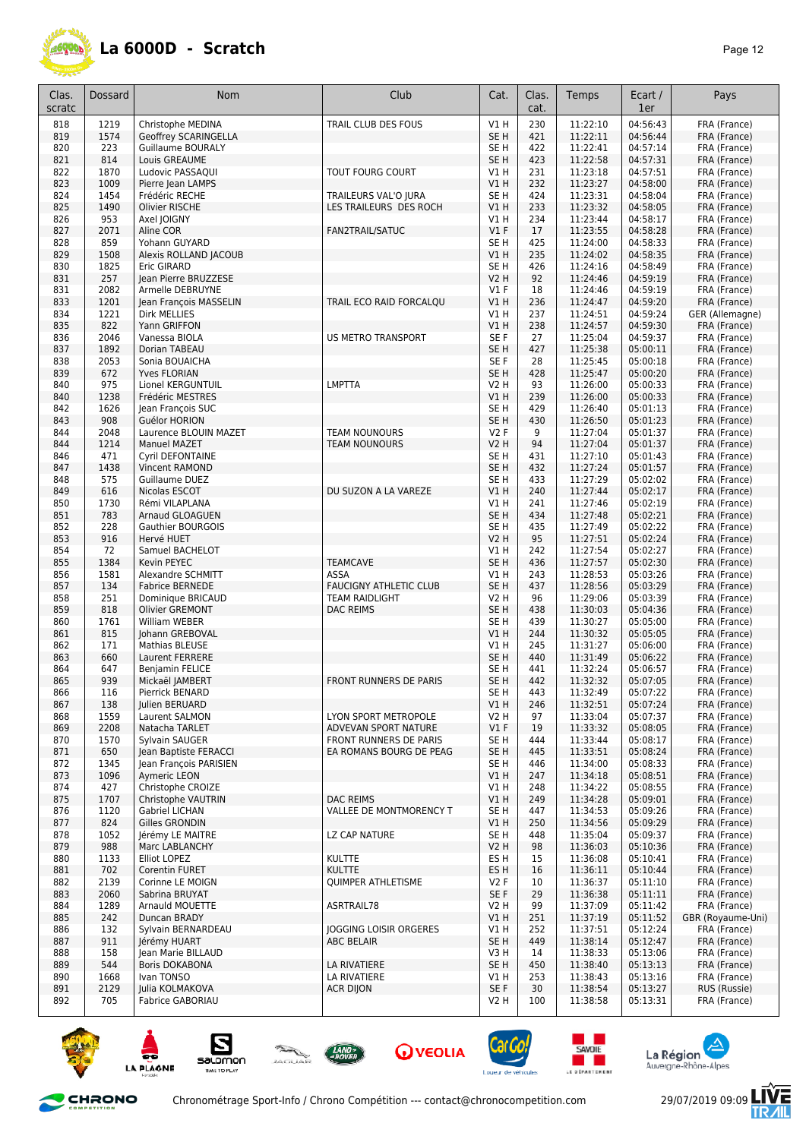

| Clas.<br>scratc | <b>Dossard</b> | Nom                      | Club                          | Cat.             | Clas.<br>cat. | Temps    | Ecart /<br>1er | Pays              |
|-----------------|----------------|--------------------------|-------------------------------|------------------|---------------|----------|----------------|-------------------|
| 818             | 1219           | Christophe MEDINA        | TRAIL CLUB DES FOUS           | V1 H             | 230           | 11:22:10 | 04:56:43       | FRA (France)      |
| 819             | 1574           | Geoffrey SCARINGELLA     |                               | SE H             | 421           | 11:22:11 | 04:56:44       | FRA (France)      |
| 820             | 223            | Guillaume BOURALY        |                               | SE <sub>H</sub>  | 422           | 11:22:41 | 04:57:14       | FRA (France)      |
| 821             | 814            | Louis GREAUME            |                               | SE <sub>H</sub>  | 423           | 11:22:58 | 04:57:31       | FRA (France)      |
| 822             | 1870           | Ludovic PASSAQUI         | TOUT FOURG COURT              | V1 H             | 231           | 11:23:18 | 04:57:51       | FRA (France)      |
| 823             | 1009           | Pierre Jean LAMPS        |                               | V1 H             | 232           | 11:23:27 | 04:58:00       | FRA (France)      |
| 824             | 1454           | Frédéric RECHE           | TRAILEURS VAL'O JURA          | SE H             | 424           | 11:23:31 | 04:58:04       | FRA (France)      |
| 825             | 1490           | Olivier RISCHE           | LES TRAILEURS DES ROCH        | V1H              | 233           | 11:23:32 | 04:58:05       | FRA (France)      |
| 826             | 953            | Axel JOIGNY              |                               | V1 H             | 234           | 11:23:44 | 04:58:17       | FRA (France)      |
| 827             | 2071           | Aline COR                | FAN2TRAIL/SATUC               | V1F              | 17            | 11:23:55 | 04:58:28       | FRA (France)      |
| 828             | 859            | Yohann GUYARD            |                               | SE <sub>H</sub>  | 425           | 11:24:00 | 04:58:33       | FRA (France)      |
| 829             | 1508           | Alexis ROLLAND JACOUB    |                               | V1 H             | 235           | 11:24:02 | 04:58:35       | FRA (France)      |
| 830             | 1825           | Eric GIRARD              |                               | SE <sub>H</sub>  | 426           | 11:24:16 | 04:58:49       | FRA (France)      |
| 831             | 257            | Jean Pierre BRUZZESE     |                               | <b>V2 H</b>      | 92            | 11:24:46 | 04:59:19       | FRA (France)      |
| 831             | 2082           | Armelle DEBRUYNE         |                               | $VI$ F           | 18            | 11:24:46 | 04:59:19       | FRA (France)      |
| 833             | 1201           | Jean François MASSELIN   | TRAIL ECO RAID FORCALQU       | <b>V1 H</b>      | 236           | 11:24:47 | 04:59:20       | FRA (France)      |
| 834             | 1221           | <b>Dirk MELLIES</b>      |                               | V1H              | 237           | 11:24:51 | 04:59:24       | GER (Allemagne)   |
| 835             | 822            | Yann GRIFFON             |                               | V1H              | 238           | 11:24:57 | 04:59:30       | FRA (France)      |
| 836             | 2046           | Vanessa BIOLA            | <b>US METRO TRANSPORT</b>     | SE <sub>F</sub>  | 27            | 11:25:04 | 04:59:37       | FRA (France)      |
| 837             | 1892           | Dorian TABEAU            |                               | SE <sub>H</sub>  | 427           | 11:25:38 | 05:00:11       | FRA (France)      |
| 838             | 2053           | Sonia BOUAICHA           |                               | SE F             | 28            | 11:25:45 | 05:00:18       | FRA (France)      |
| 839             | 672            | Yves FLORIAN             |                               | SE <sub>H</sub>  | 428           | 11:25:47 | 05:00:20       | FRA (France)      |
| 840             | 975            | Lionel KERGUNTUIL        | <b>LMPTTA</b>                 | V2 H             | 93            | 11:26:00 | 05:00:33       | FRA (France)      |
| 840             | 1238           | Frédéric MESTRES         |                               | V1 H             | 239           | 11:26:00 | 05:00:33       | FRA (France)      |
| 842             | 1626           | Jean François SUC        |                               | SE <sub>H</sub>  | 429           | 11:26:40 | 05:01:13       | FRA (France)      |
| 843             | 908            | Guélor HORION            |                               | SE H             | 430           | 11:26:50 | 05:01:23       | FRA (France)      |
| 844             | 2048           | Laurence BLOUIN MAZET    | <b>TEAM NOUNOURS</b>          | V2F              | 9             | 11:27:04 | 05:01:37       | FRA (France)      |
| 844             | 1214           | <b>Manuel MAZET</b>      | <b>TEAM NOUNOURS</b>          | V2 H             | 94            | 11:27:04 | 05:01:37       | FRA (France)      |
| 846             | 471            | Cyril DEFONTAINE         |                               | SE <sub>H</sub>  | 431           | 11:27:10 | 05:01:43       | FRA (France)      |
| 847             | 1438           | Vincent RAMOND           |                               | SE <sub>H</sub>  | 432           | 11:27:24 | 05:01:57       | FRA (France)      |
| 848             | 575            | Guillaume DUEZ           |                               | SE H             | 433           | 11:27:29 | 05:02:02       | FRA (France)      |
| 849             | 616            | Nicolas ESCOT            | DU SUZON A LA VAREZE          | V1H              | 240           | 11:27:44 | 05:02:17       | FRA (France)      |
| 850             | 1730           | Rémi VILAPLANA           |                               | V1H              | 241           | 11:27:46 | 05:02:19       | FRA (France)      |
| 851             | 783            | Arnaud GLOAGUEN          |                               | SE <sub>H</sub>  | 434           | 11:27:48 | 05:02:21       | FRA (France)      |
| 852             | 228            | <b>Gauthier BOURGOIS</b> |                               | SE <sub>H</sub>  | 435           | 11:27:49 | 05:02:22       | FRA (France)      |
| 853             | 916            | Hervé HUET               |                               | <b>V2 H</b>      | 95            | 11:27:51 | 05:02:24       | FRA (France)      |
| 854             | 72             | Samuel BACHELOT          |                               | V1 H             | 242           | 11:27:54 | 05:02:27       | FRA (France)      |
| 855             | 1384           | Kevin PEYEC              | <b>TEAMCAVE</b>               | SE <sub>H</sub>  | 436           | 11:27:57 | 05:02:30       | FRA (France)      |
| 856             | 1581           | Alexandre SCHMITT        | ASSA                          | V1 H             | 243           | 11:28:53 | 05:03:26       | FRA (France)      |
| 857             | 134            | <b>Fabrice BERNEDE</b>   | <b>FAUCIGNY ATHLETIC CLUB</b> | SE <sub>H</sub>  | 437           | 11:28:56 | 05:03:29       | FRA (France)      |
| 858             | 251            | Dominique BRICAUD        | <b>TEAM RAIDLIGHT</b>         | <b>V2 H</b>      | 96            | 11:29:06 | 05:03:39       | FRA (France)      |
| 859             | 818            | <b>Olivier GREMONT</b>   | <b>DAC REIMS</b>              | SE <sub>H</sub>  | 438           | 11:30:03 | 05:04:36       | FRA (France)      |
| 860             | 1761           | William WEBER            |                               | SE <sub>H</sub>  | 439           | 11:30:27 | 05:05:00       | FRA (France)      |
| 861             | 815            | Johann GREBOVAL          |                               | V1H              | 244           | 11:30:32 | 05:05:05       | FRA (France)      |
| 862             | 171            | Mathias BLEUSE           |                               | V1H              | 245           | 11:31:27 | 05:06:00       | FRA (France)      |
| 863             | 660            | Laurent FERRERE          |                               | SE <sub>H</sub>  | 440           | 11:31:49 | 05:06:22       | FRA (France)      |
| 864             | 647            | Benjamin FELICE          |                               | SE <sub>H</sub>  | 441           | 11:32:24 | 05:06:57       | FRA (France)      |
| 865             | 939            | Mickaël JAMBERT          | FRONT RUNNERS DE PARIS        | SE <sub>H</sub>  | 442           | 11:32:32 | 05:07:05       | FRA (France)      |
| 866             | 116            | Pierrick BENARD          |                               | SE H             | 443           | 11:32:49 | 05:07:22       | FRA (France)      |
| 867             | 138            | Julien BERUARD           |                               | V1H              | 246           | 11:32:51 | 05:07:24       | FRA (France)      |
| 868             | 1559           | Laurent SALMON           | LYON SPORT METROPOLE          | V2 H             | 97            | 11:33:04 | 05:07:37       | FRA (France)      |
| 869             | 2208           | Natacha TARLET           | ADVEVAN SPORT NATURE          | $VI$ F           | 19            | 11:33:32 | 05:08:05       | FRA (France)      |
| 870             | 1570           | Sylvain SAUGER           | FRONT RUNNERS DE PARIS        | SE <sub>H</sub>  | 444           | 11:33:44 | 05:08:17       | FRA (France)      |
| 871             | 650            | Jean Baptiste FERACCI    | EA ROMANS BOURG DE PEAG       | SE <sub>H</sub>  | 445           | 11:33:51 | 05:08:24       | FRA (France)      |
| 872             | 1345           | Jean François PARISIEN   |                               | SE H             | 446           | 11:34:00 | 05:08:33       | FRA (France)      |
| 873             | 1096           | Aymeric LEON             |                               | V1H              | 247           | 11:34:18 | 05:08:51       | FRA (France)      |
| 874             | 427            | Christophe CROIZE        |                               | V1 H             | 248           | 11:34:22 | 05:08:55       | FRA (France)      |
| 875             | 1707           | Christophe VAUTRIN       | <b>DAC REIMS</b>              | V1H              | 249           | 11:34:28 | 05:09:01       | FRA (France)      |
| 876             | 1120           | Gabriel LICHAN           | VALLEE DE MONTMORENCY T       | SE <sub>H</sub>  | 447           | 11:34:53 | 05:09:26       | FRA (France)      |
| 877             | 824            | <b>Gilles GRONDIN</b>    |                               | VIH              | 250           | 11:34:56 | 05:09:29       | FRA (France)      |
| 878             | 1052           | Jérémy LE MAITRE         | LZ CAP NATURE                 | SE H             | 448           | 11:35:04 | 05:09:37       | FRA (France)      |
| 879             | 988            | Marc LABLANCHY           |                               | V2 H             | 98            | 11:36:03 | 05:10:36       | FRA (France)      |
| 880             | 1133           | Elliot LOPEZ             | <b>KULTTE</b>                 | ES H             | 15            | 11:36:08 | 05:10:41       | FRA (France)      |
| 881             | 702            | Corentin FURET           | <b>KULTTE</b>                 | ES H             | 16            | 11:36:11 | 05:10:44       | FRA (France)      |
| 882             | 2139           | Corinne LE MOIGN         | <b>QUIMPER ATHLETISME</b>     | V2F              | 10            | 11:36:37 | 05:11:10       | FRA (France)      |
| 883             | 2060           | Sabrina BRUYAT           |                               | SE F             | 29            | 11:36:38 | 05:11:11       | FRA (France)      |
| 884             | 1289           | Arnauld MOUETTE          | ASRTRAIL78                    | V2 H             | 99            | 11:37:09 | 05:11:42       | FRA (France)      |
| 885             | 242            | Duncan BRADY             |                               | <b>V1 H</b>      | 251           | 11:37:19 | 05:11:52       | GBR (Royaume-Uni) |
| 886             | 132            | Sylvain BERNARDEAU       | JOGGING LOISIR ORGERES        | V1 H             | 252           | 11:37:51 | 05:12:24       | FRA (France)      |
| 887             | 911            | Jérémy HUART             | <b>ABC BELAIR</b>             | SE <sub>H</sub>  | 449           | 11:38:14 | 05:12:47       | FRA (France)      |
| 888             | 158            | Jean Marie BILLAUD       |                               | V3H              | 14            | 11:38:33 | 05:13:06       | FRA (France)      |
| 889             | 544            | <b>Boris DOKABONA</b>    | LA RIVATIERE                  | SE H             | 450           | 11:38:40 | 05:13:13       | FRA (France)      |
| 890             | 1668           | Ivan TONSO               | LA RIVATIERE                  | V1 H             | 253           | 11:38:43 | 05:13:16       | FRA (France)      |
| 891             | 2129           | Julia KOLMAKOVA          | <b>ACR DIJON</b>              | SE F             | 30            | 11:38:54 | 05:13:27       | RUS (Russie)      |
| 892             | 705            | Fabrice GABORIAU         |                               | V <sub>2</sub> H | 100           | 11:38:58 | 05:13:31       | FRA (France)      |















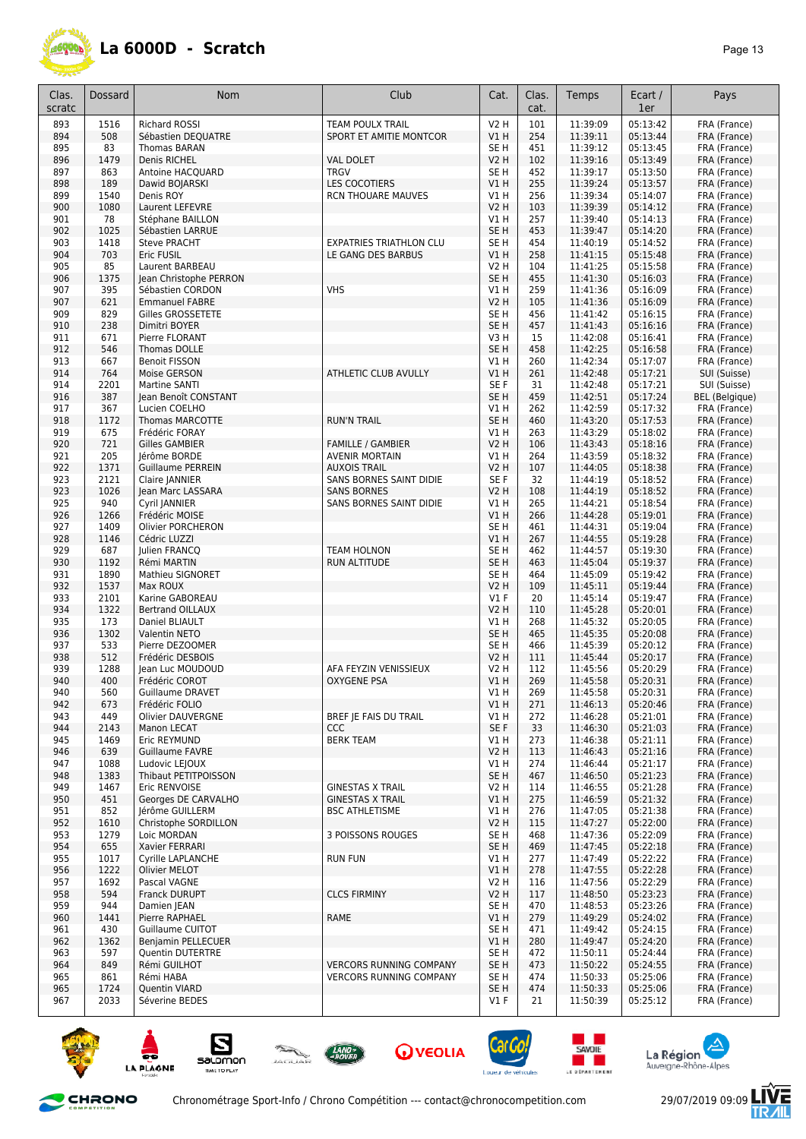

| Clas.<br>scratc | Dossard     | Nom                                        | Club                                                 | Cat.                   | Clas.<br>cat. | Temps                | Ecart /<br>1er       | Pays                         |
|-----------------|-------------|--------------------------------------------|------------------------------------------------------|------------------------|---------------|----------------------|----------------------|------------------------------|
| 893             | 1516        | <b>Richard ROSSI</b>                       | <b>TEAM POULX TRAIL</b>                              | <b>V2 H</b>            | 101           | 11:39:09             | 05:13:42             | FRA (France)                 |
| 894             | 508         | Sébastien DEQUATRE                         | SPORT ET AMITIE MONTCOR                              | V1H                    | 254           | 11:39:11             | 05:13:44             | FRA (France)                 |
| 895             | 83          | Thomas BARAN                               |                                                      | SE <sub>H</sub>        | 451           | 11:39:12             | 05:13:45             | FRA (France)                 |
| 896             | 1479        | Denis RICHEL                               | <b>VAL DOLET</b>                                     | <b>V2 H</b>            | 102           | 11:39:16             | 05:13:49             | FRA (France)                 |
| 897             | 863         | Antoine HACQUARD                           | <b>TRGV</b>                                          | SE <sub>H</sub>        | 452           | 11:39:17             | 05:13:50             | FRA (France)                 |
| 898             | 189         | Dawid BOJARSKI                             | <b>LES COCOTIERS</b>                                 | VIH                    | 255           | 11:39:24             | 05:13:57             | FRA (France)                 |
| 899             | 1540        | Denis ROY                                  | <b>RCN THOUARE MAUVES</b>                            | V1 H                   | 256           | 11:39:34             | 05:14:07             | FRA (France)                 |
| 900             | 1080        | Laurent LEFEVRE                            |                                                      | <b>V2 H</b>            | 103           | 11:39:39             | 05:14:12             | FRA (France)                 |
| 901             | 78          | Stéphane BAILLON                           |                                                      | V1 H                   | 257           | 11:39:40             | 05:14:13             | FRA (France)                 |
| 902             | 1025        | Sébastien LARRUE                           |                                                      | SE <sub>H</sub>        | 453           | 11:39:47             | 05:14:20             | FRA (France)                 |
| 903<br>904      | 1418<br>703 | <b>Steve PRACHT</b><br>Eric FUSIL          | <b>EXPATRIES TRIATHLON CLU</b><br>LE GANG DES BARBUS | SE <sub>H</sub><br>V1H | 454<br>258    | 11:40:19             | 05:14:52<br>05:15:48 | FRA (France)<br>FRA (France) |
| 905             | 85          | Laurent BARBEAU                            |                                                      | <b>V2 H</b>            | 104           | 11:41:15<br>11:41:25 | 05:15:58             | FRA (France)                 |
| 906             | 1375        | Jean Christophe PERRON                     |                                                      | SE <sub>H</sub>        | 455           | 11:41:30             | 05:16:03             | FRA (France)                 |
| 907             | 395         | Sébastien CORDON                           | <b>VHS</b>                                           | V1H                    | 259           | 11:41:36             | 05:16:09             | FRA (France)                 |
| 907             | 621         | <b>Emmanuel FABRE</b>                      |                                                      | <b>V2 H</b>            | 105           | 11:41:36             | 05:16:09             | FRA (France)                 |
| 909             | 829         | Gilles GROSSETETE                          |                                                      | SE <sub>H</sub>        | 456           | 11:41:42             | 05:16:15             | FRA (France)                 |
| 910             | 238         | Dimitri BOYER                              |                                                      | SE <sub>H</sub>        | 457           | 11:41:43             | 05:16:16             | FRA (France)                 |
| 911             | 671         | Pierre FLORANT                             |                                                      | V3H                    | 15            | 11:42:08             | 05:16:41             | FRA (France)                 |
| 912             | 546         | Thomas DOLLE                               |                                                      | SE <sub>H</sub>        | 458           | 11:42:25             | 05:16:58             | FRA (France)                 |
| 913             | 667         | <b>Benoit FISSON</b>                       |                                                      | V1 H                   | 260           | 11:42:34             | 05:17:07             | FRA (France)                 |
| 914             | 764         | Moise GERSON                               | ATHLETIC CLUB AVULLY                                 | V1H                    | 261           | 11:42:48             | 05:17:21             | SUI (Suisse)                 |
| 914             | 2201        | Martine SANTI                              |                                                      | SE F                   | 31            | 11:42:48             | 05:17:21             | SUI (Suisse)                 |
| 916             | 387         | Jean Benoît CONSTANT                       |                                                      | SE <sub>H</sub>        | 459           | 11:42:51             | 05:17:24             | <b>BEL</b> (Belgique)        |
| 917             | 367         | Lucien COELHO                              |                                                      | $VI$ H                 | 262           | 11:42:59             | 05:17:32             | FRA (France)                 |
| 918             | 1172        | <b>Thomas MARCOTTE</b>                     | <b>RUN'N TRAIL</b>                                   | SE <sub>H</sub>        | 460           | 11:43:20             | 05:17:53             | FRA (France)                 |
| 919             | 675         | Frédéric FORAY                             |                                                      | V1H                    | 263           | 11:43:29             | 05:18:02             | FRA (France)                 |
| 920             | 721         | <b>Gilles GAMBIER</b>                      | <b>FAMILLE / GAMBIER</b>                             | <b>V2 H</b>            | 106           | 11:43:43             | 05:18:16             | FRA (France)                 |
| 921             | 205         | Jérôme BORDE                               | <b>AVENIR MORTAIN</b>                                | $VI$ H                 | 264           | 11:43:59             | 05:18:32             | FRA (France)                 |
| 922             | 1371        | <b>Guillaume PERREIN</b>                   | <b>AUXOIS TRAIL</b>                                  | <b>V2 H</b>            | 107           | 11:44:05             | 05:18:38             | FRA (France)                 |
| 923             | 2121        | Claire JANNIER                             | SANS BORNES SAINT DIDIE                              | SE F                   | 32            | 11:44:19             | 05:18:52             | FRA (France)                 |
| 923<br>925      | 1026<br>940 | Jean Marc LASSARA<br>Cyril JANNIER         | <b>SANS BORNES</b><br>SANS BORNES SAINT DIDIE        | V2 H<br>V1 H           | 108<br>265    | 11:44:19<br>11:44:21 | 05:18:52<br>05:18:54 | FRA (France)<br>FRA (France) |
| 926             | 1266        | Frédéric MOISE                             |                                                      | V1H                    | 266           | 11:44:28             | 05:19:01             | FRA (France)                 |
| 927             | 1409        | Olivier PORCHERON                          |                                                      | SE <sub>H</sub>        | 461           | 11:44:31             | 05:19:04             | FRA (France)                 |
| 928             | 1146        | Cédric LUZZI                               |                                                      | V1H                    | 267           | 11:44:55             | 05:19:28             | FRA (France)                 |
| 929             | 687         | Julien FRANCO                              | <b>TEAM HOLNON</b>                                   | SE H                   | 462           | 11:44:57             | 05:19:30             | FRA (France)                 |
| 930             | 1192        | Rémi MARTIN                                | RUN ALTITUDE                                         | SE <sub>H</sub>        | 463           | 11:45:04             | 05:19:37             | FRA (France)                 |
| 931             | 1890        | Mathieu SIGNORET                           |                                                      | SE <sub>H</sub>        | 464           | 11:45:09             | 05:19:42             | FRA (France)                 |
| 932             | 1537        | Max ROUX                                   |                                                      | <b>V2 H</b>            | 109           | 11:45:11             | 05:19:44             | FRA (France)                 |
| 933             | 2101        | Karine GABOREAU                            |                                                      | $VI$ F                 | 20            | 11:45:14             | 05:19:47             | FRA (France)                 |
| 934             | 1322        | <b>Bertrand OILLAUX</b>                    |                                                      | <b>V2 H</b>            | 110           | 11:45:28             | 05:20:01             | FRA (France)                 |
| 935             | 173         | Daniel BLIAULT                             |                                                      | V1 H                   | 268           | 11:45:32             | 05:20:05             | FRA (France)                 |
| 936             | 1302        | Valentin NETO                              |                                                      | SE <sub>H</sub>        | 465           | 11:45:35             | 05:20:08             | FRA (France)                 |
| 937             | 533         | Pierre DEZOOMER                            |                                                      | SE H                   | 466           | 11:45:39             | 05:20:12             | FRA (France)                 |
| 938             | 512         | Frédéric DESBOIS                           |                                                      | V2 H                   | 111           | 11:45:44             | 05:20:17             | FRA (France)                 |
| 939             | 1288        | Jean Luc MOUDOUD                           | AFA FEYZIN VENISSIEUX                                | V2 H                   | 112           | 11:45:56             | 05:20:29             | FRA (France)                 |
| 940             | 400         | Frédéric COROT                             | <b>OXYGENE PSA</b>                                   | VIH                    | 269           | 11:45:58             | 05:20:31             | FRA (France)                 |
| 940<br>942      | 560         | Guillaume DRAVET                           |                                                      | V1 H<br>V1H            | 269<br>271    | 11:45:58<br>11:46:13 | 05:20:31<br>05:20:46 | FRA (France)<br>FRA (France) |
| 943             | 673<br>449  | Frédéric FOLIO<br><b>Olivier DAUVERGNE</b> | BREF JE FAIS DU TRAIL                                | V1 H                   | 272           | 11:46:28             | 05:21:01             | FRA (France)                 |
| 944             | 2143        | Manon LECAT                                | <b>CCC</b>                                           | SE F                   | 33            | 11:46:30             | 05:21:03             | FRA (France)                 |
| 945             | 1469        | Eric REYMUND                               | <b>BERK TEAM</b>                                     | V1H                    | 273           | 11:46:38             | 05:21:11             | FRA (France)                 |
| 946             | 639         | Guillaume FAVRE                            |                                                      | <b>V2 H</b>            | 113           | 11:46:43             | 05:21:16             | FRA (France)                 |
| 947             | 1088        | Ludovic LEJOUX                             |                                                      | VIH                    | 274           | 11:46:44             | 05:21:17             | FRA (France)                 |
| 948             | 1383        | Thibaut PETITPOISSON                       |                                                      | SE H                   | 467           | 11:46:50             | 05:21:23             | FRA (France)                 |
| 949             | 1467        | Eric RENVOISE                              | <b>GINESTAS X TRAIL</b>                              | V2 H                   | 114           | 11:46:55             | 05:21:28             | FRA (France)                 |
| 950             | 451         | Georges DE CARVALHO                        | <b>GINESTAS X TRAIL</b>                              | V1H                    | 275           | 11:46:59             | 05:21:32             | FRA (France)                 |
| 951             | 852         | Jérôme GUILLERM                            | <b>BSC ATHLETISME</b>                                | V1 H                   | 276           | 11:47:05             | 05:21:38             | FRA (France)                 |
| 952             | 1610        | Christophe SORDILLON                       |                                                      | <b>V2 H</b>            | 115           | 11:47:27             | 05:22:00             | FRA (France)                 |
| 953             | 1279        | Loic MORDAN                                | 3 POISSONS ROUGES                                    | SE H                   | 468           | 11:47:36             | 05:22:09             | FRA (France)                 |
| 954             | 655         | Xavier FERRARI                             |                                                      | SE <sub>H</sub>        | 469           | 11:47:45             | 05:22:18             | FRA (France)                 |
| 955             | 1017        | Cyrille LAPLANCHE                          | <b>RUN FUN</b>                                       | V1 H                   | 277           | 11:47:49             | 05:22:22             | FRA (France)                 |
| 956             | 1222        | Olivier MELOT                              |                                                      | V1H                    | 278           | 11:47:55             | 05:22:28             | FRA (France)                 |
| 957             | 1692        | Pascal VAGNE                               |                                                      | V2 H                   | 116           | 11:47:56             | 05:22:29             | FRA (France)                 |
| 958             | 594         | Franck DURUPT                              | <b>CLCS FIRMINY</b>                                  | V2 H                   | 117           | 11:48:50             | 05:23:23             | FRA (France)                 |
| 959             | 944         | Damien JEAN                                |                                                      | SE H                   | 470           | 11:48:53             | 05:23:26             | FRA (France)                 |
| 960<br>961      | 1441<br>430 | Pierre RAPHAEL<br>Guillaume CUITOT         | <b>RAME</b>                                          | V1 H<br>SE H           | 279<br>471    | 11:49:29             | 05:24:02<br>05:24:15 | FRA (France)<br>FRA (France) |
| 962             | 1362        | Benjamin PELLECUER                         |                                                      | V1 H                   | 280           | 11:49:42<br>11:49:47 | 05:24:20             | FRA (France)                 |
| 963             | 597         | <b>Quentin DUTERTRE</b>                    |                                                      | SE H                   | 472           | 11:50:11             | 05:24:44             | FRA (France)                 |
| 964             | 849         | Rémi GUILHOT                               | <b>VERCORS RUNNING COMPANY</b>                       | SE <sub>H</sub>        | 473           | 11:50:22             | 05:24:55             | FRA (France)                 |
| 965             | 861         | Rémi HABA                                  | <b>VERCORS RUNNING COMPANY</b>                       | SE H                   | 474           | 11:50:33             | 05:25:06             | FRA (France)                 |
| 965             | 1724        | Quentin VIARD                              |                                                      | SE <sub>H</sub>        | 474           | 11:50:33             | 05:25:06             | FRA (France)                 |
| 967             | 2033        | Séverine BEDES                             |                                                      | $VI$ F                 | 21            | 11:50:39             | 05:25:12             | FRA (France)                 |















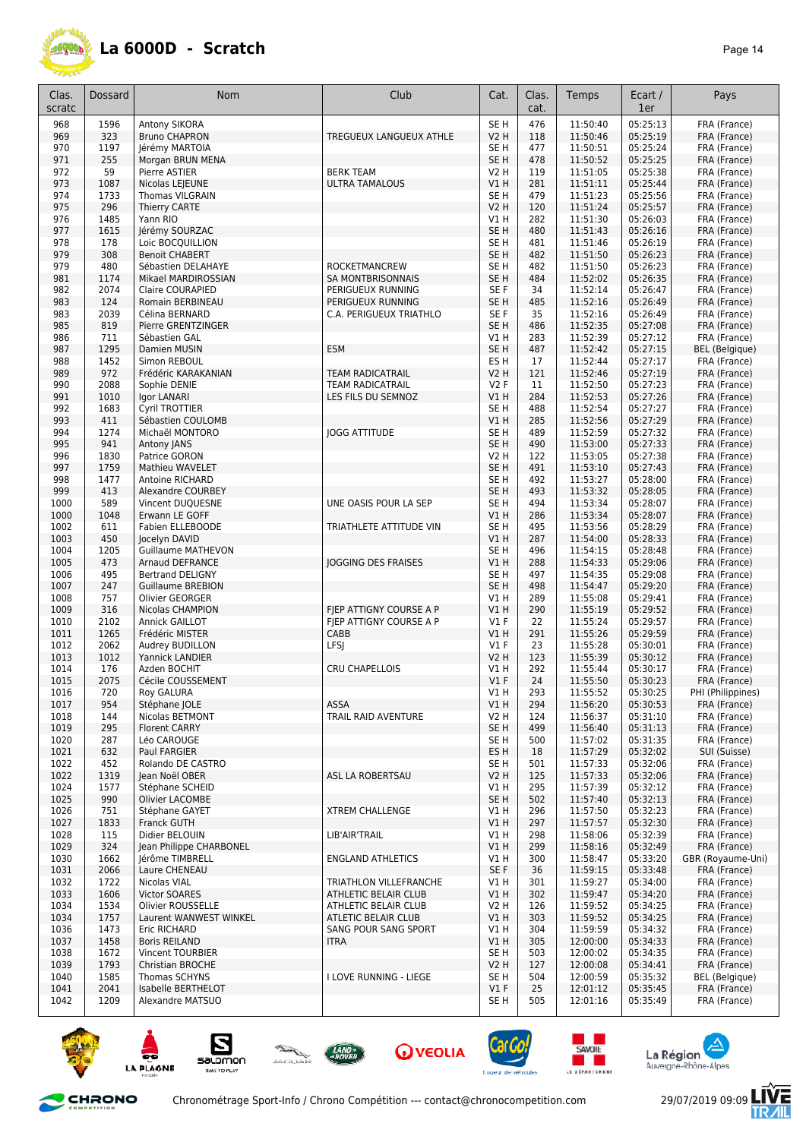

| Clas.<br>scratc | Dossard      | Nom                                        | Club                                                  | Cat.                    | Clas.<br>cat. | Temps                | Ecart /<br>1er       | Pays                                  |
|-----------------|--------------|--------------------------------------------|-------------------------------------------------------|-------------------------|---------------|----------------------|----------------------|---------------------------------------|
| 968             | 1596         | Antony SIKORA                              |                                                       | SE <sub>H</sub>         | 476           | 11:50:40             | 05:25:13             | FRA (France)                          |
| 969             | 323          | <b>Bruno CHAPRON</b>                       | TREGUEUX LANGUEUX ATHLE                               | <b>V2 H</b>             | 118           | 11:50:46             | 05:25:19             | FRA (France)                          |
| 970             | 1197         | Jérémy MARTOIA                             |                                                       | SE H                    | 477           | 11:50:51             | 05:25:24             | FRA (France)                          |
| 971<br>972      | 255<br>59    | Morgan BRUN MENA<br>Pierre ASTIER          | <b>BERK TEAM</b>                                      | SE <sub>H</sub><br>V2 H | 478<br>119    | 11:50:52<br>11:51:05 | 05:25:25<br>05:25:38 | FRA (France)<br>FRA (France)          |
| 973             | 1087         | Nicolas LEJEUNE                            | <b>ULTRA TAMALOUS</b>                                 | V1 H                    | 281           | 11:51:11             | 05:25:44             | FRA (France)                          |
| 974             | 1733         | <b>Thomas VILGRAIN</b>                     |                                                       | SE <sub>H</sub>         | 479           | 11:51:23             | 05:25:56             | FRA (France)                          |
| 975             | 296          | Thierry CARTE                              |                                                       | <b>V2 H</b>             | 120           | 11:51:24             | 05:25:57             | FRA (France)                          |
| 976             | 1485         | Yann RIO                                   |                                                       | V1 H                    | 282           | 11:51:30             | 05:26:03             | FRA (France)                          |
| 977             | 1615         | Jérémy SOURZAC                             |                                                       | SE <sub>H</sub>         | 480           | 11:51:43             | 05:26:16             | FRA (France)                          |
| 978<br>979      | 178<br>308   | Loic BOCQUILLION<br><b>Benoit CHABERT</b>  |                                                       | SE H<br>SE <sub>H</sub> | 481<br>482    | 11:51:46<br>11:51:50 | 05:26:19<br>05:26:23 | FRA (France)<br>FRA (France)          |
| 979             | 480          | Sébastien DELAHAYE                         | ROCKETMANCREW                                         | SE <sub>H</sub>         | 482           | 11:51:50             | 05:26:23             | FRA (France)                          |
| 981             | 1174         | Mikael MARDIROSSIAN                        | SA MONTBRISONNAIS                                     | SE <sub>H</sub>         | 484           | 11:52:02             | 05:26:35             | FRA (France)                          |
| 982             | 2074         | Claire COURAPIED                           | PERIGUEUX RUNNING                                     | SE F                    | 34            | 11:52:14             | 05:26:47             | FRA (France)                          |
| 983             | 124          | Romain BERBINEAU                           | PERIGUEUX RUNNING                                     | SE <sub>H</sub>         | 485           | 11:52:16             | 05:26:49             | FRA (France)                          |
| 983             | 2039         | Célina BERNARD                             | C.A. PERIGUEUX TRIATHLO                               | SE F                    | 35            | 11:52:16             | 05:26:49             | FRA (France)                          |
| 985             | 819          | Pierre GRENTZINGER                         |                                                       | SE <sub>H</sub>         | 486           | 11:52:35             | 05:27:08             | FRA (France)                          |
| 986<br>987      | 711<br>1295  | Sébastien GAL<br>Damien MUSIN              | <b>ESM</b>                                            | V1H<br>SE <sub>H</sub>  | 283<br>487    | 11:52:39<br>11:52:42 | 05:27:12<br>05:27:15 | FRA (France)<br><b>BEL</b> (Belgique) |
| 988             | 1452         | Simon REBOUL                               |                                                       | ES H                    | 17            | 11:52:44             | 05:27:17             | FRA (France)                          |
| 989             | 972          | Frédéric KARAKANIAN                        | <b>TEAM RADICATRAIL</b>                               | V2 H                    | 121           | 11:52:46             | 05:27:19             | FRA (France)                          |
| 990             | 2088         | Sophie DENIE                               | <b>TEAM RADICATRAIL</b>                               | V2F                     | 11            | 11:52:50             | 05:27:23             | FRA (France)                          |
| 991             | 1010         | Igor LANARI                                | LES FILS DU SEMNOZ                                    | V1H                     | 284           | 11:52:53             | 05:27:26             | FRA (France)                          |
| 992             | 1683         | Cyril TROTTIER                             |                                                       | SE <sub>H</sub>         | 488           | 11:52:54             | 05:27:27             | FRA (France)                          |
| 993<br>994      | 411<br>1274  | Sébastien COULOMB<br>Michaël MONTORO       | <b>JOGG ATTITUDE</b>                                  | V1H<br>SE H             | 285<br>489    | 11:52:56<br>11:52:59 | 05:27:29<br>05:27:32 | FRA (France)<br>FRA (France)          |
| 995             | 941          | Antony JANS                                |                                                       | SE <sub>H</sub>         | 490           | 11:53:00             | 05:27:33             | FRA (France)                          |
| 996             | 1830         | Patrice GORON                              |                                                       | V2 H                    | 122           | 11:53:05             | 05:27:38             | FRA (France)                          |
| 997             | 1759         | Mathieu WAVELET                            |                                                       | SE <sub>H</sub>         | 491           | 11:53:10             | 05:27:43             | FRA (France)                          |
| 998             | 1477         | Antoine RICHARD                            |                                                       | SE <sub>H</sub>         | 492           | 11:53:27             | 05:28:00             | FRA (France)                          |
| 999             | 413          | Alexandre COURBEY                          |                                                       | SE <sub>H</sub>         | 493           | 11:53:32             | 05:28:05             | FRA (France)                          |
| 1000            | 589          | Vincent DUQUESNE                           | UNE OASIS POUR LA SEP                                 | SE <sub>H</sub>         | 494           | 11:53:34             | 05:28:07             | FRA (France)                          |
| 1000<br>1002    | 1048<br>611  | Erwann LE GOFF<br>Fabien ELLEBOODE         | TRIATHLETE ATTITUDE VIN                               | VIH<br>SE H             | 286<br>495    | 11:53:34<br>11:53:56 | 05:28:07<br>05:28:29 | FRA (France)<br>FRA (France)          |
| 1003            | 450          | Jocelyn DAVID                              |                                                       | V1H                     | 287           | 11:54:00             | 05:28:33             | FRA (France)                          |
| 1004            | 1205         | <b>Guillaume MATHEVON</b>                  |                                                       | SE <sub>H</sub>         | 496           | 11:54:15             | 05:28:48             | FRA (France)                          |
| 1005            | 473          | Arnaud DEFRANCE                            | <b>JOGGING DES FRAISES</b>                            | V1 H                    | 288           | 11:54:33             | 05:29:06             | FRA (France)                          |
| 1006            | 495          | <b>Bertrand DELIGNY</b>                    |                                                       | SE <sub>H</sub>         | 497           | 11:54:35             | 05:29:08             | FRA (France)                          |
| 1007            | 247          | <b>Guillaume BREBION</b>                   |                                                       | SE <sub>H</sub>         | 498           | 11:54:47             | 05:29:20             | FRA (France)                          |
| 1008<br>1009    | 757<br>316   | Olivier GEORGER<br><b>Nicolas CHAMPION</b> | FIEP ATTIGNY COURSE A P                               | V1H<br>V1H              | 289<br>290    | 11:55:08<br>11:55:19 | 05:29:41<br>05:29:52 | FRA (France)                          |
| 1010            | 2102         | Annick GAILLOT                             | FIEP ATTIGNY COURSE A P                               | $VI$ F                  | 22            | 11:55:24             | 05:29:57             | FRA (France)<br>FRA (France)          |
| 1011            | 1265         | Frédéric MISTER                            | CABB                                                  | VIH                     | 291           | 11:55:26             | 05:29:59             | FRA (France)                          |
| 1012            | 2062         | Audrey BUDILLON                            | <b>LFSJ</b>                                           | $VI$ F                  | 23            | 11:55:28             | 05:30:01             | FRA (France)                          |
| 1013            | 1012         | Yannick LANDIER                            |                                                       | V2 H                    | 123           | 11:55:39             | 05:30:12             | FRA (France)                          |
| 1014            | 176          | Azden BOCHIT                               | CRU CHAPELLOIS                                        | V1 H                    | 292           | 11:55:44             | 05:30:17             | FRA (France)                          |
| 1015            | 2075         | Cécile COUSSEMENT                          |                                                       | $VI$ F                  | 24            | 11:55:50             | 05:30:23             | FRA (France)                          |
| 1016<br>1017    | 720<br>954   | Roy GALURA<br>Stéphane JOLE                | <b>ASSA</b>                                           | V1 H<br>V1 H            | 293<br>294    | 11:55:52<br>11:56:20 | 05:30:25<br>05:30:53 | PHI (Philippines)<br>FRA (France)     |
| 1018            | 144          | Nicolas BETMONT                            | TRAIL RAID AVENTURE                                   | <b>V2 H</b>             | 124           | 11:56:37             | 05:31:10             | FRA (France)                          |
| 1019            | 295          | <b>Florent CARRY</b>                       |                                                       | SE <sub>H</sub>         | 499           | 11:56:40             | 05:31:13             | FRA (France)                          |
| 1020            | 287          | Léo CAROUGE                                |                                                       | SE H                    | 500           | 11:57:02             | 05:31:35             | FRA (France)                          |
| 1021            | 632          | Paul FARGIER                               |                                                       | ES H                    | 18            | 11:57:29             | 05:32:02             | SUI (Suisse)                          |
| 1022            | 452          | Rolando DE CASTRO                          |                                                       | SE H                    | 501           | 11:57:33             | 05:32:06             | FRA (France)                          |
| 1022            | 1319         | Jean Noël OBER<br>Stéphane SCHEID          | ASL LA ROBERTSAU                                      | <b>V2 H</b>             | 125           | 11:57:33<br>11:57:39 | 05:32:06             | FRA (France)                          |
| 1024<br>1025    | 1577<br>990  | Olivier LACOMBE                            |                                                       | V1 H<br>SE H            | 295<br>502    | 11:57:40             | 05:32:12<br>05:32:13 | FRA (France)<br>FRA (France)          |
| 1026            | 751          | Stéphane GAYET                             | <b>XTREM CHALLENGE</b>                                | V1 H                    | 296           | 11:57:50             | 05:32:23             | FRA (France)                          |
| 1027            | 1833         | Franck GUTH                                |                                                       | V1H                     | 297           | 11:57:57             | 05:32:30             | FRA (France)                          |
| 1028            | 115          | Didier BELOUIN                             | LIB'AIR'TRAIL                                         | V1 H                    | 298           | 11:58:06             | 05:32:39             | FRA (France)                          |
| 1029            | 324          | Jean Philippe CHARBONEL                    |                                                       | V1H                     | 299           | 11:58:16             | 05:32:49             | FRA (France)                          |
| 1030            | 1662         | Jérôme TIMBRELL                            | <b>ENGLAND ATHLETICS</b>                              | V1 H                    | 300           | 11:58:47             | 05:33:20             | GBR (Royaume-Uni)                     |
| 1031            | 2066         | Laure CHENEAU                              |                                                       | SE F                    | 36            | 11:59:15             | 05:33:48             | FRA (France)                          |
| 1032<br>1033    | 1722<br>1606 | Nicolas VIAL                               | TRIATHLON VILLEFRANCHE<br><b>ATHLETIC BELAIR CLUB</b> | V1 H                    | 301           | 11:59:27<br>11:59:47 | 05:34:00<br>05:34:20 | FRA (France)                          |
| 1034            | 1534         | Victor SOARES<br>Olivier ROUSSELLE         | ATHLETIC BELAIR CLUB                                  | V1H<br>V2 H             | 302<br>126    | 11:59:52             | 05:34:25             | FRA (France)<br>FRA (France)          |
| 1034            | 1757         | Laurent WANWEST WINKEL                     | ATLETIC BELAIR CLUB                                   | V1H                     | 303           | 11:59:52             | 05:34:25             | FRA (France)                          |
| 1036            | 1473         | Eric RICHARD                               | SANG POUR SANG SPORT                                  | V1 H                    | 304           | 11:59:59             | 05:34:32             | FRA (France)                          |
| 1037            | 1458         | <b>Boris REILAND</b>                       | <b>ITRA</b>                                           | V1H                     | 305           | 12:00:00             | 05:34:33             | FRA (France)                          |
| 1038            | 1672         | Vincent TOURBIER                           |                                                       | SE H                    | 503           | 12:00:02             | 05:34:35             | FRA (France)                          |
| 1039            | 1793         | Christian BROCHE                           |                                                       | V2 H                    | 127           | 12:00:08             | 05:34:41             | FRA (France)                          |
| 1040            | 1585         | Thomas SCHYNS                              | I LOVE RUNNING - LIEGE                                | SE H                    | 504           | 12:00:59             | 05:35:32             | BEL (Belgique)                        |
| 1041<br>1042    | 2041<br>1209 | Isabelle BERTHELOT<br>Alexandre MATSUO     |                                                       | V1F<br>SE H             | 25<br>505     | 12:01:12<br>12:01:16 | 05:35:45<br>05:35:49 | FRA (France)<br>FRA (France)          |
|                 |              |                                            |                                                       |                         |               |                      |                      |                                       |















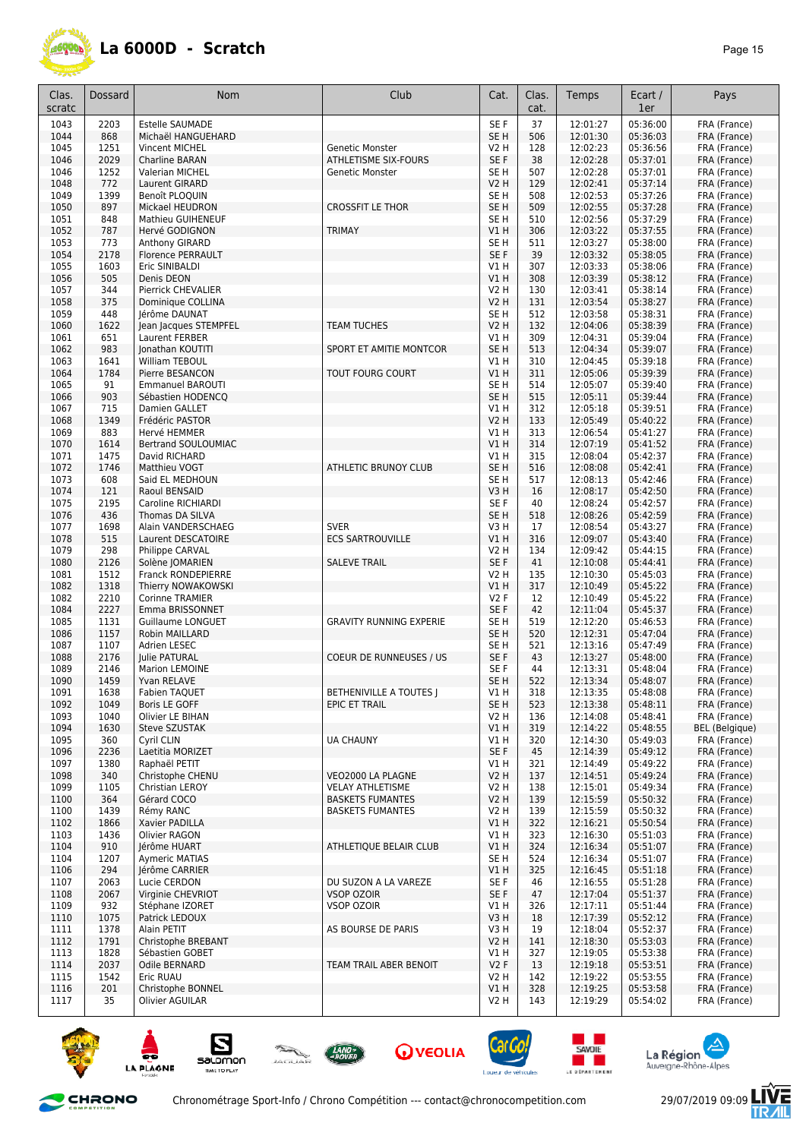

| Clas.<br>scratc | Dossard      | Nom                                           | Club                           | Cat.                    | Clas.<br>cat. | Temps                | Ecart /<br>1er       | Pays                         |
|-----------------|--------------|-----------------------------------------------|--------------------------------|-------------------------|---------------|----------------------|----------------------|------------------------------|
| 1043            | 2203         | <b>Estelle SAUMADE</b>                        |                                | SE F                    | 37            | 12:01:27             | 05:36:00             | FRA (France)                 |
| 1044            | 868          | Michaël HANGUEHARD                            |                                | SE <sub>H</sub>         | 506           | 12:01:30             | 05:36:03             | FRA (France)                 |
| 1045            | 1251         | Vincent MICHEL                                | Genetic Monster                | V2 H                    | 128           | 12:02:23             | 05:36:56             | FRA (France)                 |
| 1046            | 2029         | <b>Charline BARAN</b>                         | ATHLETISME SIX-FOURS           | SE F                    | 38            | 12:02:28             | 05:37:01             | FRA (France)                 |
| 1046            | 1252         | Valerian MICHEL                               | Genetic Monster                | SE H                    | 507           | 12:02:28             | 05:37:01             | FRA (France)                 |
| 1048            | 772          | Laurent GIRARD                                |                                | V2 H                    | 129           | 12:02:41             | 05:37:14             | FRA (France)                 |
| 1049            | 1399         | Benoît PLOQUIN                                |                                | SE H                    | 508           | 12:02:53             | 05:37:26             | FRA (France)                 |
| 1050            | 897          | Mickael HEUDRON<br><b>Mathieu GUIHENEUF</b>   | <b>CROSSFIT LE THOR</b>        | SE <sub>H</sub>         | 509           | 12:02:55             | 05:37:28             | FRA (France)                 |
| 1051<br>1052    | 848<br>787   | Hervé GODIGNON                                | <b>TRIMAY</b>                  | SE H<br>VIH             | 510<br>306    | 12:02:56<br>12:03:22 | 05:37:29<br>05:37:55 | FRA (France)<br>FRA (France) |
| 1053            | 773          | Anthony GIRARD                                |                                | SE H                    | 511           | 12:03:27             | 05:38:00             | FRA (France)                 |
| 1054            | 2178         | <b>Florence PERRAULT</b>                      |                                | SE F                    | 39            | 12:03:32             | 05:38:05             | FRA (France)                 |
| 1055            | 1603         | Eric SINIBALDI                                |                                | V1 H                    | 307           | 12:03:33             | 05:38:06             | FRA (France)                 |
| 1056            | 505          | Denis DEON                                    |                                | V1H                     | 308           | 12:03:39             | 05:38:12             | FRA (France)                 |
| 1057            | 344          | Pierrick CHEVALIER                            |                                | V2 H                    | 130           | 12:03:41             | 05:38:14             | FRA (France)                 |
| 1058            | 375          | Dominique COLLINA                             |                                | V2 H                    | 131           | 12:03:54             | 05:38:27             | FRA (France)                 |
| 1059            | 448          | Jérôme DAUNAT                                 |                                | SE H                    | 512           | 12:03:58             | 05:38:31             | FRA (France)                 |
| 1060            | 1622         | Jean Jacques STEMPFEL                         | <b>TEAM TUCHES</b>             | V2 H                    | 132           | 12:04:06             | 05:38:39             | FRA (France)                 |
| 1061            | 651          | Laurent FERBER                                |                                | V1 H                    | 309           | 12:04:31             | 05:39:04             | FRA (France)                 |
| 1062            | 983<br>1641  | Jonathan KOUTITI                              | SPORT ET AMITIE MONTCOR        | SE <sub>H</sub>         | 513<br>310    | 12:04:34             | 05:39:07<br>05:39:18 | FRA (France)                 |
| 1063<br>1064    | 1784         | William TEBOUL<br>Pierre BESANCON             | <b>TOUT FOURG COURT</b>        | V1 H<br>VIH             | 311           | 12:04:45<br>12:05:06 | 05:39:39             | FRA (France)<br>FRA (France) |
| 1065            | 91           | <b>Emmanuel BAROUTI</b>                       |                                | SE H                    | 514           | 12:05:07             | 05:39:40             | FRA (France)                 |
| 1066            | 903          | Sébastien HODENCQ                             |                                | SE <sub>H</sub>         | 515           | 12:05:11             | 05:39:44             | FRA (France)                 |
| 1067            | 715          | Damien GALLET                                 |                                | V1 H                    | 312           | 12:05:18             | 05:39:51             | FRA (France)                 |
| 1068            | 1349         | Frédéric PASTOR                               |                                | <b>V2 H</b>             | 133           | 12:05:49             | 05:40:22             | FRA (France)                 |
| 1069            | 883          | Hervé HEMMER                                  |                                | V1 H                    | 313           | 12:06:54             | 05:41:27             | FRA (France)                 |
| 1070            | 1614         | <b>Bertrand SOULOUMIAC</b>                    |                                | V1 H                    | 314           | 12:07:19             | 05:41:52             | FRA (France)                 |
| 1071            | 1475         | David RICHARD                                 |                                | V1 H                    | 315           | 12:08:04             | 05:42:37             | FRA (France)                 |
| 1072            | 1746         | Matthieu VOGT                                 | <b>ATHLETIC BRUNOY CLUB</b>    | SE H                    | 516           | 12:08:08             | 05:42:41             | FRA (France)                 |
| 1073            | 608          | Said EL MEDHOUN                               |                                | SE H                    | 517           | 12:08:13             | 05:42:46             | FRA (France)                 |
| 1074            | 121          | Raoul BENSAID                                 |                                | V3H                     | 16            | 12:08:17             | 05:42:50             | FRA (France)                 |
| 1075            | 2195         | Caroline RICHIARDI                            |                                | SE F                    | 40            | 12:08:24             | 05:42:57             | FRA (France)                 |
| 1076<br>1077    | 436<br>1698  | Thomas DA SILVA                               | <b>SVER</b>                    | SE <sub>H</sub><br>V3 H | 518<br>17     | 12:08:26<br>12:08:54 | 05:42:59<br>05:43:27 | FRA (France)                 |
| 1078            | 515          | Alain VANDERSCHAEG<br>Laurent DESCATOIRE      | <b>ECS SARTROUVILLE</b>        | V1 H                    | 316           | 12:09:07             | 05:43:40             | FRA (France)<br>FRA (France) |
| 1079            | 298          | Philippe CARVAL                               |                                | V2 H                    | 134           | 12:09:42             | 05:44:15             | FRA (France)                 |
| 1080            | 2126         | Solène JOMARIEN                               | <b>SALEVE TRAIL</b>            | SE F                    | 41            | 12:10:08             | 05:44:41             | FRA (France)                 |
| 1081            | 1512         | Franck RONDEPIERRE                            |                                | V2 H                    | 135           | 12:10:30             | 05:45:03             | FRA (France)                 |
| 1082            | 1318         | Thierry NOWAKOWSKI                            |                                | V1 H                    | 317           | 12:10:49             | 05:45:22             | FRA (France)                 |
| 1082            | 2210         | Corinne TRAMIER                               |                                | <b>V2F</b>              | 12            | 12:10:49             | 05:45:22             | FRA (France)                 |
| 1084            | 2227         | Emma BRISSONNET                               |                                | SE <sub>F</sub>         | 42            | 12:11:04             | 05:45:37             | FRA (France)                 |
| 1085            | 1131         | Guillaume LONGUET                             | <b>GRAVITY RUNNING EXPERIE</b> | SE H                    | 519           | 12:12:20             | 05:46:53             | FRA (France)                 |
| 1086            | 1157         | Robin MAILLARD                                |                                | SE <sub>H</sub>         | 520           | 12:12:31             | 05:47:04             | FRA (France)                 |
| 1087            | 1107         | Adrien LESEC                                  |                                | SE H                    | 521           | 12:13:16             | 05:47:49             | FRA (France)                 |
| 1088            | 2176         | <b>Julie PATURAL</b><br><b>Marion LEMOINE</b> | <b>COEUR DE RUNNEUSES / US</b> | SE F                    | 43            | 12:13:27             | 05:48:00             | FRA (France)                 |
| 1089<br>1090    | 2146<br>1459 | Yvan RELAVE                                   |                                | SE F<br>SE <sub>H</sub> | 44<br>522     | 12:13:31<br>12:13:34 | 05:48:04<br>05:48:07 | FRA (France)<br>FRA (France) |
| 1091            | 1638         | <b>Fabien TAQUET</b>                          | BETHENIVILLE A TOUTES J        | V1 H                    | 318           | 12:13:35             | 05:48:08             | FRA (France)                 |
| 1092            | 1049         | Boris LE GOFF                                 | EPIC ET TRAIL                  | SE <sub>H</sub>         | 523           | 12:13:38             | 05:48:11             | FRA (France)                 |
| 1093            | 1040         | Olivier LE BIHAN                              |                                | V2 H                    | 136           | 12:14:08             | 05:48:41             | FRA (France)                 |
| 1094            | 1630         | Steve SZUSTAK                                 |                                | VIH                     | 319           | 12:14:22             | 05:48:55             | BEL (Belgique)               |
| 1095            | 360          | Cyril CLIN                                    | <b>UA CHAUNY</b>               | V1 H                    | 320           | 12:14:30             | 05:49:03             | FRA (France)                 |
| 1096            | 2236         | Laetitia MORIZET                              |                                | SE F                    | 45            | 12:14:39             | 05:49:12             | FRA (France)                 |
| 1097            | 1380         | Raphaël PETIT                                 |                                | VIH                     | 321           | 12:14:49             | 05:49:22             | FRA (France)                 |
| 1098            | 340          | Christophe CHENU                              | VEO2000 LA PLAGNE              | <b>V2 H</b>             | 137           | 12:14:51             | 05:49:24             | FRA (France)                 |
| 1099            | 1105         | Christian LEROY                               | <b>VELAY ATHLETISME</b>        | V2H                     | 138           | 12:15:01             | 05:49:34             | FRA (France)                 |
| 1100            | 364          | Gérard COCO<br>Rémy RANC                      | <b>BASKETS FUMANTES</b>        | <b>V2 H</b>             | 139           | 12:15:59             | 05:50:32             | FRA (France)                 |
| 1100<br>1102    | 1439<br>1866 | Xavier PADILLA                                | <b>BASKETS FUMANTES</b>        | V2 H<br>VIH             | 139<br>322    | 12:15:59<br>12:16:21 | 05:50:32<br>05:50:54 | FRA (France)<br>FRA (France) |
| 1103            | 1436         | Olivier RAGON                                 |                                | V1H                     | 323           | 12:16:30             | 05:51:03             | FRA (France)                 |
| 1104            | 910          | Jérôme HUART                                  | ATHLETIQUE BELAIR CLUB         | V1 H                    | 324           | 12:16:34             | 05:51:07             | FRA (France)                 |
| 1104            | 1207         | <b>Avmeric MATIAS</b>                         |                                | SE <sub>H</sub>         | 524           | 12:16:34             | 05:51:07             | FRA (France)                 |
| 1106            | 294          | Jérôme CARRIER                                |                                | V1 H                    | 325           | 12:16:45             | 05:51:18             | FRA (France)                 |
| 1107            | 2063         | Lucie CERDON                                  | DU SUZON A LA VAREZE           | SE F                    | 46            | 12:16:55             | 05:51:28             | FRA (France)                 |
| 1108            | 2067         | Virginie CHEVRIOT                             | <b>VSOP OZOIR</b>              | SE F                    | 47            | 12:17:04             | 05:51:37             | FRA (France)                 |
| 1109            | 932          | Stéphane IZORET                               | <b>VSOP OZOIR</b>              | V1 H                    | 326           | 12:17:11             | 05:51:44             | FRA (France)                 |
| 1110            | 1075         | Patrick LEDOUX                                |                                | V3 H                    | 18            | 12:17:39             | 05:52:12             | FRA (France)                 |
| 1111            | 1378         | Alain PETIT                                   | AS BOURSE DE PARIS             | V3 H                    | 19            | 12:18:04             | 05:52:37             | FRA (France)                 |
| 1112            | 1791         | Christophe BREBANT                            |                                | V2 H                    | 141           | 12:18:30             | 05:53:03             | FRA (France)                 |
| 1113            | 1828         | Sébastien GOBET                               |                                | V1 H                    | 327           | 12:19:05             | 05:53:38             | FRA (France)                 |
| 1114<br>1115    | 2037<br>1542 | Odile BERNARD<br>Eric RUAU                    | TEAM TRAIL ABER BENOIT         | V2F<br>V2 H             | 13<br>142     | 12:19:18<br>12:19:22 | 05:53:51<br>05:53:55 | FRA (France)<br>FRA (France) |
| 1116            | 201          | Christophe BONNEL                             |                                | V1H                     | 328           | 12:19:25             | 05:53:58             | FRA (France)                 |
| 1117            | 35           | Olivier AGUILAR                               |                                | V <sub>2</sub> H        | 143           | 12:19:29             | 05:54:02             | FRA (France)                 |
|                 |              |                                               |                                |                         |               |                      |                      |                              |











and the second





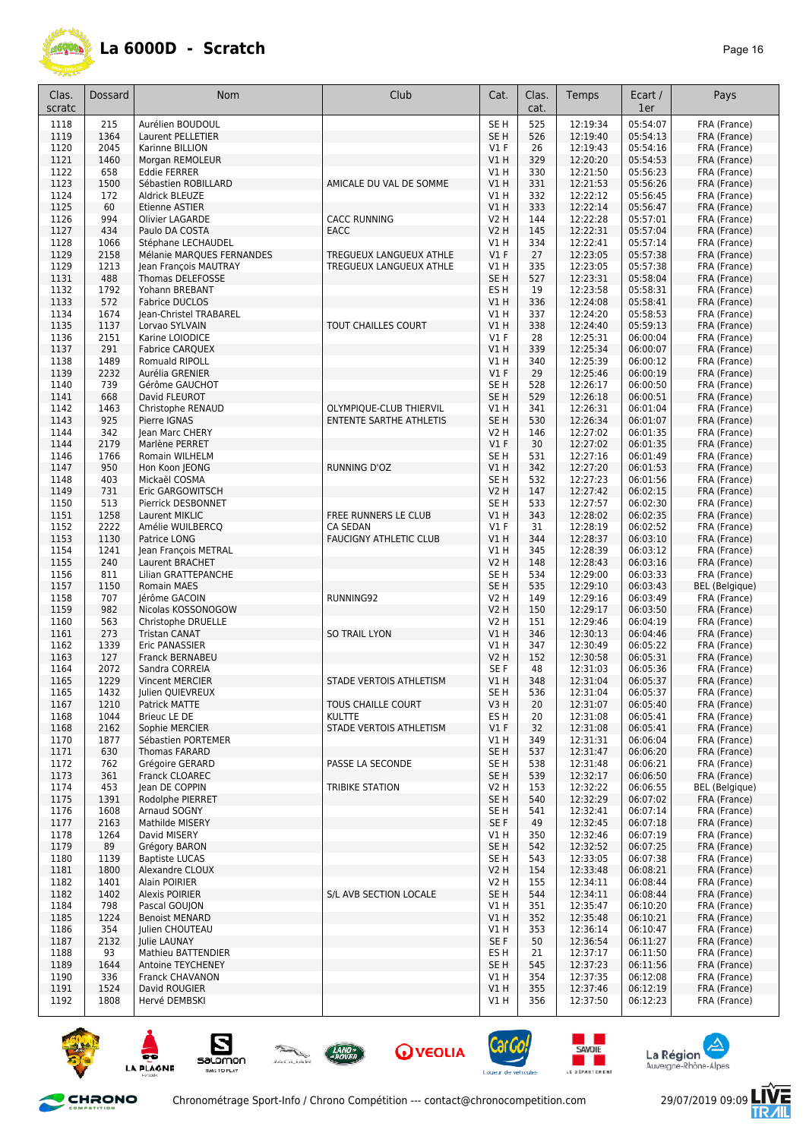

| Clas.<br>scratc | Dossard      | <b>Nom</b>                                         | Club                                                      | Cat.                                | Clas.<br>cat. | Temps                | Ecart /<br>1er       | Pays                         |
|-----------------|--------------|----------------------------------------------------|-----------------------------------------------------------|-------------------------------------|---------------|----------------------|----------------------|------------------------------|
| 1118            | 215          | Aurélien BOUDOUL                                   |                                                           | SE <sub>H</sub>                     | 525           | 12:19:34             | 05:54:07             | FRA (France)                 |
| 1119            | 1364         | Laurent PELLETIER                                  |                                                           | SE <sub>H</sub>                     | 526           | 12:19:40             | 05:54:13             | FRA (France)                 |
| 1120            | 2045         | Karinne BILLION                                    |                                                           | $VI$ F                              | 26            | 12:19:43             | 05:54:16             | FRA (France)                 |
| 1121<br>1122    | 1460<br>658  | Morgan REMOLEUR<br><b>Eddie FERRER</b>             |                                                           | V1H<br>V1 H                         | 329<br>330    | 12:20:20<br>12:21:50 | 05:54:53<br>05:56:23 | FRA (France)<br>FRA (France) |
| 1123            | 1500         | Sébastien ROBILLARD                                | AMICALE DU VAL DE SOMME                                   | V1H                                 | 331           | 12:21:53             | 05:56:26             | FRA (France)                 |
| 1124            | 172          | Aldrick BLEUZE                                     |                                                           | V1 H                                | 332           | 12:22:12             | 05:56:45             | FRA (France)                 |
| 1125            | 60           | Etienne ASTIER                                     |                                                           | V1H                                 | 333           | 12:22:14             | 05:56:47             | FRA (France)                 |
| 1126            | 994          | Olivier LAGARDE                                    | <b>CACC RUNNING</b>                                       | V2 H                                | 144           | 12:22:28             | 05:57:01             | FRA (France)                 |
| 1127            | 434          | Paulo DA COSTA                                     | <b>EACC</b>                                               | V2 H                                | 145           | 12:22:31             | 05:57:04             | FRA (France)                 |
| 1128            | 1066         | Stéphane LECHAUDEL                                 |                                                           | V1 H                                | 334           | 12:22:41             | 05:57:14             | FRA (France)                 |
| 1129<br>1129    | 2158<br>1213 | Mélanie MARQUES FERNANDES<br>Jean François MAUTRAY | <b>TREGUEUX LANGUEUX ATHLE</b><br>TREGUEUX LANGUEUX ATHLE | $VI$ F<br>V1 H                      | 27<br>335     | 12:23:05<br>12:23:05 | 05:57:38<br>05:57:38 | FRA (France)<br>FRA (France) |
| 1131            | 488          | Thomas DELEFOSSE                                   |                                                           | SE <sub>H</sub>                     | 527           | 12:23:31             | 05:58:04             | FRA (France)                 |
| 1132            | 1792         | Yohann BREBANT                                     |                                                           | ES <sub>H</sub>                     | 19            | 12:23:58             | 05:58:31             | FRA (France)                 |
| 1133            | 572          | <b>Fabrice DUCLOS</b>                              |                                                           | V1H                                 | 336           | 12:24:08             | 05:58:41             | FRA (France)                 |
| 1134            | 1674         | Jean-Christel TRABAREL                             |                                                           | VIH                                 | 337           | 12:24:20             | 05:58:53             | FRA (France)                 |
| 1135            | 1137         | Lorvao SYLVAIN                                     | TOUT CHAILLES COURT                                       | V1H                                 | 338           | 12:24:40             | 05:59:13             | FRA (France)                 |
| 1136            | 2151         | Karine LOIODICE                                    |                                                           | V1F                                 | 28            | 12:25:31             | 06:00:04             | FRA (France)                 |
| 1137<br>1138    | 291<br>1489  | <b>Fabrice CARQUEX</b>                             |                                                           | V1H<br>V1 H                         | 339<br>340    | 12:25:34<br>12:25:39 | 06:00:07<br>06:00:12 | FRA (France)                 |
| 1139            | 2232         | Romuald RIPOLL<br>Aurélia GRENIER                  |                                                           | V1F                                 | 29            | 12:25:46             | 06:00:19             | FRA (France)<br>FRA (France) |
| 1140            | 739          | Gérôme GAUCHOT                                     |                                                           | SE <sub>H</sub>                     | 528           | 12:26:17             | 06:00:50             | FRA (France)                 |
| 1141            | 668          | David FLEUROT                                      |                                                           | SE <sub>H</sub>                     | 529           | 12:26:18             | 06:00:51             | FRA (France)                 |
| 1142            | 1463         | Christophe RENAUD                                  | OLYMPIQUE-CLUB THIERVIL                                   | V1 H                                | 341           | 12:26:31             | 06:01:04             | FRA (France)                 |
| 1143            | 925          | Pierre IGNAS                                       | <b>ENTENTE SARTHE ATHLETIS</b>                            | SE <sub>H</sub>                     | 530           | 12:26:34             | 06:01:07             | FRA (France)                 |
| 1144            | 342          | lean Marc CHERY                                    |                                                           | V2 H                                | 146           | 12:27:02             | 06:01:35             | FRA (France)                 |
| 1144            | 2179         | Marlène PERRET                                     |                                                           | V1F                                 | 30            | 12:27:02             | 06:01:35             | FRA (France)                 |
| 1146            | 1766         | Romain WILHELM                                     |                                                           | SE <sub>H</sub>                     | 531           | 12:27:16             | 06:01:49             | FRA (France)                 |
| 1147<br>1148    | 950<br>403   | Hon Koon JEONG<br>Mickaël COSMA                    | <b>RUNNING D'OZ</b>                                       | V1H<br>SE <sub>H</sub>              | 342<br>532    | 12:27:20<br>12:27:23 | 06:01:53<br>06:01:56 | FRA (France)<br>FRA (France) |
| 1149            | 731          | Eric GARGOWITSCH                                   |                                                           | V <sub>2</sub> H                    | 147           | 12:27:42             | 06:02:15             | FRA (France)                 |
| 1150            | 513          | Pierrick DESBONNET                                 |                                                           | SE <sub>H</sub>                     | 533           | 12:27:57             | 06:02:30             | FRA (France)                 |
| 1151            | 1258         | Laurent MIKLIC                                     | FREE RUNNERS LE CLUB                                      | V1 H                                | 343           | 12:28:02             | 06:02:35             | FRA (France)                 |
| 1152            | 2222         | Amélie WUILBERCQ                                   | <b>CA SEDAN</b>                                           | <b>V1 F</b>                         | 31            | 12:28:19             | 06:02:52             | FRA (France)                 |
| 1153            | 1130         | Patrice LONG                                       | <b>FAUCIGNY ATHLETIC CLUB</b>                             | V1 H                                | 344           | 12:28:37             | 06:03:10             | FRA (France)                 |
| 1154            | 1241         | Jean François METRAL                               |                                                           | V1 H                                | 345           | 12:28:39             | 06:03:12             | FRA (France)                 |
| 1155<br>1156    | 240<br>811   | Laurent BRACHET<br>Lilian GRATTEPANCHE             |                                                           | V <sub>2</sub> H<br>SE <sub>H</sub> | 148<br>534    | 12:28:43<br>12:29:00 | 06:03:16<br>06:03:33 | FRA (France)<br>FRA (France) |
| 1157            | 1150         | Romain MAES                                        |                                                           | SE <sub>H</sub>                     | 535           | 12:29:10             | 06:03:43             | <b>BEL</b> (Belgique)        |
| 1158            | 707          | Jérôme GACOIN                                      | RUNNING92                                                 | V2 H                                | 149           | 12:29:16             | 06:03:49             | FRA (France)                 |
| 1159            | 982          | Nicolas KOSSONOGOW                                 |                                                           | <b>V2 H</b>                         | 150           | 12:29:17             | 06:03:50             | FRA (France)                 |
| 1160            | 563          | Christophe DRUELLE                                 |                                                           | V2 H                                | 151           | 12:29:46             | 06:04:19             | FRA (France)                 |
| 1161            | 273          | <b>Tristan CANAT</b>                               | <b>SO TRAIL LYON</b>                                      | V1H                                 | 346           | 12:30:13             | 06:04:46             | FRA (France)                 |
| 1162<br>1163    | 1339<br>127  | Eric PANASSIER<br><b>Franck BERNABEU</b>           |                                                           | V1 H<br>V2 H                        | 347<br>152    | 12:30:49<br>12:30:58 | 06:05:22<br>06:05:31 | FRA (France)<br>FRA (France) |
| 1164            | 2072         | Sandra CORREIA                                     |                                                           | SE F                                | 48            | 12:31:03             | 06:05:36             | FRA (France)                 |
| 1165            | 1229         | <b>Vincent MERCIER</b>                             | STADE VERTOIS ATHLETISM                                   | V1 H                                | 348           | 12:31:04             | 06:05:37             | FRA (France)                 |
| 1165            | 1432         | Julien QUIEVREUX                                   |                                                           | SE H                                | 536           | 12:31:04             | 06:05:37             | FRA (France)                 |
| 1167            | 1210         | Patrick MATTE                                      | TOUS CHAILLE COURT                                        | V3H                                 | 20            | 12:31:07             | 06:05:40             | FRA (France)                 |
| 1168            | 1044         | Brieuc LE DE                                       | <b>KULTTE</b>                                             | ES <sub>H</sub>                     | 20            | 12:31:08             | 06:05:41             | FRA (France)                 |
| 1168            | 2162         | Sophie MERCIER                                     | STADE VERTOIS ATHLETISM                                   | V1F                                 | 32            | 12:31:08<br>12:31:31 | 06:05:41             | FRA (France)                 |
| 1170<br>1171    | 1877<br>630  | Sébastien PORTEMER<br>Thomas FARARD                |                                                           | V1 H<br>SE <sub>H</sub>             | 349<br>537    | 12:31:47             | 06:06:04<br>06:06:20 | FRA (France)<br>FRA (France) |
| 1172            | 762          | Grégoire GERARD                                    | PASSE LA SECONDE                                          | SE <sub>H</sub>                     | 538           | 12:31:48             | 06:06:21             | FRA (France)                 |
| 1173            | 361          | Franck CLOAREC                                     |                                                           | SE <sub>H</sub>                     | 539           | 12:32:17             | 06:06:50             | FRA (France)                 |
| 1174            | 453          | lean DE COPPIN                                     | <b>TRIBIKE STATION</b>                                    | <b>V2 H</b>                         | 153           | 12:32:22             | 06:06:55             | <b>BEL</b> (Belgique)        |
| 1175            | 1391         | Rodolphe PIERRET                                   |                                                           | SE <sub>H</sub>                     | 540           | 12:32:29             | 06:07:02             | FRA (France)                 |
| 1176            | 1608         | Arnaud SOGNY                                       |                                                           | SE H                                | 541           | 12:32:41             | 06:07:14             | FRA (France)                 |
| 1177            | 2163         | Mathilde MISERY                                    |                                                           | SE F                                | 49            | 12:32:45             | 06:07:18             | FRA (France)                 |
| 1178<br>1179    | 1264<br>89   | David MISERY<br>Grégory BARON                      |                                                           | V1 H<br>SE H                        | 350<br>542    | 12:32:46<br>12:32:52 | 06:07:19<br>06:07:25 | FRA (France)<br>FRA (France) |
| 1180            | 1139         | <b>Baptiste LUCAS</b>                              |                                                           | SE H                                | 543           | 12:33:05             | 06:07:38             | FRA (France)                 |
| 1181            | 1800         | Alexandre CLOUX                                    |                                                           | V2 H                                | 154           | 12:33:48             | 06:08:21             | FRA (France)                 |
| 1182            | 1401         | Alain POIRIER                                      |                                                           | V2 H                                | 155           | 12:34:11             | 06:08:44             | FRA (France)                 |
| 1182            | 1402         | <b>Alexis POIRIER</b>                              | S/L AVB SECTION LOCALE                                    | SE H                                | 544           | 12:34:11             | 06:08:44             | FRA (France)                 |
| 1184            | 798          | Pascal GOUJON                                      |                                                           | V1 H                                | 351           | 12:35:47             | 06:10:20             | FRA (France)                 |
| 1185            | 1224         | <b>Benoist MENARD</b>                              |                                                           | VIH                                 | 352           | 12:35:48             | 06:10:21             | FRA (France)                 |
| 1186<br>1187    | 354<br>2132  | Julien CHOUTEAU<br>Julie LAUNAY                    |                                                           | V1 H<br>SE F                        | 353<br>50     | 12:36:14<br>12:36:54 | 06:10:47<br>06:11:27 | FRA (France)<br>FRA (France) |
| 1188            | 93           | Mathieu BATTENDIER                                 |                                                           | ES H                                | 21            | 12:37:17             | 06:11:50             | FRA (France)                 |
| 1189            | 1644         | Antoine TEYCHENEY                                  |                                                           | SE <sub>H</sub>                     | 545           | 12:37:23             | 06:11:56             | FRA (France)                 |
| 1190            | 336          | Franck CHAVANON                                    |                                                           | V1 H                                | 354           | 12:37:35             | 06:12:08             | FRA (France)                 |
| 1191            | 1524         | David ROUGIER                                      |                                                           | V1 H                                | 355           | 12:37:46             | 06:12:19             | FRA (France)                 |
| 1192            | 1808         | Hervé DEMBSKI                                      |                                                           | V1 H                                | 356           | 12:37:50             | 06:12:23             | FRA (France)                 |



CHRONO









**SAVOIE** 

and the second







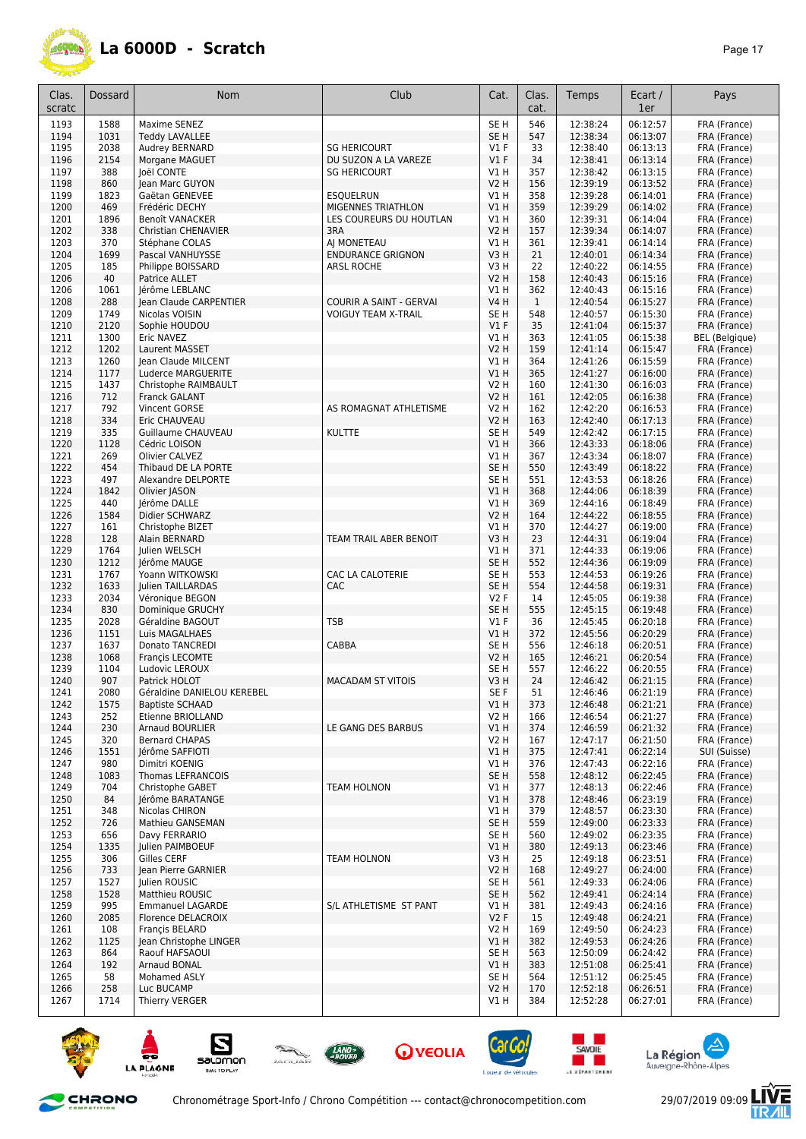

| Clas.<br>scratc | Dossard      | <b>Nom</b>                                  | Club                                          | Cat.                    | Clas.<br>cat. | Temps                | Ecart /<br>1er       | Pays                         |
|-----------------|--------------|---------------------------------------------|-----------------------------------------------|-------------------------|---------------|----------------------|----------------------|------------------------------|
| 1193            | 1588         | Maxime SENEZ                                |                                               | SE <sub>H</sub>         | 546           | 12:38:24             | 06:12:57             | FRA (France)                 |
| 1194            | 1031         | <b>Teddy LAVALLEE</b>                       |                                               | SE <sub>H</sub>         | 547           | 12:38:34             | 06:13:07             | FRA (France)                 |
| 1195            | 2038         | Audrey BERNARD                              | <b>SG HERICOURT</b>                           | $VI$ F                  | 33            | 12:38:40             | 06:13:13             | FRA (France)                 |
| 1196            | 2154         | Morgane MAGUET                              | DU SUZON A LA VAREZE                          | $VI$ F                  | 34            | 12:38:41             | 06:13:14             | FRA (France)                 |
| 1197<br>1198    | 388<br>860   | Joël CONTE<br>Jean Marc GUYON               | <b>SG HERICOURT</b>                           | V1 H<br>V2 H            | 357<br>156    | 12:38:42<br>12:39:19 | 06:13:15<br>06:13:52 | FRA (France)<br>FRA (France) |
| 1199            | 1823         | Gaëtan GENEVEE                              | <b>ESQUELRUN</b>                              | VIH                     | 358           | 12:39:28             | 06:14:01             | FRA (France)                 |
| 1200            | 469          | Frédéric DECHY                              | MIGENNES TRIATHLON                            | VIH                     | 359           | 12:39:29             | 06:14:02             | FRA (France)                 |
| 1201            | 1896         | Benoît VANACKER                             | LES COUREURS DU HOUTLAN                       | V1 H                    | 360           | 12:39:31             | 06:14:04             | FRA (France)                 |
| 1202            | 338          | <b>Christian CHENAVIER</b>                  | 3RA                                           | <b>V2 H</b>             | 157           | 12:39:34             | 06:14:07             | FRA (France)                 |
| 1203            | 370          | Stéphane COLAS                              | AI MONETEAU                                   | V1 H                    | 361           | 12:39:41             | 06:14:14             | FRA (France)                 |
| 1204<br>1205    | 1699<br>185  | Pascal VANHUYSSE                            | <b>ENDURANCE GRIGNON</b><br><b>ARSL ROCHE</b> | V3H<br>V3H              | 21<br>22      | 12:40:01<br>12:40:22 | 06:14:34             | FRA (France)<br>FRA (France) |
| 1206            | 40           | Philippe BOISSARD<br>Patrice ALLET          |                                               | <b>V2 H</b>             | 158           | 12:40:43             | 06:14:55<br>06:15:16 | FRA (France)                 |
| 1206            | 1061         | Jérôme LEBLANC                              |                                               | V1 H                    | 362           | 12:40:43             | 06:15:16             | FRA (France)                 |
| 1208            | 288          | Jean Claude CARPENTIER                      | COURIR A SAINT - GERVAI                       | V4 H                    | $\mathbf{1}$  | 12:40:54             | 06:15:27             | FRA (France)                 |
| 1209            | 1749         | Nicolas VOISIN                              | <b>VOIGUY TEAM X-TRAIL</b>                    | SE <sub>H</sub>         | 548           | 12:40:57             | 06:15:30             | FRA (France)                 |
| 1210            | 2120         | Sophie HOUDOU                               |                                               | V1F                     | 35            | 12:41:04             | 06:15:37             | FRA (France)                 |
| 1211            | 1300         | Eric NAVEZ                                  |                                               | V1H                     | 363           | 12:41:05             | 06:15:38             | <b>BEL</b> (Belgique)        |
| 1212<br>1213    | 1202<br>1260 | Laurent MASSET<br>Jean Claude MILCENT       |                                               | <b>V2 H</b><br>V1 H     | 159<br>364    | 12:41:14<br>12:41:26 | 06:15:47<br>06:15:59 | FRA (France)                 |
| 1214            | 1177         | Luderce MARGUERITE                          |                                               | V1H                     | 365           | 12:41:27             | 06:16:00             | FRA (France)<br>FRA (France) |
| 1215            | 1437         | Christophe RAIMBAULT                        |                                               | <b>V2 H</b>             | 160           | 12:41:30             | 06:16:03             | FRA (France)                 |
| 1216            | 712          | Franck GALANT                               |                                               | <b>V2 H</b>             | 161           | 12:42:05             | 06:16:38             | FRA (France)                 |
| 1217            | 792          | Vincent GORSE                               | AS ROMAGNAT ATHLETISME                        | <b>V2 H</b>             | 162           | 12:42:20             | 06:16:53             | FRA (France)                 |
| 1218            | 334          | Eric CHAUVEAU                               |                                               | <b>V2 H</b>             | 163           | 12:42:40             | 06:17:13             | FRA (France)                 |
| 1219            | 335          | Guillaume CHAUVEAU                          | <b>KULTTE</b>                                 | SE H                    | 549           | 12:42:42             | 06:17:15             | FRA (France)                 |
| 1220            | 1128         | Cédric LOISON                               |                                               | V1 H                    | 366           | 12:43:33             | 06:18:06             | FRA (France)                 |
| 1221<br>1222    | 269<br>454   | Olivier CALVEZ<br>Thibaud DE LA PORTE       |                                               | V1 H<br>SE <sub>H</sub> | 367<br>550    | 12:43:34<br>12:43:49 | 06:18:07<br>06:18:22 | FRA (France)<br>FRA (France) |
| 1223            | 497          | Alexandre DELPORTE                          |                                               | SE <sub>H</sub>         | 551           | 12:43:53             | 06:18:26             | FRA (France)                 |
| 1224            | 1842         | Olivier JASON                               |                                               | VIH                     | 368           | 12:44:06             | 06:18:39             | FRA (France)                 |
| 1225            | 440          | Jérôme DALLE                                |                                               | V1 H                    | 369           | 12:44:16             | 06:18:49             | FRA (France)                 |
| 1226            | 1584         | Didier SCHWARZ                              |                                               | <b>V2 H</b>             | 164           | 12:44:22             | 06:18:55             | FRA (France)                 |
| 1227            | 161          | Christophe BIZET                            |                                               | VIH                     | 370           | 12:44:27             | 06:19:00             | FRA (France)                 |
| 1228<br>1229    | 128<br>1764  | Alain BERNARD                               | TEAM TRAIL ABER BENOIT                        | V3H<br>V1H              | 23<br>371     | 12:44:31             | 06:19:04<br>06:19:06 | FRA (France)                 |
| 1230            | 1212         | Julien WELSCH<br>Jérôme MAUGE               |                                               | SE <sub>H</sub>         | 552           | 12:44:33<br>12:44:36 | 06:19:09             | FRA (France)<br>FRA (France) |
| 1231            | 1767         | Yoann WITKOWSKI                             | CAC LA CALOTERIE                              | SE <sub>H</sub>         | 553           | 12:44:53             | 06:19:26             | FRA (France)                 |
| 1232            | 1633         | Julien TAILLARDAS                           | CAC                                           | SE <sub>H</sub>         | 554           | 12:44:58             | 06:19:31             | FRA (France)                 |
| 1233            | 2034         | Véronique BEGON                             |                                               | <b>V2F</b>              | 14            | 12:45:05             | 06:19:38             | FRA (France)                 |
| 1234            | 830          | Dominique GRUCHY                            |                                               | SE <sub>H</sub>         | 555           | 12:45:15             | 06:19:48             | FRA (France)                 |
| 1235<br>1236    | 2028<br>1151 | Géraldine BAGOUT<br>Luis MAGALHAES          | <b>TSB</b>                                    | $VI$ F<br>VIH           | 36<br>372     | 12:45:45<br>12:45:56 | 06:20:18<br>06:20:29 | FRA (France)<br>FRA (France) |
| 1237            | 1637         | Donato TANCREDI                             | CABBA                                         | SE H                    | 556           | 12:46:18             | 06:20:51             | FRA (France)                 |
| 1238            | 1068         | Francis LECOMTE                             |                                               | V2 H                    | 165           | 12:46:21             | 06:20:54             | FRA (France)                 |
| 1239            | 1104         | Ludovic LEROUX                              |                                               | SE H                    | 557           | 12:46:22             | 06:20:55             | FRA (France)                 |
| 1240            | 907          | Patrick HOLOT                               | <b>MACADAM ST VITOIS</b>                      | V3H                     | 24            | 12:46:42             | 06:21:15             | FRA (France)                 |
| 1241            | 2080         | Géraldine DANIELOU KEREBEL                  |                                               | SE F                    | 51            | 12:46:46             | 06:21:19             | FRA (France)                 |
| 1242<br>1243    | 1575         | <b>Baptiste SCHAAD</b><br>Etienne BRIOLLAND |                                               | V1H<br>V2 H             | 373<br>166    | 12:46:48<br>12:46:54 | 06:21:21<br>06:21:27 | FRA (France)                 |
| 1244            | 252<br>230   | <b>Arnaud BOURLIER</b>                      | LE GANG DES BARBUS                            | V1 H                    | 374           | 12:46:59             | 06:21:32             | FRA (France)<br>FRA (France) |
| 1245            | 320          | <b>Bernard CHAPAS</b>                       |                                               | V2 H                    | 167           | 12:47:17             | 06:21:50             | FRA (France)                 |
| 1246            | 1551         | Jérôme SAFFIOTI                             |                                               | V1H                     | 375           | 12:47:41             | 06:22:14             | SUI (Suisse)                 |
| 1247            | 980          | Dimitri KOENIG                              |                                               | V1 H                    | 376           | 12:47:43             | 06:22:16             | FRA (France)                 |
| 1248            | 1083         | Thomas LEFRANCOIS                           |                                               | SE <sub>H</sub>         | 558           | 12:48:12             | 06:22:45             | FRA (France)                 |
| 1249            | 704          | Christophe GABET                            | <b>TEAM HOLNON</b>                            | V1 H                    | 377           | 12:48:13             | 06:22:46             | FRA (France)                 |
| 1250<br>1251    | 84<br>348    | Jérôme BARATANGE<br>Nicolas CHIRON          |                                               | VIH<br>V1 H             | 378<br>379    | 12:48:46<br>12:48:57 | 06:23:19<br>06:23:30 | FRA (France)<br>FRA (France) |
| 1252            | 726          | Mathieu GANSEMAN                            |                                               | SE <sub>H</sub>         | 559           | 12:49:00             | 06:23:33             | FRA (France)                 |
| 1253            | 656          | Davy FERRARIO                               |                                               | SE H                    | 560           | 12:49:02             | 06:23:35             | FRA (France)                 |
| 1254            | 1335         | <b>Iulien PAIMBOEUF</b>                     |                                               | V1H                     | 380           | 12:49:13             | 06:23:46             | FRA (France)                 |
| 1255            | 306          | Gilles CERF                                 | <b>TEAM HOLNON</b>                            | V3H                     | 25            | 12:49:18             | 06:23:51             | FRA (France)                 |
| 1256            | 733          | Jean Pierre GARNIER                         |                                               | <b>V2 H</b>             | 168           | 12:49:27             | 06:24:00             | FRA (France)                 |
| 1257            | 1527         | Julien ROUSIC                               |                                               | SE H                    | 561           | 12:49:33             | 06:24:06             | FRA (France)                 |
| 1258<br>1259    | 1528<br>995  | Matthieu ROUSIC<br><b>Emmanuel LAGARDE</b>  | S/L ATHLETISME ST PANT                        | SE H<br>V1 H            | 562<br>381    | 12:49:41<br>12:49:43 | 06:24:14<br>06:24:16 | FRA (France)<br>FRA (France) |
| 1260            | 2085         | Florence DELACROIX                          |                                               | V2F                     | 15            | 12:49:48             | 06:24:21             | FRA (France)                 |
| 1261            | 108          | Francis BELARD                              |                                               | <b>V2 H</b>             | 169           | 12:49:50             | 06:24:23             | FRA (France)                 |
| 1262            | 1125         | Jean Christophe LINGER                      |                                               | V1H                     | 382           | 12:49:53             | 06:24:26             | FRA (France)                 |
| 1263            | 864          | Raouf HAFSAOUI                              |                                               | SE H                    | 563           | 12:50:09             | 06:24:42             | FRA (France)                 |
| 1264            | 192          | Arnaud BONAL                                |                                               | V1 H                    | 383           | 12:51:08             | 06:25:41             | FRA (France)                 |
| 1265<br>1266    | 58<br>258    | Mohamed ASLY<br>Luc BUCAMP                  |                                               | SE H<br><b>V2 H</b>     | 564<br>170    | 12:51:12<br>12:52:18 | 06:25:45<br>06:26:51 | FRA (France)<br>FRA (France) |
| 1267            | 1714         | Thierry VERGER                              |                                               | V1 H                    | 384           | 12:52:28             | 06:27:01             | FRA (France)                 |
|                 |              |                                             |                                               |                         |               |                      |                      |                              |















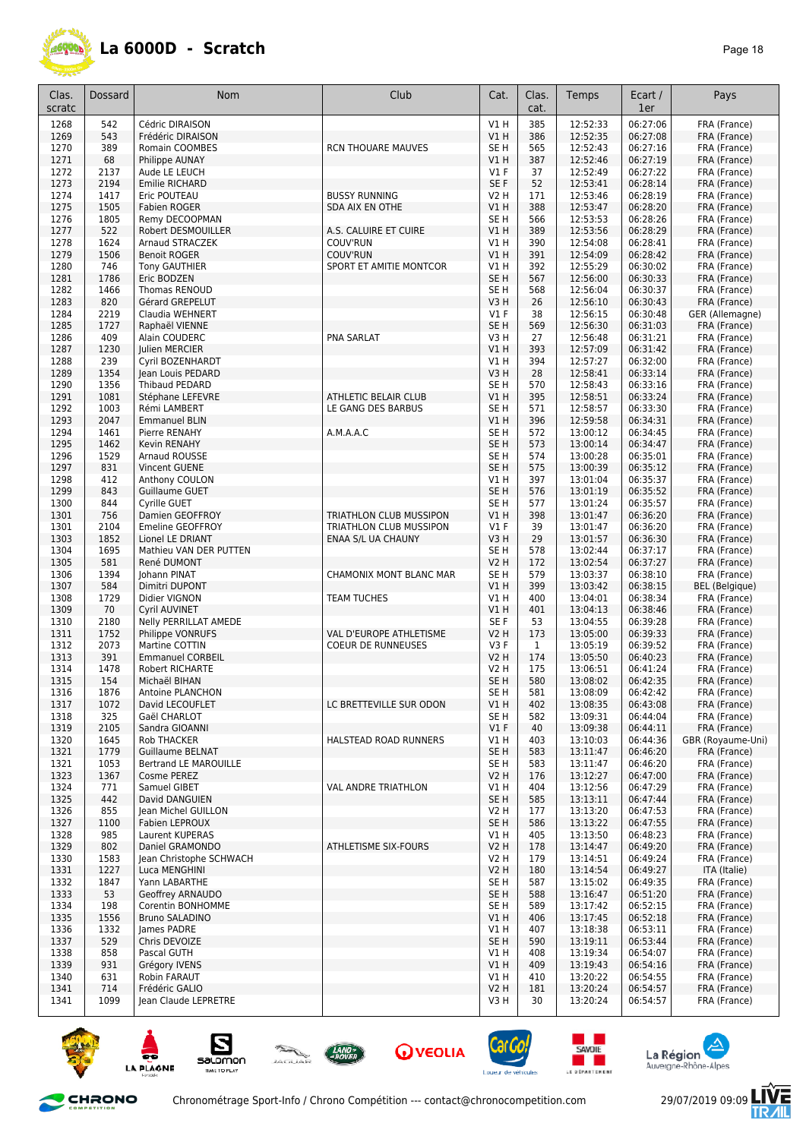

| Clas.<br>scratc | Dossard      | <b>Nom</b>                                 | Club                       | Cat.                               | Clas.<br>cat. | Temps                | Ecart /<br>1er       | Pays                         |
|-----------------|--------------|--------------------------------------------|----------------------------|------------------------------------|---------------|----------------------|----------------------|------------------------------|
| 1268            | 542          | Cédric DIRAISON                            |                            | <b>V1 H</b>                        | 385           | 12:52:33             | 06:27:06             | FRA (France)                 |
| 1269            | 543          | Frédéric DIRAISON                          |                            | V1H                                | 386           | 12:52:35             | 06:27:08             | FRA (France)                 |
| 1270<br>1271    | 389<br>68    | Romain COOMBES                             | <b>RCN THOUARE MAUVES</b>  | SE <sub>H</sub><br>V1H             | 565<br>387    | 12:52:43<br>12:52:46 | 06:27:16<br>06:27:19 | FRA (France)<br>FRA (France) |
| 1272            | 2137         | Philippe AUNAY<br>Aude LE LEUCH            |                            | V1 F                               | 37            | 12:52:49             | 06:27:22             | FRA (France)                 |
| 1273            | 2194         | <b>Emilie RICHARD</b>                      |                            | SE F                               | 52            | 12:53:41             | 06:28:14             | FRA (France)                 |
| 1274            | 1417         | Eric POUTEAU                               | <b>BUSSY RUNNING</b>       | V2 H                               | 171           | 12:53:46             | 06:28:19             | FRA (France)                 |
| 1275            | 1505         | <b>Fabien ROGER</b>                        | SDA AIX EN OTHE            | V1H                                | 388           | 12:53:47             | 06:28:20             | FRA (France)                 |
| 1276            | 1805         | Remy DECOOPMAN                             |                            | SE H                               | 566           | 12:53:53             | 06:28:26             | FRA (France)                 |
| 1277            | 522          | Robert DESMOUILLER                         | A.S. CALUIRE ET CUIRE      | VIH                                | 389           | 12:53:56             | 06:28:29             | FRA (France)                 |
| 1278<br>1279    | 1624<br>1506 | Arnaud STRACZEK<br><b>Benoit ROGER</b>     | COUV'RUN<br>COUV'RUN       | V1 H<br>V1H                        | 390<br>391    | 12:54:08<br>12:54:09 | 06:28:41<br>06:28:42 | FRA (France)<br>FRA (France) |
| 1280            | 746          | <b>Tony GAUTHIER</b>                       | SPORT ET AMITIE MONTCOR    | V1 H                               | 392           | 12:55:29             | 06:30:02             | FRA (France)                 |
| 1281            | 1786         | Eric BODZEN                                |                            | SE <sub>H</sub>                    | 567           | 12:56:00             | 06:30:33             | FRA (France)                 |
| 1282            | 1466         | Thomas RENOUD                              |                            | SE <sub>H</sub>                    | 568           | 12:56:04             | 06:30:37             | FRA (France)                 |
| 1283            | 820          | Gérard GREPELUT                            |                            | V3H                                | 26            | 12:56:10             | 06:30:43             | FRA (France)                 |
| 1284            | 2219         | Claudia WEHNERT                            |                            | <b>V1 F</b>                        | 38            | 12:56:15             | 06:30:48             | GER (Allemagne)              |
| 1285            | 1727         | Raphaël VIENNE                             |                            | SE <sub>H</sub>                    | 569           | 12:56:30             | 06:31:03             | FRA (France)                 |
| 1286<br>1287    | 409<br>1230  | Alain COUDERC<br>Julien MERCIER            | <b>PNA SARLAT</b>          | V3H<br>V1 H                        | 27<br>393     | 12:56:48<br>12:57:09 | 06:31:21<br>06:31:42 | FRA (France)<br>FRA (France) |
| 1288            | 239          | Cyril BOZENHARDT                           |                            | V1 H                               | 394           | 12:57:27             | 06:32:00             | FRA (France)                 |
| 1289            | 1354         | Jean Louis PEDARD                          |                            | V3H                                | 28            | 12:58:41             | 06:33:14             | FRA (France)                 |
| 1290            | 1356         | Thibaud PEDARD                             |                            | SE H                               | 570           | 12:58:43             | 06:33:16             | FRA (France)                 |
| 1291            | 1081         | Stéphane LEFEVRE                           | ATHLETIC BELAIR CLUB       | V1 H                               | 395           | 12:58:51             | 06:33:24             | FRA (France)                 |
| 1292            | 1003         | Rémi LAMBERT                               | LE GANG DES BARBUS         | SE <sub>H</sub>                    | 571           | 12:58:57             | 06:33:30             | FRA (France)                 |
| 1293            | 2047         | <b>Emmanuel BLIN</b>                       |                            | <b>V1 H</b>                        | 396           | 12:59:58             | 06:34:31             | FRA (France)                 |
| 1294            | 1461         | Pierre RENAHY                              | A.M.A.A.C                  | SE <sub>H</sub>                    | 572           | 13:00:12             | 06:34:45             | FRA (France)                 |
| 1295<br>1296    | 1462<br>1529 | <b>Kevin RENAHY</b><br>Arnaud ROUSSE       |                            | SE <sub>H</sub><br>SE <sub>H</sub> | 573<br>574    | 13:00:14<br>13:00:28 | 06:34:47<br>06:35:01 | FRA (France)<br>FRA (France) |
| 1297            | 831          | Vincent GUENE                              |                            | SE <sub>H</sub>                    | 575           | 13:00:39             | 06:35:12             | FRA (France)                 |
| 1298            | 412          | Anthony COULON                             |                            | V1H                                | 397           | 13:01:04             | 06:35:37             | FRA (France)                 |
| 1299            | 843          | Guillaume GUET                             |                            | SE <sub>H</sub>                    | 576           | 13:01:19             | 06:35:52             | FRA (France)                 |
| 1300            | 844          | Cyrille GUET                               |                            | SE <sub>H</sub>                    | 577           | 13:01:24             | 06:35:57             | FRA (France)                 |
| 1301            | 756          | Damien GEOFFROY                            | TRIATHLON CLUB MUSSIPON    | VIH                                | 398           | 13:01:47             | 06:36:20             | FRA (France)                 |
| 1301            | 2104         | <b>Emeline GEOFFROY</b>                    | TRIATHLON CLUB MUSSIPON    | V1 F                               | 39            | 13:01:47             | 06:36:20             | FRA (France)                 |
| 1303            | 1852         | Lionel LE DRIANT                           | ENAA S/L UA CHAUNY         | V3H                                | 29            | 13:01:57             | 06:36:30             | FRA (France)                 |
| 1304            | 1695<br>581  | Mathieu VAN DER PUTTEN                     |                            | SE <sub>H</sub>                    | 578<br>172    | 13:02:44             | 06:37:17<br>06:37:27 | FRA (France)                 |
| 1305<br>1306    | 1394         | René DUMONT<br>Johann PINAT                | CHAMONIX MONT BLANC MAR    | <b>V2 H</b><br>SE <sub>H</sub>     | 579           | 13:02:54<br>13:03:37 | 06:38:10             | FRA (France)<br>FRA (France) |
| 1307            | 584          | Dimitri DUPONT                             |                            | V1H                                | 399           | 13:03:42             | 06:38:15             | <b>BEL</b> (Belgique)        |
| 1308            | 1729         | Didier VIGNON                              | <b>TEAM TUCHES</b>         | V1 H                               | 400           | 13:04:01             | 06:38:34             | FRA (France)                 |
| 1309            | 70           | <b>Cvril AUVINET</b>                       |                            | VIH                                | 401           | 13:04:13             | 06:38:46             | FRA (France)                 |
| 1310            | 2180         | Nelly PERRILLAT AMEDE                      |                            | SE F                               | 53            | 13:04:55             | 06:39:28             | FRA (France)                 |
| 1311            | 1752         | Philippe VONRUFS                           | VAL D'EUROPE ATHLETISME    | V2 H                               | 173           | 13:05:00             | 06:39:33             | FRA (France)                 |
| 1312            | 2073         | Martine COTTIN                             | <b>COEUR DE RUNNEUSES</b>  | V3F                                | $\mathbf{1}$  | 13:05:19             | 06:39:52             | FRA (France)                 |
| 1313<br>1314    | 391<br>1478  | <b>Emmanuel CORBEIL</b><br>Robert RICHARTE |                            | V2 H<br>V2 H                       | 174<br>175    | 13:05:50<br>13:06:51 | 06:40:23<br>06:41:24 | FRA (France)<br>FRA (France) |
| 1315            | 154          | Michaël BIHAN                              |                            | SE <sub>H</sub>                    | 580           | 13:08:02             | 06:42:35             | FRA (France)                 |
| 1316            | 1876         | Antoine PLANCHON                           |                            | SE H                               | 581           | 13:08:09             | 06:42:42             | FRA (France)                 |
| 1317            | 1072         | David LECOUFLET                            | LC BRETTEVILLE SUR ODON    | V1H                                | 402           | 13:08:35             | 06:43:08             | FRA (France)                 |
| 1318            | 325          | Gaël CHARLOT                               |                            | SE H                               | 582           | 13:09:31             | 06:44:04             | FRA (France)                 |
| 1319            | 2105         | Sandra GIOANNI                             |                            | $VI$ F                             | 40            | 13:09:38             | 06:44:11             | FRA (France)                 |
| 1320            | 1645         | <b>Rob THACKER</b>                         | HALSTEAD ROAD RUNNERS      | V1 H                               | 403           | 13:10:03             | 06:44:36             | GBR (Royaume-Uni)            |
| 1321<br>1321    | 1779         | <b>Guillaume BELNAT</b>                    |                            | SE <sub>H</sub><br>SE <sub>H</sub> | 583           | 13:11:47<br>13:11:47 | 06:46:20<br>06:46:20 | FRA (France)<br>FRA (France) |
| 1323            | 1053<br>1367 | Bertrand LE MAROUILLE<br>Cosme PEREZ       |                            | <b>V2 H</b>                        | 583<br>176    | 13:12:27             | 06:47:00             | FRA (France)                 |
| 1324            | 771          | Samuel GIBET                               | <b>VAL ANDRE TRIATHLON</b> | V1 H                               | 404           | 13:12:56             | 06:47:29             | FRA (France)                 |
| 1325            | 442          | David DANGUIEN                             |                            | SE <sub>H</sub>                    | 585           | 13:13:11             | 06:47:44             | FRA (France)                 |
| 1326            | 855          | Jean Michel GUILLON                        |                            | V2 H                               | 177           | 13:13:20             | 06:47:53             | FRA (France)                 |
| 1327            | 1100         | Fabien LEPROUX                             |                            | SE <sub>H</sub>                    | 586           | 13:13:22             | 06:47:55             | FRA (France)                 |
| 1328            | 985          | Laurent KUPERAS                            |                            | V1 H                               | 405           | 13:13:50             | 06:48:23             | FRA (France)                 |
| 1329            | 802          | Daniel GRAMONDO                            | ATHLETISME SIX-FOURS       | <b>V2 H</b>                        | 178           | 13:14:47             | 06:49:20             | FRA (France)                 |
| 1330            | 1583         | Jean Christophe SCHWACH                    |                            | <b>V2 H</b>                        | 179<br>180    | 13:14:51             | 06:49:24             | FRA (France)                 |
| 1331<br>1332    | 1227<br>1847 | Luca MENGHINI<br>Yann LABARTHE             |                            | <b>V2 H</b><br>SE H                | 587           | 13:14:54<br>13:15:02 | 06:49:27<br>06:49:35 | ITA (Italie)<br>FRA (France) |
| 1333            | 53           | Geoffrey ARNAUDO                           |                            | SE <sub>H</sub>                    | 588           | 13:16:47             | 06:51:20             | FRA (France)                 |
| 1334            | 198          | Corentin BONHOMME                          |                            | SE H                               | 589           | 13:17:42             | 06:52:15             | FRA (France)                 |
| 1335            | 1556         | Bruno SALADINO                             |                            | V1H                                | 406           | 13:17:45             | 06:52:18             | FRA (France)                 |
| 1336            | 1332         | James PADRE                                |                            | V1 H                               | 407           | 13:18:38             | 06:53:11             | FRA (France)                 |
| 1337            | 529          | Chris DEVOIZE                              |                            | SE <sub>H</sub>                    | 590           | 13:19:11             | 06:53:44             | FRA (France)                 |
| 1338            | 858          | Pascal GUTH                                |                            | V1 H                               | 408           | 13:19:34             | 06:54:07             | FRA (France)                 |
| 1339            | 931          | Grégory IVENS                              |                            | V1H                                | 409           | 13:19:43             | 06:54:16             | FRA (France)                 |
| 1340<br>1341    | 631<br>714   | Robin FARAUT<br>Frédéric GALIO             |                            | V1 H<br><b>V2 H</b>                | 410<br>181    | 13:20:22<br>13:20:24 | 06:54:55<br>06:54:57 | FRA (France)<br>FRA (France) |
| 1341            | 1099         | Jean Claude LEPRETRE                       |                            | V3 H                               | 30            | 13:20:24             | 06:54:57             | FRA (France)                 |
|                 |              |                                            |                            |                                    |               |                      |                      |                              |











and the second